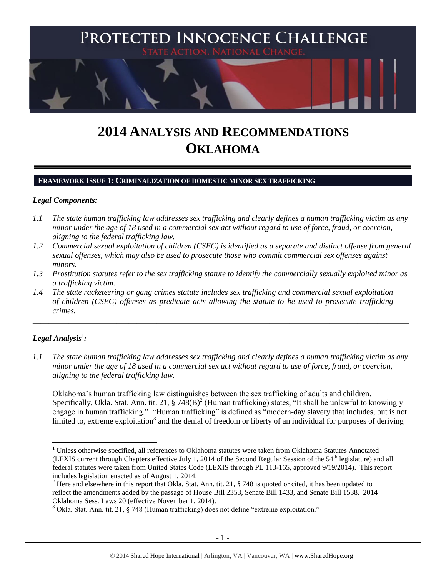

# **2014 ANALYSIS AND RECOMMENDATIONS OKLAHOMA**

#### **FRAMEWORK ISSUE 1: CRIMINALIZATION OF DOMESTIC MINOR SEX TRAFFICKING**

#### *Legal Components:*

- *1.1 The state human trafficking law addresses sex trafficking and clearly defines a human trafficking victim as any minor under the age of 18 used in a commercial sex act without regard to use of force, fraud, or coercion, aligning to the federal trafficking law.*
- *1.2 Commercial sexual exploitation of children (CSEC) is identified as a separate and distinct offense from general sexual offenses, which may also be used to prosecute those who commit commercial sex offenses against minors.*
- *1.3 Prostitution statutes refer to the sex trafficking statute to identify the commercially sexually exploited minor as a trafficking victim.*

\_\_\_\_\_\_\_\_\_\_\_\_\_\_\_\_\_\_\_\_\_\_\_\_\_\_\_\_\_\_\_\_\_\_\_\_\_\_\_\_\_\_\_\_\_\_\_\_\_\_\_\_\_\_\_\_\_\_\_\_\_\_\_\_\_\_\_\_\_\_\_\_\_\_\_\_\_\_\_\_\_\_\_\_\_\_\_\_\_\_\_\_\_\_

*1.4 The state racketeering or gang crimes statute includes sex trafficking and commercial sexual exploitation of children (CSEC) offenses as predicate acts allowing the statute to be used to prosecute trafficking crimes.* 

## $\bm{L}$ egal Analysis $^1$ :

*1.1 The state human trafficking law addresses sex trafficking and clearly defines a human trafficking victim as any minor under the age of 18 used in a commercial sex act without regard to use of force, fraud, or coercion, aligning to the federal trafficking law.*

<span id="page-0-0"></span>Oklahoma's human trafficking law distinguishes between the sex trafficking of adults and children. Specifically, Okla. Stat. Ann. tit. 21,  $\S 748(B)^2$  (Human trafficking) states, "It shall be unlawful to knowingly engage in human trafficking." "Human trafficking" is defined as "modern-day slavery that includes, but is not limited to, extreme exploitation<sup>3</sup> and the denial of freedom or liberty of an individual for purposes of deriving

 $\overline{\phantom{a}}$ <sup>1</sup> Unless otherwise specified, all references to Oklahoma statutes were taken from Oklahoma Statutes Annotated (LEXIS current through Chapters effective July 1, 2014 of the Second Regular Session of the  $54<sup>th</sup>$  legislature) and all federal statutes were taken from United States Code (LEXIS through PL 113-165, approved 9/19/2014). This report includes legislation enacted as of August 1, 2014.

<sup>&</sup>lt;sup>2</sup> Here and elsewhere in this report that Okla. Stat. Ann. tit. 21, § 748 is quoted or cited, it has been updated to reflect the amendments added by the passage of House Bill 2353, Senate Bill 1433, and Senate Bill 1538. 2014 Oklahoma Sess. Laws 20 (effective November 1, 2014).

 $3$  Okla. Stat. Ann. tit. 21,  $\S$  748 (Human trafficking) does not define "extreme exploitation."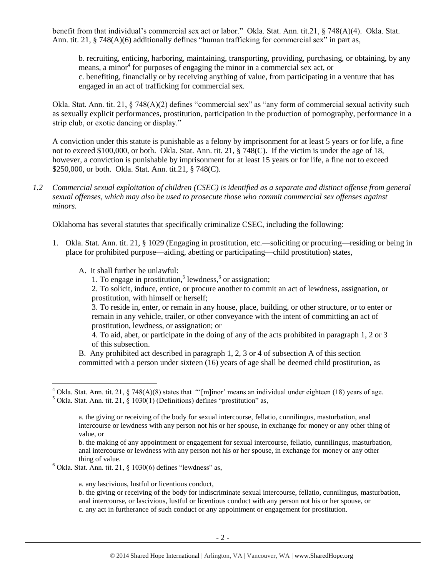benefit from that individual's commercial sex act or labor." Okla. Stat. Ann. tit.21, § 748(A)(4). Okla. Stat. Ann. tit.  $21$ ,  $\S$  748(A)(6) additionally defines "human trafficking for commercial sex" in part as,

b. recruiting, enticing, harboring, maintaining, transporting, providing, purchasing, or obtaining, by any means, a minor<sup>4</sup> for purposes of engaging the minor in a commercial sex act, or c. benefiting, financially or by receiving anything of value, from participating in a venture that has engaged in an act of trafficking for commercial sex.

Okla. Stat. Ann. tit. 21, § 748(A)(2) defines "commercial sex" as "any form of commercial sexual activity such as sexually explicit performances, prostitution, participation in the production of pornography, performance in a strip club, or exotic dancing or display."

A conviction under this statute is punishable as a felony by imprisonment for at least 5 years or for life, a fine not to exceed \$100,000, or both. Okla. Stat. Ann. tit. 21, § 748(C). If the victim is under the age of 18, however, a conviction is punishable by imprisonment for at least 15 years or for life, a fine not to exceed \$250,000, or both. Okla. Stat. Ann. tit.21, § 748(C).

*1.2 Commercial sexual exploitation of children (CSEC) is identified as a separate and distinct offense from general sexual offenses, which may also be used to prosecute those who commit commercial sex offenses against minors.*

Oklahoma has several statutes that specifically criminalize CSEC, including the following:

- 1. Okla. Stat. Ann. tit. 21, § 1029 (Engaging in prostitution, etc.—soliciting or procuring—residing or being in place for prohibited purpose—aiding, abetting or participating—child prostitution) states,
	- A. It shall further be unlawful:

 $\overline{\phantom{a}}$ 

1. To engage in prostitution,<sup>5</sup> lewdness, $6$  or assignation;

2. To solicit, induce, entice, or procure another to commit an act of lewdness, assignation, or prostitution, with himself or herself;

3. To reside in, enter, or remain in any house, place, building, or other structure, or to enter or remain in any vehicle, trailer, or other conveyance with the intent of committing an act of prostitution, lewdness, or assignation; or

4. To aid, abet, or participate in the doing of any of the acts prohibited in paragraph 1, 2 or 3 of this subsection.

B. Any prohibited act described in paragraph 1, 2, 3 or 4 of subsection A of this section committed with a person under sixteen (16) years of age shall be deemed child prostitution, as

a. any lascivious, lustful or licentious conduct,

<sup>&</sup>lt;sup>4</sup> Okla. Stat. Ann. tit. 21, § 748(A)(8) states that "'[m]inor' means an individual under eighteen (18) years of age.

 $5$  Okla. Stat. Ann. tit. 21, § 1030(1) (Definitions) defines "prostitution" as,

a. the giving or receiving of the body for sexual intercourse, fellatio, cunnilingus, masturbation, anal intercourse or lewdness with any person not his or her spouse, in exchange for money or any other thing of value, or

b. the making of any appointment or engagement for sexual intercourse, fellatio, cunnilingus, masturbation, anal intercourse or lewdness with any person not his or her spouse, in exchange for money or any other thing of value.

 $6$  Okla. Stat. Ann. tit. 21, § 1030(6) defines "lewdness" as,

b. the giving or receiving of the body for indiscriminate sexual intercourse, fellatio, cunnilingus, masturbation, anal intercourse, or lascivious, lustful or licentious conduct with any person not his or her spouse, or c. any act in furtherance of such conduct or any appointment or engagement for prostitution.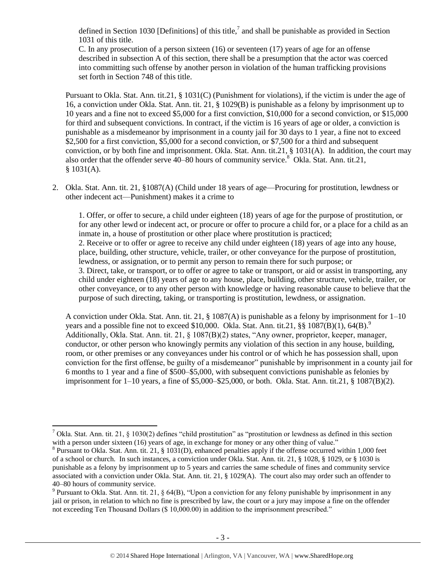<span id="page-2-0"></span>defined in Section 1030 [Definitions] of this title,<sup>7</sup> and shall be punishable as provided in Section 1031 of this title.

C. In any prosecution of a person sixteen (16) or seventeen (17) years of age for an offense described in subsection A of this section, there shall be a presumption that the actor was coerced into committing such offense by another person in violation of the human trafficking provisions set forth in Section 748 of this title.

Pursuant to Okla. Stat. Ann. tit.21, § 1031(C) (Punishment for violations), if the victim is under the age of 16, a conviction under Okla. Stat. Ann. tit. 21, § 1029(B) is punishable as a felony by imprisonment up to 10 years and a fine not to exceed \$5,000 for a first conviction, \$10,000 for a second conviction, or \$15,000 for third and subsequent convictions. In contract, if the victim is 16 years of age or older, a conviction is punishable as a misdemeanor by imprisonment in a county jail for 30 days to 1 year, a fine not to exceed \$2,500 for a first conviction, \$5,000 for a second conviction, or \$7,500 for a third and subsequent conviction, or by both fine and imprisonment. Okla. Stat. Ann. tit.21, § 1031(A). In addition, the court may also order that the offender serve  $40-80$  hours of community service.<sup>8</sup> Okla. Stat. Ann. tit.21,  $$1031(A).$ 

2. Okla. Stat. Ann. tit. 21, §1087(A) (Child under 18 years of age—Procuring for prostitution, lewdness or other indecent act—Punishment) makes it a crime to

<span id="page-2-1"></span>1. Offer, or offer to secure, a child under eighteen (18) years of age for the purpose of prostitution, or for any other lewd or indecent act, or procure or offer to procure a child for, or a place for a child as an inmate in, a house of prostitution or other place where prostitution is practiced; 2. Receive or to offer or agree to receive any child under eighteen (18) years of age into any house, place, building, other structure, vehicle, trailer, or other conveyance for the purpose of prostitution, lewdness, or assignation, or to permit any person to remain there for such purpose; or 3. Direct, take, or transport, or to offer or agree to take or transport, or aid or assist in transporting, any child under eighteen (18) years of age to any house, place, building, other structure, vehicle, trailer, or other conveyance, or to any other person with knowledge or having reasonable cause to believe that the purpose of such directing, taking, or transporting is prostitution, lewdness, or assignation.

<span id="page-2-2"></span>A conviction under Okla. Stat. Ann. tit. 21, § 1087(A) is punishable as a felony by imprisonment for 1–10 years and a possible fine not to exceed \$10,000. Okla. Stat. Ann. tit.21,  $\S\$   $1087(B)(1)$ , 64(B).<sup>9</sup> Additionally, Okla. Stat. Ann. tit. 21, § 1087(B)(2) states, "Any owner, proprietor, keeper, manager, conductor, or other person who knowingly permits any violation of this section in any house, building, room, or other premises or any conveyances under his control or of which he has possession shall, upon conviction for the first offense, be guilty of a misdemeanor" punishable by imprisonment in a county jail for 6 months to 1 year and a fine of \$500–\$5,000, with subsequent convictions punishable as felonies by imprisonment for 1–10 years, a fine of \$5,000–\$25,000, or both. Okla. Stat. Ann. tit.21, § 1087(B)(2).

l <sup>7</sup> Okla. Stat. Ann. tit. 21, § 1030(2) defines "child prostitution" as "prostitution or lewdness as defined in this section with a person under sixteen (16) years of age, in exchange for money or any other thing of value."

 $8$  Pursuant to Okla. Stat. Ann. tit. 21, § 1031(D), enhanced penalties apply if the offense occurred within 1,000 feet of a school or church. In such instances, a conviction under Okla. Stat. Ann. tit. 21, § 1028, § 1029, or § 1030 is punishable as a felony by imprisonment up to 5 years and carries the same schedule of fines and community service associated with a conviction under Okla. Stat. Ann. tit. 21, § 1029(A). The court also may order such an offender to 40–80 hours of community service.

<sup>&</sup>lt;sup>9</sup> Pursuant to Okla. Stat. Ann. tit. 21, § 64(B), "Upon a conviction for any felony punishable by imprisonment in any jail or prison, in relation to which no fine is prescribed by law, the court or a jury may impose a fine on the offender not exceeding Ten Thousand Dollars (\$ 10,000.00) in addition to the imprisonment prescribed."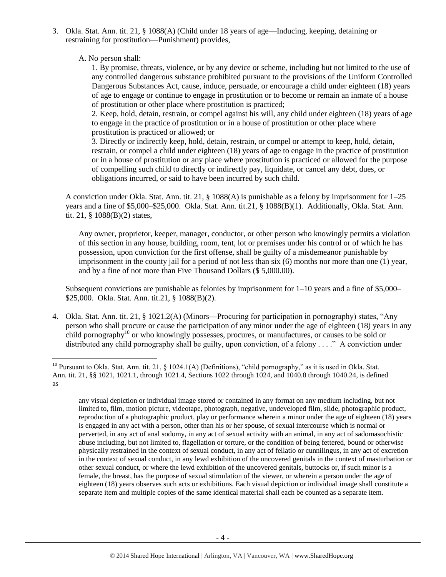3. Okla. Stat. Ann. tit. 21, § 1088(A) (Child under 18 years of age—Inducing, keeping, detaining or restraining for prostitution—Punishment) provides,

A. No person shall:

 $\overline{\phantom{a}}$ 

1. By promise, threats, violence, or by any device or scheme, including but not limited to the use of any controlled dangerous substance prohibited pursuant to the provisions of the Uniform Controlled Dangerous Substances Act, cause, induce, persuade, or encourage a child under eighteen (18) years of age to engage or continue to engage in prostitution or to become or remain an inmate of a house of prostitution or other place where prostitution is practiced;

2. Keep, hold, detain, restrain, or compel against his will, any child under eighteen (18) years of age to engage in the practice of prostitution or in a house of prostitution or other place where prostitution is practiced or allowed; or

3. Directly or indirectly keep, hold, detain, restrain, or compel or attempt to keep, hold, detain, restrain, or compel a child under eighteen (18) years of age to engage in the practice of prostitution or in a house of prostitution or any place where prostitution is practiced or allowed for the purpose of compelling such child to directly or indirectly pay, liquidate, or cancel any debt, dues, or obligations incurred, or said to have been incurred by such child.

A conviction under Okla. Stat. Ann. tit. 21, § 1088(A) is punishable as a felony by imprisonment for 1–25 years and a fine of \$5,000–\$25,000. Okla. Stat. Ann. tit.21, § 1088(B)(1). Additionally, Okla. Stat. Ann. tit. 21, § 1088(B)(2) states,

Any owner, proprietor, keeper, manager, conductor, or other person who knowingly permits a violation of this section in any house, building, room, tent, lot or premises under his control or of which he has possession, upon conviction for the first offense, shall be guilty of a misdemeanor punishable by imprisonment in the county jail for a period of not less than six (6) months nor more than one (1) year, and by a fine of not more than Five Thousand Dollars (\$ 5,000.00).

Subsequent convictions are punishable as felonies by imprisonment for  $1-10$  years and a fine of \$5,000– \$25,000. Okla. Stat. Ann. tit.21, § 1088(B)(2).

<span id="page-3-0"></span>4. Okla. Stat. Ann. tit. 21, § 1021.2(A) (Minors—Procuring for participation in pornography) states, "Any person who shall procure or cause the participation of any minor under the age of eighteen (18) years in any child pornography<sup>10</sup> or who knowingly possesses, procures, or manufactures, or causes to be sold or distributed any child pornography shall be guilty, upon conviction, of a felony . . . ." A conviction under

any visual depiction or individual image stored or contained in any format on any medium including, but not limited to, film, motion picture, videotape, photograph, negative, undeveloped film, slide, photographic product, reproduction of a photographic product, play or performance wherein a minor under the age of eighteen (18) years is engaged in any act with a person, other than his or her spouse, of sexual intercourse which is normal or perverted, in any act of anal sodomy, in any act of sexual activity with an animal, in any act of sadomasochistic abuse including, but not limited to, flagellation or torture, or the condition of being fettered, bound or otherwise physically restrained in the context of sexual conduct, in any act of fellatio or cunnilingus, in any act of excretion in the context of sexual conduct, in any lewd exhibition of the uncovered genitals in the context of masturbation or other sexual conduct, or where the lewd exhibition of the uncovered genitals, buttocks or, if such minor is a female, the breast, has the purpose of sexual stimulation of the viewer, or wherein a person under the age of eighteen (18) years observes such acts or exhibitions. Each visual depiction or individual image shall constitute a separate item and multiple copies of the same identical material shall each be counted as a separate item.

<sup>&</sup>lt;sup>10</sup> Pursuant to Okla. Stat. Ann. tit. 21, § 1024.1(A) (Definitions), "child pornography," as it is used in Okla. Stat. Ann. tit. 21, §§ 1021, 1021.1, through 1021.4, Sections 1022 through 1024, and 1040.8 through 1040.24, is defined as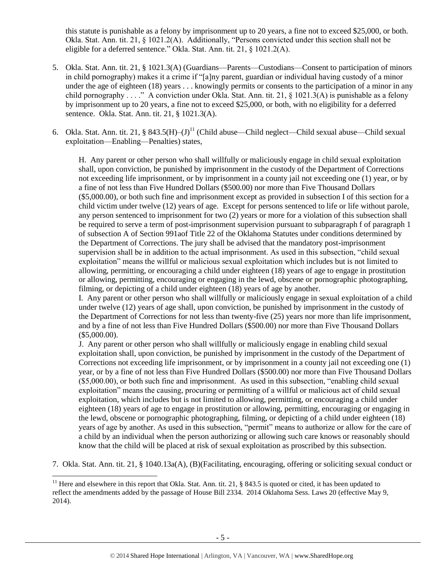this statute is punishable as a felony by imprisonment up to 20 years, a fine not to exceed \$25,000, or both. Okla. Stat. Ann. tit. 21, § 1021.2(A). Additionally, "Persons convicted under this section shall not be eligible for a deferred sentence." Okla. Stat. Ann. tit. 21, § 1021.2(A).

- 5. Okla. Stat. Ann. tit. 21, § 1021.3(A) (Guardians—Parents—Custodians—Consent to participation of minors in child pornography) makes it a crime if "[a]ny parent, guardian or individual having custody of a minor under the age of eighteen (18) years . . . knowingly permits or consents to the participation of a minor in any child pornography . . . ." A conviction under Okla. Stat. Ann. tit. 21, § 1021.3(A) is punishable as a felony by imprisonment up to 20 years, a fine not to exceed \$25,000, or both, with no eligibility for a deferred sentence. Okla. Stat. Ann. tit. 21, § 1021.3(A).
- 6. Okla. Stat. Ann. tit. 21, § 843.5(H)– $(J)^{11}$  (Child abuse—Child neglect—Child sexual abuse—Child sexual exploitation—Enabling—Penalties) states,

<span id="page-4-0"></span>H. Any parent or other person who shall willfully or maliciously engage in child sexual exploitation shall, upon conviction, be punished by imprisonment in the custody of the Department of Corrections not exceeding life imprisonment, or by imprisonment in a county jail not exceeding one (1) year, or by a fine of not less than Five Hundred Dollars (\$500.00) nor more than Five Thousand Dollars (\$5,000.00), or both such fine and imprisonment except as provided in subsection I of this section for a child victim under twelve (12) years of age. Except for persons sentenced to life or life without parole, any person sentenced to imprisonment for two (2) years or more for a violation of this subsection shall be required to serve a term of post-imprisonment supervision pursuant to subparagraph f of paragraph 1 of subsection A of Section 991aof Title 22 of the Oklahoma Statutes under conditions determined by the Department of Corrections. The jury shall be advised that the mandatory post-imprisonment supervision shall be in addition to the actual imprisonment. As used in this subsection, "child sexual exploitation" means the willful or malicious sexual exploitation which includes but is not limited to allowing, permitting, or encouraging a child under eighteen (18) years of age to engage in prostitution or allowing, permitting, encouraging or engaging in the lewd, obscene or pornographic photographing, filming, or depicting of a child under eighteen (18) years of age by another.

I. Any parent or other person who shall willfully or maliciously engage in sexual exploitation of a child under twelve (12) years of age shall, upon conviction, be punished by imprisonment in the custody of the Department of Corrections for not less than twenty-five (25) years nor more than life imprisonment, and by a fine of not less than Five Hundred Dollars (\$500.00) nor more than Five Thousand Dollars (\$5,000.00).

J. Any parent or other person who shall willfully or maliciously engage in enabling child sexual exploitation shall, upon conviction, be punished by imprisonment in the custody of the Department of Corrections not exceeding life imprisonment, or by imprisonment in a county jail not exceeding one (1) year, or by a fine of not less than Five Hundred Dollars (\$500.00) nor more than Five Thousand Dollars (\$5,000.00), or both such fine and imprisonment. As used in this subsection, "enabling child sexual exploitation" means the causing, procuring or permitting of a willful or malicious act of child sexual exploitation, which includes but is not limited to allowing, permitting, or encouraging a child under eighteen (18) years of age to engage in prostitution or allowing, permitting, encouraging or engaging in the lewd, obscene or pornographic photographing, filming, or depicting of a child under eighteen (18) years of age by another. As used in this subsection, "permit" means to authorize or allow for the care of a child by an individual when the person authorizing or allowing such care knows or reasonably should know that the child will be placed at risk of sexual exploitation as proscribed by this subsection.

7. Okla. Stat. Ann. tit. 21, § 1040.13a(A), (B)(Facilitating, encouraging, offering or soliciting sexual conduct or

l

<sup>&</sup>lt;sup>11</sup> Here and elsewhere in this report that Okla. Stat. Ann. tit. 21, § 843.5 is quoted or cited, it has been updated to reflect the amendments added by the passage of House Bill 2334. 2014 Oklahoma Sess. Laws 20 (effective May 9, 2014).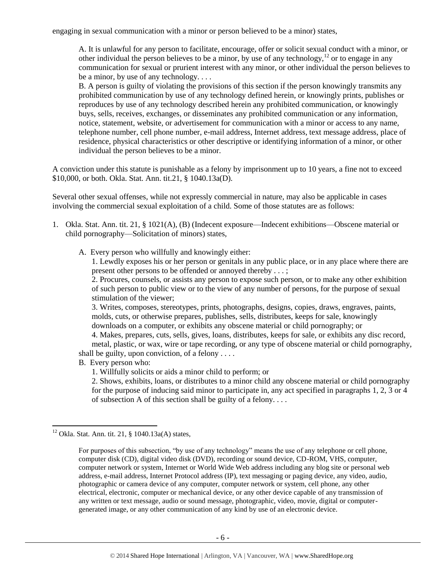engaging in sexual communication with a minor or person believed to be a minor) states,

<span id="page-5-0"></span>A. It is unlawful for any person to facilitate, encourage, offer or solicit sexual conduct with a minor, or other individual the person believes to be a minor, by use of any technology,  $^{12}$  or to engage in any communication for sexual or prurient interest with any minor, or other individual the person believes to be a minor, by use of any technology. . . .

B. A person is guilty of violating the provisions of this section if the person knowingly transmits any prohibited communication by use of any technology defined herein, or knowingly prints, publishes or reproduces by use of any technology described herein any prohibited communication, or knowingly buys, sells, receives, exchanges, or disseminates any prohibited communication or any information, notice, statement, website, or advertisement for communication with a minor or access to any name, telephone number, cell phone number, e-mail address, Internet address, text message address, place of residence, physical characteristics or other descriptive or identifying information of a minor, or other individual the person believes to be a minor.

A conviction under this statute is punishable as a felony by imprisonment up to 10 years, a fine not to exceed \$10,000, or both. Okla. Stat. Ann. tit.21, § 1040.13a(D).

Several other sexual offenses, while not expressly commercial in nature, may also be applicable in cases involving the commercial sexual exploitation of a child. Some of those statutes are as follows:

- 1. Okla. Stat. Ann. tit. 21, § 1021(A), (B) (Indecent exposure—Indecent exhibitions—Obscene material or child pornography—Solicitation of minors) states,
	- A. Every person who willfully and knowingly either:

1. Lewdly exposes his or her person or genitals in any public place, or in any place where there are present other persons to be offended or annoyed thereby . . . ;

2. Procures, counsels, or assists any person to expose such person, or to make any other exhibition of such person to public view or to the view of any number of persons, for the purpose of sexual stimulation of the viewer;

3. Writes, composes, stereotypes, prints, photographs, designs, copies, draws, engraves, paints, molds, cuts, or otherwise prepares, publishes, sells, distributes, keeps for sale, knowingly downloads on a computer, or exhibits any obscene material or child pornography; or

4. Makes, prepares, cuts, sells, gives, loans, distributes, keeps for sale, or exhibits any disc record, metal, plastic, or wax, wire or tape recording, or any type of obscene material or child pornography, shall be guilty, upon conviction, of a felony  $\dots$ 

- B. Every person who:
	- 1. Willfully solicits or aids a minor child to perform; or

2. Shows, exhibits, loans, or distributes to a minor child any obscene material or child pornography for the purpose of inducing said minor to participate in, any act specified in paragraphs 1, 2, 3 or 4 of subsection A of this section shall be guilty of a felony. . . .

l

 $12$  Okla. Stat. Ann. tit. 21, § 1040.13a(A) states,

For purposes of this subsection, "by use of any technology" means the use of any telephone or cell phone, computer disk (CD), digital video disk (DVD), recording or sound device, CD-ROM, VHS, computer, computer network or system, Internet or World Wide Web address including any blog site or personal web address, e-mail address, Internet Protocol address (IP), text messaging or paging device, any video, audio, photographic or camera device of any computer, computer network or system, cell phone, any other electrical, electronic, computer or mechanical device, or any other device capable of any transmission of any written or text message, audio or sound message, photographic, video, movie, digital or computergenerated image, or any other communication of any kind by use of an electronic device.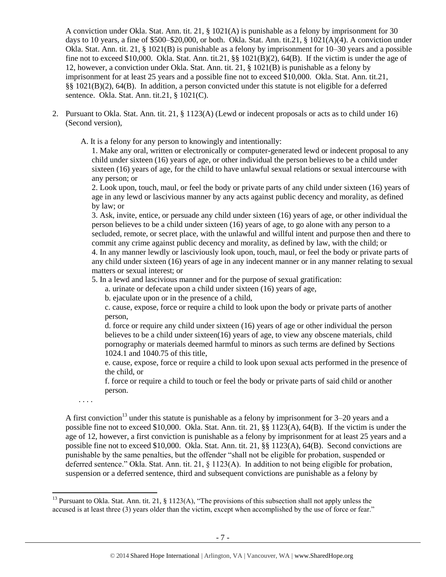A conviction under Okla. Stat. Ann. tit. 21, § 1021(A) is punishable as a felony by imprisonment for 30 days to 10 years, a fine of \$500–\$20,000, or both. Okla. Stat. Ann. tit.21, § 1021(A)(4). A conviction under Okla. Stat. Ann. tit. 21, § 1021(B) is punishable as a felony by imprisonment for 10–30 years and a possible fine not to exceed \$10,000. Okla. Stat. Ann. tit.21,  $\S$ § 1021(B)(2), 64(B). If the victim is under the age of 12, however, a conviction under Okla. Stat. Ann. tit. 21, § 1021(B) is punishable as a felony by imprisonment for at least 25 years and a possible fine not to exceed \$10,000. Okla. Stat. Ann. tit.21, §§ 1021(B)(2), 64(B). In addition, a person convicted under this statute is not eligible for a deferred sentence. Okla. Stat. Ann. tit.21, § 1021(C).

2. Pursuant to Okla. Stat. Ann. tit. 21, § 1123(A) (Lewd or indecent proposals or acts as to child under 16) (Second version),

A. It is a felony for any person to knowingly and intentionally:

1. Make any oral, written or electronically or computer-generated lewd or indecent proposal to any child under sixteen (16) years of age, or other individual the person believes to be a child under sixteen (16) years of age, for the child to have unlawful sexual relations or sexual intercourse with any person; or

2. Look upon, touch, maul, or feel the body or private parts of any child under sixteen (16) years of age in any lewd or lascivious manner by any acts against public decency and morality, as defined by law; or

3. Ask, invite, entice, or persuade any child under sixteen (16) years of age, or other individual the person believes to be a child under sixteen (16) years of age, to go alone with any person to a secluded, remote, or secret place, with the unlawful and willful intent and purpose then and there to commit any crime against public decency and morality, as defined by law, with the child; or 4. In any manner lewdly or lasciviously look upon, touch, maul, or feel the body or private parts of any child under sixteen (16) years of age in any indecent manner or in any manner relating to sexual matters or sexual interest; or

5. In a lewd and lascivious manner and for the purpose of sexual gratification:

a. urinate or defecate upon a child under sixteen (16) years of age,

b. ejaculate upon or in the presence of a child,

c. cause, expose, force or require a child to look upon the body or private parts of another person,

d. force or require any child under sixteen (16) years of age or other individual the person believes to be a child under sixteen(16) years of age, to view any obscene materials, child pornography or materials deemed harmful to minors as such terms are defined by Sections 1024.1 and 1040.75 of this title,

e. cause, expose, force or require a child to look upon sexual acts performed in the presence of the child, or

<span id="page-6-0"></span>f. force or require a child to touch or feel the body or private parts of said child or another person.

. . . .

 $\overline{\phantom{a}}$ 

A first conviction<sup>13</sup> under this statute is punishable as a felony by imprisonment for  $3-20$  years and a possible fine not to exceed \$10,000. Okla. Stat. Ann. tit. 21, §§ 1123(A), 64(B). If the victim is under the age of 12, however, a first conviction is punishable as a felony by imprisonment for at least 25 years and a possible fine not to exceed \$10,000. Okla. Stat. Ann. tit. 21, §§ 1123(A), 64(B). Second convictions are punishable by the same penalties, but the offender "shall not be eligible for probation, suspended or deferred sentence." Okla. Stat. Ann. tit. 21, § 1123(A). In addition to not being eligible for probation, suspension or a deferred sentence, third and subsequent convictions are punishable as a felony by

<sup>&</sup>lt;sup>13</sup> Pursuant to Okla. Stat. Ann. tit. 21, § 1123(A), "The provisions of this subsection shall not apply unless the accused is at least three (3) years older than the victim, except when accomplished by the use of force or fear."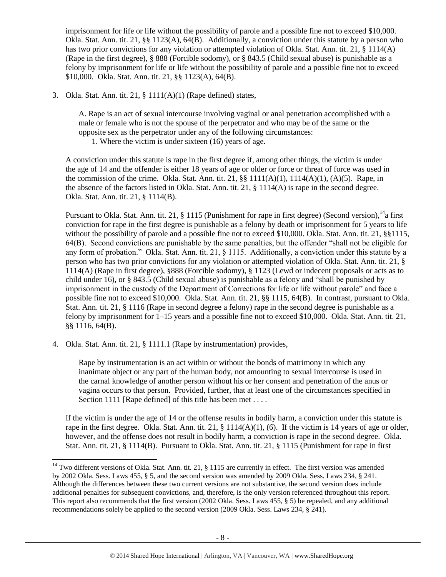imprisonment for life or life without the possibility of parole and a possible fine not to exceed \$10,000. Okla. Stat. Ann. tit. 21, §§ 1123(A), 64(B). Additionally, a conviction under this statute by a person who has two prior convictions for any violation or attempted violation of Okla. Stat. Ann. tit. 21, § 1114(A) (Rape in the first degree), § 888 (Forcible sodomy), or § 843.5 (Child sexual abuse) is punishable as a felony by imprisonment for life or life without the possibility of parole and a possible fine not to exceed \$10,000. Okla. Stat. Ann. tit. 21, §§ 1123(A), 64(B).

3. Okla. Stat. Ann. tit. 21, § 1111(A)(1) (Rape defined) states,

A. Rape is an act of sexual intercourse involving vaginal or anal penetration accomplished with a male or female who is not the spouse of the perpetrator and who may be of the same or the opposite sex as the perpetrator under any of the following circumstances:

1. Where the victim is under sixteen (16) years of age.

A conviction under this statute is rape in the first degree if, among other things, the victim is under the age of 14 and the offender is either 18 years of age or older or force or threat of force was used in the commission of the crime. Okla. Stat. Ann. tit. 21,  $\S$ [  $111(A)(1)$ ,  $111(4(A)(1)$ ,  $(A)(5)$ . Rape, in the absence of the factors listed in Okla. Stat. Ann. tit. 21, § 1114(A) is rape in the second degree. Okla. Stat. Ann. tit. 21, § 1114(B).

Pursuant to Okla. Stat. Ann. tit. 21, § 1115 (Punishment for rape in first degree) (Second version), <sup>14</sup>a first conviction for rape in the first degree is punishable as a felony by death or imprisonment for 5 years to life without the possibility of parole and a possible fine not to exceed \$10,000. Okla. Stat. Ann. tit. 21, §§1115, 64(B). Second convictions are punishable by the same penalties, but the offender "shall not be eligible for any form of probation." Okla. Stat. Ann. tit. 21, § 1115. Additionally, a conviction under this statute by a person who has two prior convictions for any violation or attempted violation of Okla. Stat. Ann. tit. 21, § 1114(A) (Rape in first degree), §888 (Forcible sodomy), § 1123 (Lewd or indecent proposals or acts as to child under 16), or § 843.5 (Child sexual abuse) is punishable as a felony and "shall be punished by imprisonment in the custody of the Department of Corrections for life or life without parole" and face a possible fine not to exceed \$10,000. Okla. Stat. Ann. tit. 21, §§ 1115, 64(B). In contrast, pursuant to Okla. Stat. Ann. tit. 21, § 1116 (Rape in second degree a felony) rape in the second degree is punishable as a felony by imprisonment for  $1-15$  years and a possible fine not to exceed \$10,000. Okla. Stat. Ann. tit. 21, §§ 1116, 64(B).

4. Okla. Stat. Ann. tit. 21, § 1111.1 (Rape by instrumentation) provides,

 $\overline{\phantom{a}}$ 

Rape by instrumentation is an act within or without the bonds of matrimony in which any inanimate object or any part of the human body, not amounting to sexual intercourse is used in the carnal knowledge of another person without his or her consent and penetration of the anus or vagina occurs to that person. Provided, further, that at least one of the circumstances specified in Section 1111 [Rape defined] of this title has been met . . . .

If the victim is under the age of 14 or the offense results in bodily harm, a conviction under this statute is rape in the first degree. Okla. Stat. Ann. tit. 21,  $\S$  1114(A)(1), (6). If the victim is 14 years of age or older, however, and the offense does not result in bodily harm, a conviction is rape in the second degree. Okla. Stat. Ann. tit. 21, § 1114(B). Pursuant to Okla. Stat. Ann. tit. 21, § 1115 (Punishment for rape in first

<sup>&</sup>lt;sup>14</sup> Two different versions of Okla. Stat. Ann. tit. 21,  $\S$  1115 are currently in effect. The first version was amended by 2002 Okla. Sess. Laws 455, § 5, and the second version was amended by 2009 Okla. Sess. Laws 234, § 241. Although the differences between these two current versions are not substantive, the second version does include additional penalties for subsequent convictions, and, therefore, is the only version referenced throughout this report. This report also recommends that the first version (2002 Okla. Sess. Laws 455, § 5) be repealed, and any additional recommendations solely be applied to the second version (2009 Okla. Sess. Laws 234, § 241).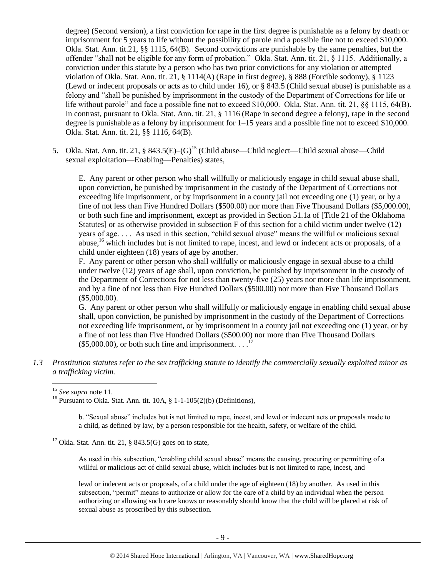degree) (Second version), a first conviction for rape in the first degree is punishable as a felony by death or imprisonment for 5 years to life without the possibility of parole and a possible fine not to exceed \$10,000. Okla. Stat. Ann. tit.21, §§ 1115, 64(B). Second convictions are punishable by the same penalties, but the offender "shall not be eligible for any form of probation." Okla. Stat. Ann. tit. 21, § 1115. Additionally, a conviction under this statute by a person who has two prior convictions for any violation or attempted violation of Okla. Stat. Ann. tit. 21, § 1114(A) (Rape in first degree), § 888 (Forcible sodomy), § 1123 (Lewd or indecent proposals or acts as to child under 16), or § 843.5 (Child sexual abuse) is punishable as a felony and "shall be punished by imprisonment in the custody of the Department of Corrections for life or life without parole" and face a possible fine not to exceed \$10,000. Okla. Stat. Ann. tit. 21, §§ 1115, 64(B). In contrast, pursuant to Okla. Stat. Ann. tit. 21, § 1116 (Rape in second degree a felony), rape in the second degree is punishable as a felony by imprisonment for  $1-15$  years and a possible fine not to exceed \$10,000. Okla. Stat. Ann. tit. 21, §§ 1116, 64(B).

5. Okla. Stat. Ann. tit. 21, § 843.5(E)–(G)<sup>15</sup> (Child abuse—Child neglect—Child sexual abuse—Child sexual exploitation—Enabling—Penalties) states,

E. Any parent or other person who shall willfully or maliciously engage in child sexual abuse shall, upon conviction, be punished by imprisonment in the custody of the Department of Corrections not exceeding life imprisonment, or by imprisonment in a county jail not exceeding one (1) year, or by a fine of not less than Five Hundred Dollars (\$500.00) nor more than Five Thousand Dollars (\$5,000.00), or both such fine and imprisonment, except as provided in Section 51.1a of [Title 21 of the Oklahoma Statutes] or as otherwise provided in subsection F of this section for a child victim under twelve (12) years of age. . . . As used in this section, "child sexual abuse" means the willful or malicious sexual abuse,<sup>16</sup> which includes but is not limited to rape, incest, and lewd or indecent acts or proposals, of a child under eighteen (18) years of age by another.

F. Any parent or other person who shall willfully or maliciously engage in sexual abuse to a child under twelve (12) years of age shall, upon conviction, be punished by imprisonment in the custody of the Department of Corrections for not less than twenty-five (25) years nor more than life imprisonment, and by a fine of not less than Five Hundred Dollars (\$500.00) nor more than Five Thousand Dollars (\$5,000.00).

G. Any parent or other person who shall willfully or maliciously engage in enabling child sexual abuse shall, upon conviction, be punished by imprisonment in the custody of the Department of Corrections not exceeding life imprisonment, or by imprisonment in a county jail not exceeding one (1) year, or by a fine of not less than Five Hundred Dollars (\$500.00) nor more than Five Thousand Dollars  $($5,000.00)$ , or both such fine and imprisonment. . . .<sup>17</sup>

*1.3 Prostitution statutes refer to the sex trafficking statute to identify the commercially sexually exploited minor as a trafficking victim.* 

 $\overline{\phantom{a}}$ 

b. "Sexual abuse" includes but is not limited to rape, incest, and lewd or indecent acts or proposals made to a child, as defined by law, by a person responsible for the health, safety, or welfare of the child.

<sup>17</sup> Okla. Stat. Ann. tit. 21, § 843.5(G) goes on to state,

As used in this subsection, "enabling child sexual abuse" means the causing, procuring or permitting of a willful or malicious act of child sexual abuse, which includes but is not limited to rape, incest, and

lewd or indecent acts or proposals, of a child under the age of eighteen (18) by another. As used in this subsection, "permit" means to authorize or allow for the care of a child by an individual when the person authorizing or allowing such care knows or reasonably should know that the child will be placed at risk of sexual abuse as proscribed by this subsection.

<sup>15</sup> *See supra* note [11.](#page-4-0) 

<sup>&</sup>lt;sup>16</sup> Pursuant to Okla. Stat. Ann. tit.  $10A$ , §  $1-1-105(2)(b)$  (Definitions),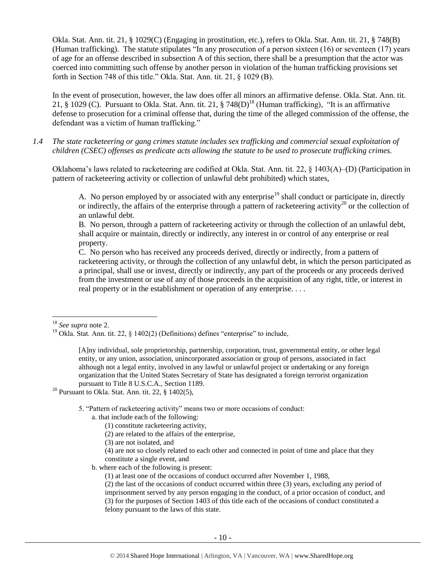Okla. Stat. Ann. tit. 21, § 1029(C) (Engaging in prostitution, etc.), refers to Okla. Stat. Ann. tit. 21, § 748(B) (Human trafficking). The statute stipulates "In any prosecution of a person sixteen (16) or seventeen (17) years of age for an offense described in subsection A of this section, there shall be a presumption that the actor was coerced into committing such offense by another person in violation of the human trafficking provisions set forth in Section 748 of this title." Okla. Stat. Ann. tit. 21, § 1029 (B).

In the event of prosecution, however, the law does offer all minors an affirmative defense. Okla. Stat. Ann. tit. 21, § 1029 (C). Pursuant to Okla. Stat. Ann. tit. 21, § 748(D)<sup>18</sup> (Human trafficking), "It is an affirmative defense to prosecution for a criminal offense that, during the time of the alleged commission of the offense, the defendant was a victim of human trafficking."

*1.4 The state racketeering or gang crimes statute includes sex trafficking and commercial sexual exploitation of children (CSEC) offenses as predicate acts allowing the statute to be used to prosecute trafficking crimes.* 

Oklahoma's laws related to racketeering are codified at Okla. Stat. Ann. tit. 22, § 1403(A)–(D) (Participation in pattern of racketeering activity or collection of unlawful debt prohibited) which states,

A. No person employed by or associated with any enterprise<sup>19</sup> shall conduct or participate in, directly or indirectly, the affairs of the enterprise through a pattern of racketeering activity<sup>20</sup> or the collection of an unlawful debt.

B. No person, through a pattern of racketeering activity or through the collection of an unlawful debt, shall acquire or maintain, directly or indirectly, any interest in or control of any enterprise or real property.

C. No person who has received any proceeds derived, directly or indirectly, from a pattern of racketeering activity, or through the collection of any unlawful debt, in which the person participated as a principal, shall use or invest, directly or indirectly, any part of the proceeds or any proceeds derived from the investment or use of any of those proceeds in the acquisition of any right, title, or interest in real property or in the establishment or operation of any enterprise. . . .

[A]ny individual, sole proprietorship, partnership, corporation, trust, governmental entity, or other legal entity, or any union, association, unincorporated association or group of persons, associated in fact although not a legal entity, involved in any lawful or unlawful project or undertaking or any foreign organization that the United States Secretary of State has designated a foreign terrorist organization pursuant to Title 8 U.S.C.A., Section 1189.

<sup>20</sup> Pursuant to Okla. Stat. Ann. tit. 22,  $\S$  1402(5),

5. "Pattern of racketeering activity" means two or more occasions of conduct:

- a. that include each of the following:
	- (1) constitute racketeering activity,
	- (2) are related to the affairs of the enterprise,
	- (3) are not isolated, and

(4) are not so closely related to each other and connected in point of time and place that they constitute a single event, and

b. where each of the following is present:

(1) at least one of the occasions of conduct occurred after November 1, 1988,

(2) the last of the occasions of conduct occurred within three (3) years, excluding any period of imprisonment served by any person engaging in the conduct, of a prior occasion of conduct, and (3) for the purposes of Section 1403 of this title each of the occasions of conduct constituted a felony pursuant to the laws of this state.

 $\overline{\phantom{a}}$ <sup>18</sup> *See supra* note [2.](#page-0-0)

<sup>&</sup>lt;sup>19</sup> Okla. Stat. Ann. tit. 22, § 1402(2) (Definitions) defines "enterprise" to include,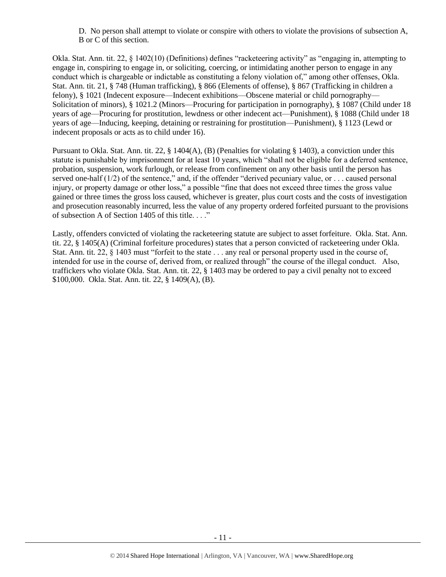D. No person shall attempt to violate or conspire with others to violate the provisions of subsection A, B or C of this section.

Okla. Stat. Ann. tit. 22, § 1402(10) (Definitions) defines "racketeering activity" as "engaging in, attempting to engage in, conspiring to engage in, or soliciting, coercing, or intimidating another person to engage in any conduct which is chargeable or indictable as constituting a felony violation of," among other offenses, Okla. Stat. Ann. tit. 21, § 748 (Human trafficking), § 866 (Elements of offense), § 867 (Trafficking in children a felony), § 1021 (Indecent exposure—Indecent exhibitions—Obscene material or child pornography— Solicitation of minors), § 1021.2 (Minors—Procuring for participation in pornography), § 1087 (Child under 18 years of age—Procuring for prostitution, lewdness or other indecent act—Punishment), § 1088 (Child under 18 years of age—Inducing, keeping, detaining or restraining for prostitution—Punishment), § 1123 (Lewd or indecent proposals or acts as to child under 16).

Pursuant to Okla. Stat. Ann. tit. 22, § 1404(A), (B) (Penalties for violating § 1403), a conviction under this statute is punishable by imprisonment for at least 10 years, which "shall not be eligible for a deferred sentence, probation, suspension, work furlough, or release from confinement on any other basis until the person has served one-half  $(1/2)$  of the sentence," and, if the offender "derived pecuniary value, or ... caused personal injury, or property damage or other loss," a possible "fine that does not exceed three times the gross value gained or three times the gross loss caused, whichever is greater, plus court costs and the costs of investigation and prosecution reasonably incurred, less the value of any property ordered forfeited pursuant to the provisions of subsection A of Section 1405 of this title. . . ."

Lastly, offenders convicted of violating the racketeering statute are subject to asset forfeiture. Okla. Stat. Ann. tit. 22, § 1405(A) (Criminal forfeiture procedures) states that a person convicted of racketeering under Okla. Stat. Ann. tit. 22, § 1403 must "forfeit to the state . . . any real or personal property used in the course of, intended for use in the course of, derived from, or realized through" the course of the illegal conduct. Also, traffickers who violate Okla. Stat. Ann. tit. 22, § 1403 may be ordered to pay a civil penalty not to exceed \$100,000. Okla. Stat. Ann. tit. 22, § 1409(A), (B).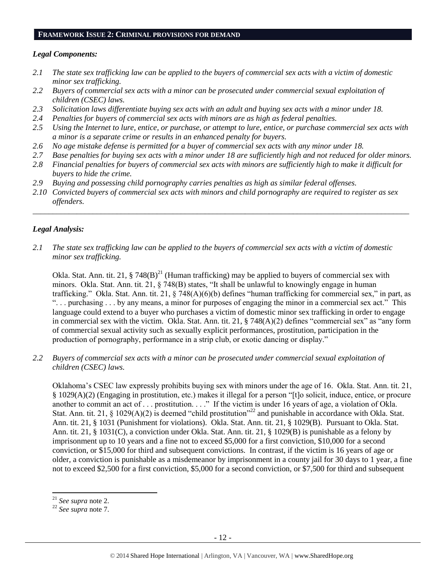#### **FRAMEWORK ISSUE 2: CRIMINAL PROVISIONS FOR DEMAND**

#### *Legal Components:*

- *2.1 The state sex trafficking law can be applied to the buyers of commercial sex acts with a victim of domestic minor sex trafficking.*
- *2.2 Buyers of commercial sex acts with a minor can be prosecuted under commercial sexual exploitation of children (CSEC) laws.*
- *2.3 Solicitation laws differentiate buying sex acts with an adult and buying sex acts with a minor under 18.*
- *2.4 Penalties for buyers of commercial sex acts with minors are as high as federal penalties.*
- *2.5 Using the Internet to lure, entice, or purchase, or attempt to lure, entice, or purchase commercial sex acts with a minor is a separate crime or results in an enhanced penalty for buyers.*
- *2.6 No age mistake defense is permitted for a buyer of commercial sex acts with any minor under 18.*
- *2.7 Base penalties for buying sex acts with a minor under 18 are sufficiently high and not reduced for older minors.*
- *2.8 Financial penalties for buyers of commercial sex acts with minors are sufficiently high to make it difficult for buyers to hide the crime.*
- *2.9 Buying and possessing child pornography carries penalties as high as similar federal offenses.*
- *2.10 Convicted buyers of commercial sex acts with minors and child pornography are required to register as sex offenders.*

\_\_\_\_\_\_\_\_\_\_\_\_\_\_\_\_\_\_\_\_\_\_\_\_\_\_\_\_\_\_\_\_\_\_\_\_\_\_\_\_\_\_\_\_\_\_\_\_\_\_\_\_\_\_\_\_\_\_\_\_\_\_\_\_\_\_\_\_\_\_\_\_\_\_\_\_\_\_\_\_\_\_\_\_\_\_\_\_\_\_\_\_\_\_

## *Legal Analysis:*

*2.1 The state sex trafficking law can be applied to the buyers of commercial sex acts with a victim of domestic minor sex trafficking.*

Okla. Stat. Ann. tit. 21, § 748(B)<sup>21</sup> (Human trafficking) may be applied to buyers of commercial sex with minors. Okla. Stat. Ann. tit. 21, § 748(B) states, "It shall be unlawful to knowingly engage in human trafficking." Okla. Stat. Ann. tit. 21, § 748(A)(6)(b) defines "human trafficking for commercial sex," in part, as ". . . purchasing . . . by any means, a minor for purposes of engaging the minor in a commercial sex act." This language could extend to a buyer who purchases a victim of domestic minor sex trafficking in order to engage in commercial sex with the victim. Okla. Stat. Ann. tit. 21, § 748(A)(2) defines "commercial sex" as "any form of commercial sexual activity such as sexually explicit performances, prostitution, participation in the production of pornography, performance in a strip club, or exotic dancing or display."

*2.2 Buyers of commercial sex acts with a minor can be prosecuted under commercial sexual exploitation of children (CSEC) laws.*

Oklahoma's CSEC law expressly prohibits buying sex with minors under the age of 16. Okla. Stat. Ann. tit. 21, § 1029(A)(2) (Engaging in prostitution, etc.) makes it illegal for a person "[t]o solicit, induce, entice, or procure another to commit an act of . . . prostitution. . . ." If the victim is under 16 years of age, a violation of Okla. Stat. Ann. tit. 21,  $\S$  1029(A)(2) is deemed "child prostitution"<sup>22</sup> and punishable in accordance with Okla. Stat. Ann. tit. 21, § 1031 (Punishment for violations). Okla. Stat. Ann. tit. 21, § 1029(B). Pursuant to Okla. Stat. Ann. tit. 21, § 1031(C), a conviction under Okla. Stat. Ann. tit. 21, § 1029(B) is punishable as a felony by imprisonment up to 10 years and a fine not to exceed \$5,000 for a first conviction, \$10,000 for a second conviction, or \$15,000 for third and subsequent convictions. In contrast, if the victim is 16 years of age or older, a conviction is punishable as a misdemeanor by imprisonment in a county jail for 30 days to 1 year, a fine not to exceed \$2,500 for a first conviction, \$5,000 for a second conviction, or \$7,500 for third and subsequent

<sup>21</sup> *See supra* note [2.](#page-0-0)

<sup>22</sup> *See supra* note [7.](#page-2-0)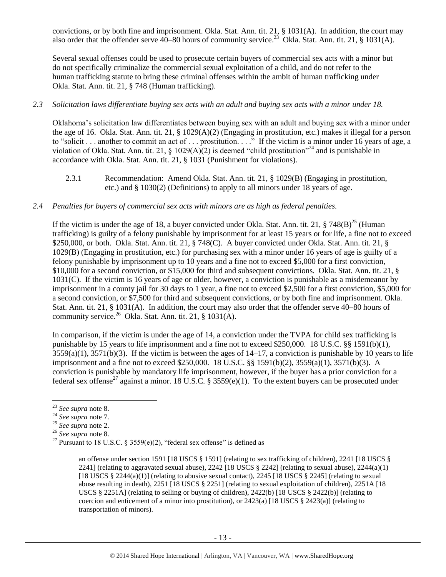convictions, or by both fine and imprisonment. Okla. Stat. Ann. tit. 21, § 1031(A). In addition, the court may also order that the offender serve  $40-80$  hours of community service.<sup>23</sup> Okla. Stat. Ann. tit. 21, § 1031(A).

Several sexual offenses could be used to prosecute certain buyers of commercial sex acts with a minor but do not specifically criminalize the commercial sexual exploitation of a child, and do not refer to the human trafficking statute to bring these criminal offenses within the ambit of human trafficking under Okla. Stat. Ann. tit. 21, § 748 (Human trafficking).

## *2.3 Solicitation laws differentiate buying sex acts with an adult and buying sex acts with a minor under 18.*

Oklahoma's solicitation law differentiates between buying sex with an adult and buying sex with a minor under the age of 16. Okla. Stat. Ann. tit. 21, § 1029(A)(2) (Engaging in prostitution, etc.) makes it illegal for a person to "solicit . . . another to commit an act of . . . prostitution. . . ." If the victim is a minor under 16 years of age, a violation of Okla. Stat. Ann. tit. 21, § 1029(A)(2) is deemed "child prostitution"<sup>24</sup> and is punishable in accordance with Okla. Stat. Ann. tit. 21, § 1031 (Punishment for violations).

2.3.1 Recommendation: Amend Okla. Stat. Ann. tit. 21, § 1029(B) (Engaging in prostitution, etc.) and § 1030(2) (Definitions) to apply to all minors under 18 years of age.

## *2.4 Penalties for buyers of commercial sex acts with minors are as high as federal penalties.*

If the victim is under the age of 18, a buyer convicted under Okla. Stat. Ann. tit. 21,  $\S 748(B)^{25}$  (Human trafficking) is guilty of a felony punishable by imprisonment for at least 15 years or for life, a fine not to exceed \$250,000, or both. Okla. Stat. Ann. tit. 21, § 748(C). A buyer convicted under Okla. Stat. Ann. tit. 21, § 1029(B) (Engaging in prostitution, etc.) for purchasing sex with a minor under 16 years of age is guilty of a felony punishable by imprisonment up to 10 years and a fine not to exceed \$5,000 for a first conviction, \$10,000 for a second conviction, or \$15,000 for third and subsequent convictions. Okla. Stat. Ann. tit. 21, § 1031(C). If the victim is 16 years of age or older, however, a conviction is punishable as a misdemeanor by imprisonment in a county jail for 30 days to 1 year, a fine not to exceed \$2,500 for a first conviction, \$5,000 for a second conviction, or \$7,500 for third and subsequent convictions, or by both fine and imprisonment. Okla. Stat. Ann. tit. 21, § 1031(A). In addition, the court may also order that the offender serve 40–80 hours of community service.<sup>26</sup> Okla. Stat. Ann. tit. 21, § 1031(A).

In comparison, if the victim is under the age of 14, a conviction under the TVPA for child sex trafficking is punishable by 15 years to life imprisonment and a fine not to exceed \$250,000. 18 U.S.C. §§ 1591(b)(1),  $3559(a)(1)$ ,  $3571(b)(3)$ . If the victim is between the ages of  $14-17$ , a conviction is punishable by 10 years to life imprisonment and a fine not to exceed \$250,000. 18 U.S.C. §§ 1591(b)(2), 3559(a)(1), 3571(b)(3). A conviction is punishable by mandatory life imprisonment, however, if the buyer has a prior conviction for a federal sex offense<sup>27</sup> against a minor. 18 U.S.C. § 3559(e)(1). To the extent buyers can be prosecuted under

<span id="page-12-0"></span> $\overline{a}$ 

<sup>23</sup> *See supra* note [8.](#page-2-1)

<sup>24</sup> *See supra* note [7.](#page-2-0)

<sup>25</sup> *See supra* note [2.](#page-0-0)

<sup>26</sup> *See supra* note [8.](#page-2-1)

<sup>&</sup>lt;sup>27</sup> Pursuant to 18 U.S.C. § 3559(e)(2), "federal sex offense" is defined as

an offense under section 1591 [18 USCS § 1591] (relating to sex trafficking of children), 2241 [18 USCS § 2241] (relating to aggravated sexual abuse), 2242 [18 USCS  $\S$  2242] (relating to sexual abuse), 2244(a)(1) [18 USCS  $\S$  2244(a)(1)] (relating to abusive sexual contact), 2245 [18 USCS  $\S$  2245] (relating to sexual abuse resulting in death), 2251 [18 USCS § 2251] (relating to sexual exploitation of children), 2251A [18 USCS § 2251A] (relating to selling or buying of children), 2422(b) [18 USCS § 2422(b)] (relating to coercion and enticement of a minor into prostitution), or 2423(a) [18 USCS § 2423(a)] (relating to transportation of minors).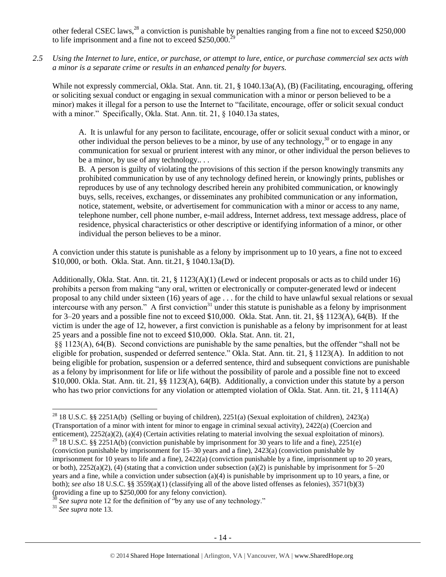other federal CSEC laws,  $^{28}$  a conviction is punishable by penalties ranging from a fine not to exceed \$250,000 to life imprisonment and a fine not to exceed  $$250,000$ .

*2.5 Using the Internet to lure, entice, or purchase, or attempt to lure, entice, or purchase commercial sex acts with a minor is a separate crime or results in an enhanced penalty for buyers.*

While not expressly commercial, Okla. Stat. Ann. tit. 21, § 1040.13a(A), (B) (Facilitating, encouraging, offering or soliciting sexual conduct or engaging in sexual communication with a minor or person believed to be a minor) makes it illegal for a person to use the Internet to "facilitate, encourage, offer or solicit sexual conduct with a minor." Specifically, Okla. Stat. Ann. tit. 21, 8 1040.13a states,

A. It is unlawful for any person to facilitate, encourage, offer or solicit sexual conduct with a minor, or other individual the person believes to be a minor, by use of any technology,  $30$  or to engage in any communication for sexual or prurient interest with any minor, or other individual the person believes to be a minor, by use of any technology....

B. A person is guilty of violating the provisions of this section if the person knowingly transmits any prohibited communication by use of any technology defined herein, or knowingly prints, publishes or reproduces by use of any technology described herein any prohibited communication, or knowingly buys, sells, receives, exchanges, or disseminates any prohibited communication or any information, notice, statement, website, or advertisement for communication with a minor or access to any name, telephone number, cell phone number, e-mail address, Internet address, text message address, place of residence, physical characteristics or other descriptive or identifying information of a minor, or other individual the person believes to be a minor.

A conviction under this statute is punishable as a felony by imprisonment up to 10 years, a fine not to exceed \$10,000, or both. Okla. Stat. Ann. tit.21, § 1040.13a(D).

Additionally, Okla. Stat. Ann. tit. 21, § 1123(A)(1) (Lewd or indecent proposals or acts as to child under 16) prohibits a person from making "any oral, written or electronically or computer-generated lewd or indecent proposal to any child under sixteen (16) years of age . . . for the child to have unlawful sexual relations or sexual intercourse with any person." A first conviction<sup>31</sup> under this statute is punishable as a felony by imprisonment for 3–20 years and a possible fine not to exceed \$10,000. Okla. Stat. Ann. tit. 21, §§ 1123(A), 64(B). If the victim is under the age of 12, however, a first conviction is punishable as a felony by imprisonment for at least 25 years and a possible fine not to exceed \$10,000. Okla. Stat. Ann. tit. 21,

§§ 1123(A), 64(B). Second convictions are punishable by the same penalties, but the offender "shall not be eligible for probation, suspended or deferred sentence." Okla. Stat. Ann. tit. 21, § 1123(A). In addition to not being eligible for probation, suspension or a deferred sentence, third and subsequent convictions are punishable as a felony by imprisonment for life or life without the possibility of parole and a possible fine not to exceed \$10,000. Okla. Stat. Ann. tit. 21, §§ 1123(A), 64(B). Additionally, a conviction under this statute by a person who has two prior convictions for any violation or attempted violation of Okla. Stat. Ann. tit. 21, § 1114(A)

See supra note [12](#page-5-0) for the definition of "by any use of any technology."

<sup>31</sup> *See supra* note [13.](#page-6-0) 

<sup>28</sup> 18 U.S.C. §§ 2251A(b) (Selling or buying of children), 2251(a) (Sexual exploitation of children), 2423(a) (Transportation of a minor with intent for minor to engage in criminal sexual activity), 2422(a) (Coercion and enticement), 2252(a)(2), (a)(4) (Certain activities relating to material involving the sexual exploitation of minors). <sup>29</sup> 18 U.S.C. §§ 2251A(b) (conviction punishable by imprisonment for 30 years to life and a fine), 2251(e) (conviction punishable by imprisonment for 15–30 years and a fine), 2423(a) (conviction punishable by imprisonment for 10 years to life and a fine), 2422(a) (conviction punishable by a fine, imprisonment up to 20 years, or both),  $2252(a)(2)$ , (4) (stating that a conviction under subsection (a)(2) is punishable by imprisonment for  $5-20$ years and a fine, while a conviction under subsection (a)(4) is punishable by imprisonment up to 10 years, a fine, or both); *see also* 18 U.S.C. §§ 3559(a)(1) (classifying all of the above listed offenses as felonies), 3571(b)(3) (providing a fine up to \$250,000 for any felony conviction).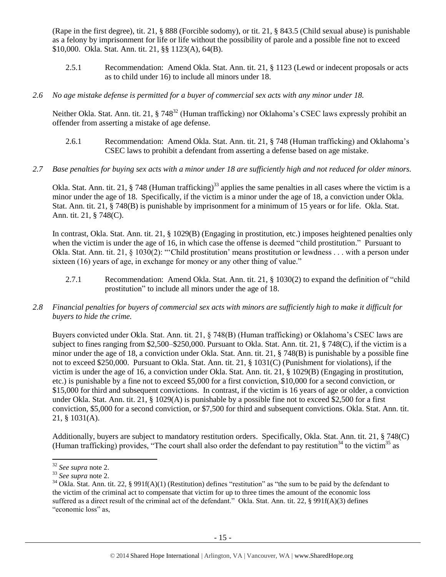(Rape in the first degree), tit. 21, § 888 (Forcible sodomy), or tit. 21, § 843.5 (Child sexual abuse) is punishable as a felony by imprisonment for life or life without the possibility of parole and a possible fine not to exceed \$10,000. Okla. Stat. Ann. tit. 21, §§ 1123(A), 64(B).

- 2.5.1 Recommendation: Amend Okla. Stat. Ann. tit. 21, § 1123 (Lewd or indecent proposals or acts as to child under 16) to include all minors under 18.
- *2.6 No age mistake defense is permitted for a buyer of commercial sex acts with any minor under 18.*

Neither Okla. Stat. Ann. tit. 21, § 748<sup>32</sup> (Human trafficking) nor Oklahoma's CSEC laws expressly prohibit an offender from asserting a mistake of age defense.

- 2.6.1 Recommendation: Amend Okla. Stat. Ann. tit. 21, § 748 (Human trafficking) and Oklahoma's CSEC laws to prohibit a defendant from asserting a defense based on age mistake.
- *2.7 Base penalties for buying sex acts with a minor under 18 are sufficiently high and not reduced for older minors.*

Okla. Stat. Ann. tit. 21,  $\S$  748 (Human trafficking)<sup>33</sup> applies the same penalties in all cases where the victim is a minor under the age of 18. Specifically, if the victim is a minor under the age of 18, a conviction under Okla. Stat. Ann. tit. 21, § 748(B) is punishable by imprisonment for a minimum of 15 years or for life. Okla. Stat. Ann. tit. 21, § 748(C).

In contrast, Okla. Stat. Ann. tit. 21, § 1029(B) (Engaging in prostitution, etc.) imposes heightened penalties only when the victim is under the age of 16, in which case the offense is deemed "child prostitution." Pursuant to Okla. Stat. Ann. tit. 21, § 1030(2): "'Child prostitution' means prostitution or lewdness . . . with a person under sixteen (16) years of age, in exchange for money or any other thing of value."

- 2.7.1 Recommendation: Amend Okla. Stat. Ann. tit. 21, § 1030(2) to expand the definition of "child prostitution" to include all minors under the age of 18.
- *2.8 Financial penalties for buyers of commercial sex acts with minors are sufficiently high to make it difficult for buyers to hide the crime.*

Buyers convicted under Okla. Stat. Ann. tit. 21, § 748(B) (Human trafficking) or Oklahoma's CSEC laws are subject to fines ranging from \$2,500–\$250,000. Pursuant to Okla. Stat. Ann. tit. 21, § 748(C), if the victim is a minor under the age of 18, a conviction under Okla. Stat. Ann. tit. 21, § 748(B) is punishable by a possible fine not to exceed \$250,000. Pursuant to Okla. Stat. Ann. tit. 21, § 1031(C) (Punishment for violations), if the victim is under the age of 16, a conviction under Okla. Stat. Ann. tit. 21, § 1029(B) (Engaging in prostitution, etc.) is punishable by a fine not to exceed \$5,000 for a first conviction, \$10,000 for a second conviction, or \$15,000 for third and subsequent convictions. In contrast, if the victim is 16 years of age or older, a conviction under Okla. Stat. Ann. tit. 21, § 1029(A) is punishable by a possible fine not to exceed \$2,500 for a first conviction, \$5,000 for a second conviction, or \$7,500 for third and subsequent convictions. Okla. Stat. Ann. tit. 21, § 1031(A).

Additionally, buyers are subject to mandatory restitution orders. Specifically, Okla. Stat. Ann. tit. 21, § 748(C) (Human trafficking) provides, "The court shall also order the defendant to pay restitution<sup>34</sup> to the victim<sup>35</sup> as

<span id="page-14-1"></span><span id="page-14-0"></span> $\overline{\phantom{a}}$ <sup>32</sup> *See supra* note [2.](#page-0-0)

<sup>33</sup> *See supra* note [2.](#page-0-0)

 $34$  Okla. Stat. Ann. tit. 22, § 991f(A)(1) (Restitution) defines "restitution" as "the sum to be paid by the defendant to the victim of the criminal act to compensate that victim for up to three times the amount of the economic loss suffered as a direct result of the criminal act of the defendant." Okla. Stat. Ann. tit. 22, § 991f(A)(3) defines "economic loss" as,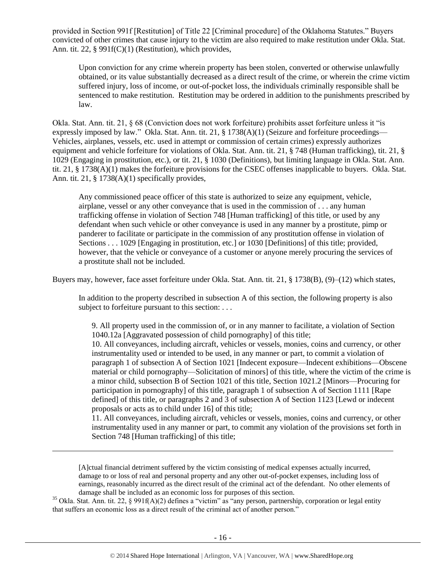provided in Section 991f [Restitution] of Title 22 [Criminal procedure] of the Oklahoma Statutes." Buyers convicted of other crimes that cause injury to the victim are also required to make restitution under Okla. Stat. Ann. tit. 22, § 991f(C)(1) (Restitution), which provides,

Upon conviction for any crime wherein property has been stolen, converted or otherwise unlawfully obtained, or its value substantially decreased as a direct result of the crime, or wherein the crime victim suffered injury, loss of income, or out-of-pocket loss, the individuals criminally responsible shall be sentenced to make restitution. Restitution may be ordered in addition to the punishments prescribed by law.

Okla. Stat. Ann. tit. 21, § 68 (Conviction does not work forfeiture) prohibits asset forfeiture unless it "is expressly imposed by law." Okla. Stat. Ann. tit. 21, § 1738(A)(1) (Seizure and forfeiture proceedings— Vehicles, airplanes, vessels, etc. used in attempt or commission of certain crimes) expressly authorizes equipment and vehicle forfeiture for violations of Okla. Stat. Ann. tit. 21, § 748 (Human trafficking), tit. 21, § 1029 (Engaging in prostitution, etc.), or tit. 21, § 1030 (Definitions), but limiting language in Okla. Stat. Ann. tit. 21, § 1738(A)(1) makes the forfeiture provisions for the CSEC offenses inapplicable to buyers. Okla. Stat. Ann. tit. 21, § 1738(A)(1) specifically provides,

Any commissioned peace officer of this state is authorized to seize any equipment, vehicle, airplane, vessel or any other conveyance that is used in the commission of . . . any human trafficking offense in violation of Section 748 [Human trafficking] of this title, or used by any defendant when such vehicle or other conveyance is used in any manner by a prostitute, pimp or panderer to facilitate or participate in the commission of any prostitution offense in violation of Sections . . . 1029 [Engaging in prostitution, etc.] or 1030 [Definitions] of this title; provided, however, that the vehicle or conveyance of a customer or anyone merely procuring the services of a prostitute shall not be included.

Buyers may, however, face asset forfeiture under Okla. Stat. Ann. tit. 21, § 1738(B), (9)–(12) which states,

In addition to the property described in subsection A of this section, the following property is also subject to forfeiture pursuant to this section: . . .

9. All property used in the commission of, or in any manner to facilitate, a violation of Section 1040.12a [Aggravated possession of child pornography] of this title;

10. All conveyances, including aircraft, vehicles or vessels, monies, coins and currency, or other instrumentality used or intended to be used, in any manner or part, to commit a violation of paragraph 1 of subsection A of Section 1021 [Indecent exposure—Indecent exhibitions—Obscene material or child pornography—Solicitation of minors] of this title, where the victim of the crime is a minor child, subsection B of Section 1021 of this title, Section 1021.2 [Minors—Procuring for participation in pornography] of this title, paragraph 1 of subsection A of Section 1111 [Rape defined] of this title, or paragraphs 2 and 3 of subsection A of Section 1123 [Lewd or indecent proposals or acts as to child under 16] of this title;

11. All conveyances, including aircraft, vehicles or vessels, monies, coins and currency, or other instrumentality used in any manner or part, to commit any violation of the provisions set forth in Section 748 [Human trafficking] of this title;

[A]ctual financial detriment suffered by the victim consisting of medical expenses actually incurred, damage to or loss of real and personal property and any other out-of-pocket expenses, including loss of earnings, reasonably incurred as the direct result of the criminal act of the defendant. No other elements of damage shall be included as an economic loss for purposes of this section.

<sup>35</sup> Okla. Stat. Ann. tit. 22, § 991f(A)(2) defines a "victim" as "any person, partnership, corporation or legal entity that suffers an economic loss as a direct result of the criminal act of another person."

l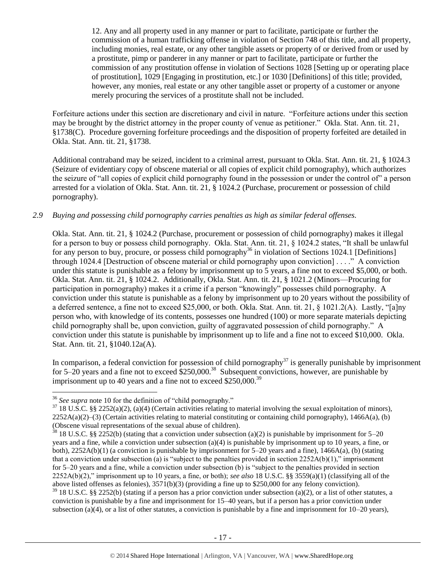12. Any and all property used in any manner or part to facilitate, participate or further the commission of a human trafficking offense in violation of Section 748 of this title, and all property, including monies, real estate, or any other tangible assets or property of or derived from or used by a prostitute, pimp or panderer in any manner or part to facilitate, participate or further the commission of any prostitution offense in violation of Sections 1028 [Setting up or operating place of prostitution], 1029 [Engaging in prostitution, etc.] or 1030 [Definitions] of this title; provided, however, any monies, real estate or any other tangible asset or property of a customer or anyone merely procuring the services of a prostitute shall not be included.

Forfeiture actions under this section are discretionary and civil in nature. "Forfeiture actions under this section may be brought by the district attorney in the proper county of venue as petitioner." Okla. Stat. Ann. tit. 21, §1738(C). Procedure governing forfeiture proceedings and the disposition of property forfeited are detailed in Okla. Stat. Ann. tit. 21, §1738.

Additional contraband may be seized, incident to a criminal arrest, pursuant to Okla. Stat. Ann. tit. 21, § 1024.3 (Seizure of evidentiary copy of obscene material or all copies of explicit child pornography), which authorizes the seizure of "all copies of explicit child pornography found in the possession or under the control of" a person arrested for a violation of Okla. Stat. Ann. tit. 21, § 1024.2 (Purchase, procurement or possession of child pornography).

#### *2.9 Buying and possessing child pornography carries penalties as high as similar federal offenses.*

Okla. Stat. Ann. tit. 21, § 1024.2 (Purchase, procurement or possession of child pornography) makes it illegal for a person to buy or possess child pornography. Okla. Stat. Ann. tit. 21, § 1024.2 states, "It shall be unlawful for any person to buy, procure, or possess child pornography<sup>36</sup> in violation of Sections 1024.1 [Definitions] through 1024.4 [Destruction of obscene material or child pornography upon conviction] . . . ." A conviction under this statute is punishable as a felony by imprisonment up to 5 years, a fine not to exceed \$5,000, or both. Okla. Stat. Ann. tit. 21, § 1024.2. Additionally, Okla. Stat. Ann. tit. 21, § 1021.2 (Minors—Procuring for participation in pornography) makes it a crime if a person "knowingly" possesses child pornography. A conviction under this statute is punishable as a felony by imprisonment up to 20 years without the possibility of a deferred sentence, a fine not to exceed \$25,000, or both. Okla. Stat. Ann. tit. 21, § 1021.2(A). Lastly, "[a]ny person who, with knowledge of its contents, possesses one hundred (100) or more separate materials depicting child pornography shall be, upon conviction, guilty of aggravated possession of child pornography." A conviction under this statute is punishable by imprisonment up to life and a fine not to exceed \$10,000. Okla. Stat. Ann. tit. 21, §1040.12a(A).

In comparison, a federal conviction for possession of child pornography<sup>37</sup> is generally punishable by imprisonment for 5–20 years and a fine not to exceed  $$250,000$ .<sup>38</sup> Subsequent convictions, however, are punishable by imprisonment up to 40 years and a fine not to exceed  $$250,000.<sup>39</sup>$ 

<sup>36</sup> *See supra* note [10](#page-3-0) for the definition of "child pornography."

 $37$  18 U.S.C. §§ 2252(a)(2), (a)(4) (Certain activities relating to material involving the sexual exploitation of minors),  $2252A(a)(2)$ –(3) (Certain activities relating to material constituting or containing child pornography), 1466A(a), (b) (Obscene visual representations of the sexual abuse of children).

 $38$  18 U.S.C. §§ 2252(b) (stating that a conviction under subsection (a)(2) is punishable by imprisonment for 5–20 years and a fine, while a conviction under subsection (a)(4) is punishable by imprisonment up to 10 years, a fine, or both), 2252A(b)(1) (a conviction is punishable by imprisonment for 5–20 years and a fine), 1466A(a), (b) (stating that a conviction under subsection (a) is "subject to the penalties provided in section  $2252A(b)(1)$ ," imprisonment for 5–20 years and a fine, while a conviction under subsection (b) is "subject to the penalties provided in section 2252A(b)(2)," imprisonment up to 10 years, a fine, or both); *see also* 18 U.S.C. §§ 3559(a)(1) (classifying all of the above listed offenses as felonies), 3571(b)(3) (providing a fine up to \$250,000 for any felony conviction).

 $39$  18 U.S.C. §§ 2252(b) (stating if a person has a prior conviction under subsection (a)(2), or a list of other statutes, a conviction is punishable by a fine and imprisonment for 15–40 years, but if a person has a prior conviction under subsection (a)(4), or a list of other statutes, a conviction is punishable by a fine and imprisonment for  $10-20$  years),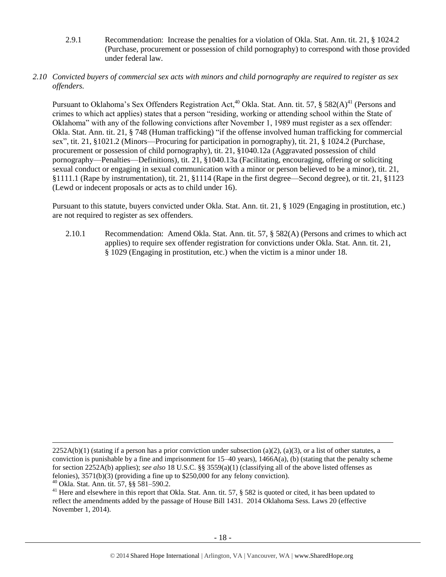<span id="page-17-0"></span>2.9.1 Recommendation: Increase the penalties for a violation of Okla. Stat. Ann. tit. 21, § 1024.2 (Purchase, procurement or possession of child pornography) to correspond with those provided under federal law.

#### *2.10 Convicted buyers of commercial sex acts with minors and child pornography are required to register as sex offenders.*

Pursuant to Oklahoma's Sex Offenders Registration Act,<sup>40</sup> Okla. Stat. Ann. tit. 57, § 582(A)<sup>41</sup> (Persons and crimes to which act applies) states that a person "residing, working or attending school within the State of Oklahoma" with any of the following convictions after November 1, 1989 must register as a sex offender: Okla. Stat. Ann. tit. 21, § 748 (Human trafficking) "if the offense involved human trafficking for commercial sex", tit. 21, §1021.2 (Minors—Procuring for participation in pornography), tit. 21, § 1024.2 (Purchase, procurement or possession of child pornography), tit. 21, §1040.12a (Aggravated possession of child pornography—Penalties—Definitions), tit. 21, §1040.13a (Facilitating, encouraging, offering or soliciting sexual conduct or engaging in sexual communication with a minor or person believed to be a minor), tit. 21, §1111.1 (Rape by instrumentation), tit. 21, §1114 (Rape in the first degree—Second degree), or tit. 21, §1123 (Lewd or indecent proposals or acts as to child under 16).

Pursuant to this statute, buyers convicted under Okla. Stat. Ann. tit. 21, § 1029 (Engaging in prostitution, etc.) are not required to register as sex offenders.

2.10.1 Recommendation: Amend Okla. Stat. Ann. tit. 57, § 582(A) (Persons and crimes to which act applies) to require sex offender registration for convictions under Okla. Stat. Ann. tit. 21, § 1029 (Engaging in prostitution, etc.) when the victim is a minor under 18.

 $2252A(b)(1)$  (stating if a person has a prior conviction under subsection (a)(2), (a)(3), or a list of other statutes, a conviction is punishable by a fine and imprisonment for  $15-40$  years),  $1466A(a)$ , (b) (stating that the penalty scheme for section 2252A(b) applies); *see also* 18 U.S.C. §§ 3559(a)(1) (classifying all of the above listed offenses as felonies), 3571(b)(3) (providing a fine up to \$250,000 for any felony conviction).

<sup>40</sup> Okla. Stat. Ann. tit. 57, §§ 581–590.2.

<sup>&</sup>lt;sup>41</sup> Here and elsewhere in this report that Okla. Stat. Ann. tit. 57, § 582 is quoted or cited, it has been updated to reflect the amendments added by the passage of House Bill 1431. 2014 Oklahoma Sess. Laws 20 (effective November 1, 2014).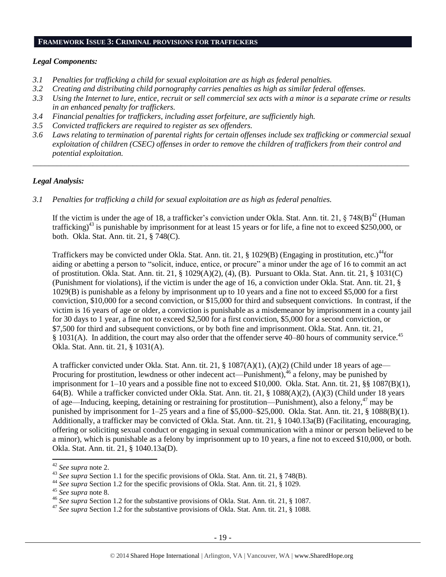#### **FRAMEWORK ISSUE 3: CRIMINAL PROVISIONS FOR TRAFFICKERS**

#### *Legal Components:*

- *3.1 Penalties for trafficking a child for sexual exploitation are as high as federal penalties.*
- *3.2 Creating and distributing child pornography carries penalties as high as similar federal offenses.*
- *3.3 Using the Internet to lure, entice, recruit or sell commercial sex acts with a minor is a separate crime or results in an enhanced penalty for traffickers.*
- *3.4 Financial penalties for traffickers, including asset forfeiture, are sufficiently high.*
- *3.5 Convicted traffickers are required to register as sex offenders.*
- *3.6 Laws relating to termination of parental rights for certain offenses include sex trafficking or commercial sexual exploitation of children (CSEC) offenses in order to remove the children of traffickers from their control and potential exploitation.*

*\_\_\_\_\_\_\_\_\_\_\_\_\_\_\_\_\_\_\_\_\_\_\_\_\_\_\_\_\_\_\_\_\_\_\_\_\_\_\_\_\_\_\_\_\_\_\_\_\_\_\_\_\_\_\_\_\_\_\_\_\_\_\_\_\_\_\_\_\_\_\_\_\_\_\_\_\_\_\_\_\_\_\_\_\_\_\_\_\_\_\_\_\_\_*

#### *Legal Analysis:*

*3.1 Penalties for trafficking a child for sexual exploitation are as high as federal penalties.* 

If the victim is under the age of 18, a trafficker's conviction under Okla. Stat. Ann. tit. 21,  $\S 748(B)^{42}$  (Human trafficking)<sup>43</sup> is punishable by imprisonment for at least 15 years or for life, a fine not to exceed \$250,000, or both. Okla. Stat. Ann. tit. 21, § 748(C).

Traffickers may be convicted under Okla. Stat. Ann. tit. 21,  $\S$  1029(B) (Engaging in prostitution, etc.)<sup>44</sup>for aiding or abetting a person to "solicit, induce, entice, or procure" a minor under the age of 16 to commit an act of prostitution. Okla. Stat. Ann. tit. 21, § 1029(A)(2), (4), (B). Pursuant to Okla. Stat. Ann. tit. 21, § 1031(C) (Punishment for violations), if the victim is under the age of 16, a conviction under Okla. Stat. Ann. tit. 21, § 1029(B) is punishable as a felony by imprisonment up to 10 years and a fine not to exceed \$5,000 for a first conviction, \$10,000 for a second conviction, or \$15,000 for third and subsequent convictions. In contrast, if the victim is 16 years of age or older, a conviction is punishable as a misdemeanor by imprisonment in a county jail for 30 days to 1 year, a fine not to exceed \$2,500 for a first conviction, \$5,000 for a second conviction, or \$7,500 for third and subsequent convictions, or by both fine and imprisonment. Okla. Stat. Ann. tit. 21, § 1031(A). In addition, the court may also order that the offender serve 40–80 hours of community service.<sup>45</sup> Okla. Stat. Ann. tit. 21, § 1031(A).

A trafficker convicted under Okla. Stat. Ann. tit. 21, § 1087(A)(1), (A)(2) (Child under 18 years of age— Procuring for prostitution, lewdness or other indecent act—Punishment),<sup>46</sup> a felony, may be punished by imprisonment for 1–10 years and a possible fine not to exceed \$10,000. Okla. Stat. Ann. tit. 21, §§ 1087(B)(1), 64(B). While a trafficker convicted under Okla. Stat. Ann. tit. 21, § 1088(A)(2), (A)(3) (Child under 18 years of age—Inducing, keeping, detaining or restraining for prostitution—Punishment), also a felony,<sup>47</sup> may be punished by imprisonment for 1–25 years and a fine of \$5,000–\$25,000. Okla. Stat. Ann. tit. 21, § 1088(B)(1). Additionally, a trafficker may be convicted of Okla. Stat. Ann. tit. 21, § 1040.13a(B) (Facilitating, encouraging, offering or soliciting sexual conduct or engaging in sexual communication with a minor or person believed to be a minor), which is punishable as a felony by imprisonment up to 10 years, a fine not to exceed \$10,000, or both. Okla. Stat. Ann. tit. 21, § 1040.13a(D).

<sup>42</sup> *See supra* note [2.](#page-0-0)

<sup>&</sup>lt;sup>43</sup> See supra Section 1.1 for the specific provisions of Okla. Stat. Ann. tit. 21, § 748(B).

<sup>44</sup> *See supra* Section 1.2 for the specific provisions of Okla. Stat. Ann. tit. 21, § 1029.

<sup>45</sup> *See supra* note [8.](#page-2-1)

<sup>46</sup> *See supra* Section 1.2 for the substantive provisions of Okla. Stat. Ann. tit. 21, § 1087.

<sup>47</sup> *See supra* Section 1.2 for the substantive provisions of Okla. Stat. Ann. tit. 21, § 1088.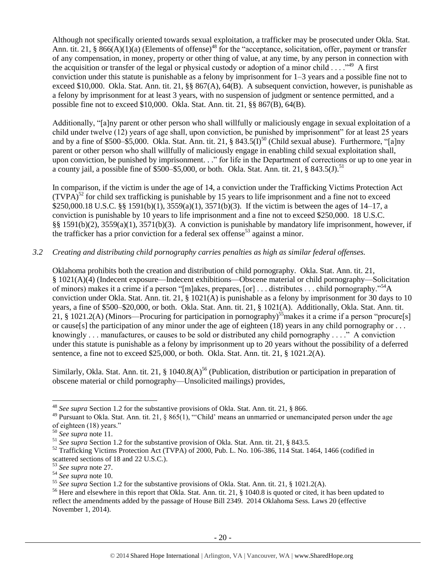Although not specifically oriented towards sexual exploitation, a trafficker may be prosecuted under Okla. Stat. Ann. tit. 21, §  $866(A)(1)(a)$  (Elements of offense)<sup>48</sup> for the "acceptance, solicitation, offer, payment or transfer of any compensation, in money, property or other thing of value, at any time, by any person in connection with the acquisition or transfer of the legal or physical custody or adoption of a minor child  $\dots$ ."<sup>49</sup> A first conviction under this statute is punishable as a felony by imprisonment for  $1-3$  years and a possible fine not to exceed \$10,000. Okla. Stat. Ann. tit. 21, §§ 867(A), 64(B). A subsequent conviction, however, is punishable as a felony by imprisonment for at least 3 years, with no suspension of judgment or sentence permitted, and a possible fine not to exceed \$10,000. Okla. Stat. Ann. tit. 21, §§ 867(B), 64(B).

Additionally, "[a]ny parent or other person who shall willfully or maliciously engage in sexual exploitation of a child under twelve (12) years of age shall, upon conviction, be punished by imprisonment" for at least 25 years and by a fine of \$500–\$5,000. Okla. Stat. Ann. tit. 21, §  $843.5(1)^{50}$  (Child sexual abuse). Furthermore, "[a]ny parent or other person who shall willfully of maliciously engage in enabling child sexual exploitation shall, upon conviction, be punished by imprisonment. . ." for life in the Department of corrections or up to one year in a county jail, a possible fine of  $$500–$5,000$ , or both. Okla. Stat. Ann. tit. 21, § 843.5(J).<sup>51</sup>

In comparison, if the victim is under the age of 14, a conviction under the Trafficking Victims Protection Act  $(TVPA)<sup>52</sup>$  for child sex trafficking is punishable by 15 years to life imprisonment and a fine not to exceed \$250,000.18 U.S.C. §§ 1591(b)(1), 3559(a)(1), 3571(b)(3). If the victim is between the ages of 14–17, a conviction is punishable by 10 years to life imprisonment and a fine not to exceed \$250,000. 18 U.S.C. §§ 1591(b)(2), 3559(a)(1), 3571(b)(3). A conviction is punishable by mandatory life imprisonment, however, if the trafficker has a prior conviction for a federal sex offense<sup>53</sup> against a minor.

## *3.2 Creating and distributing child pornography carries penalties as high as similar federal offenses.*

Oklahoma prohibits both the creation and distribution of child pornography. Okla. Stat. Ann. tit. 21, § 1021(A)(4) (Indecent exposure—Indecent exhibitions—Obscene material or child pornography—Solicitation of minors) makes it a crime if a person "[m]akes, prepares, [or] . . . distributes . . . child pornography."<sup>54</sup>A conviction under Okla. Stat. Ann. tit. 21, § 1021(A) is punishable as a felony by imprisonment for 30 days to 10 years, a fine of \$500–\$20,000, or both. Okla. Stat. Ann. tit. 21, § 1021(A). Additionally, Okla. Stat. Ann. tit. 21, § 1021.2(A) (Minors—Procuring for participation in pornography)<sup>55</sup> makes it a crime if a person "procure[s] or cause[s] the participation of any minor under the age of eighteen (18) years in any child pornography or  $\dots$ knowingly . . . manufactures, or causes to be sold or distributed any child pornography . . . ." A conviction under this statute is punishable as a felony by imprisonment up to 20 years without the possibility of a deferred sentence, a fine not to exceed \$25,000, or both. Okla. Stat. Ann. tit. 21, § 1021.2(A).

<span id="page-19-0"></span>Similarly, Okla. Stat. Ann. tit. 21, § 1040.8(A)<sup>56</sup> (Publication, distribution or participation in preparation of obscene material or child pornography—Unsolicited mailings) provides,

 $\overline{a}$ 

<sup>48</sup> *See supra* Section 1.2 for the substantive provisions of Okla. Stat. Ann. tit. 21, § 866.

<sup>&</sup>lt;sup>49</sup> Pursuant to Okla. Stat. Ann. tit. 21, § 865(1), "'Child' means an unmarried or unemancipated person under the age of eighteen (18) years."

<sup>50</sup> *See supra* note [11.](#page-4-0) 

<sup>51</sup> *See supra* Section 1.2 for the substantive provision of Okla. Stat. Ann. tit. 21, § 843.5.

<sup>&</sup>lt;sup>52</sup> Trafficking Victims Protection Act (TVPA) of 2000, Pub. L. No. 106-386, 114 Stat. 1464, 1466 (codified in scattered sections of 18 and 22 U.S.C.).

<sup>53</sup> *See supra* note [27.](#page-12-0)

<sup>54</sup> *See supra* note [10.](#page-3-0) 

<sup>55</sup> *See supra* Section 1.2 for the substantive provisions of Okla. Stat. Ann. tit. 21, § 1021.2(A).

<sup>&</sup>lt;sup>56</sup> Here and elsewhere in this report that Okla. Stat. Ann. tit. 21, § 1040.8 is quoted or cited, it has been updated to reflect the amendments added by the passage of House Bill 2349. 2014 Oklahoma Sess. Laws 20 (effective November 1, 2014).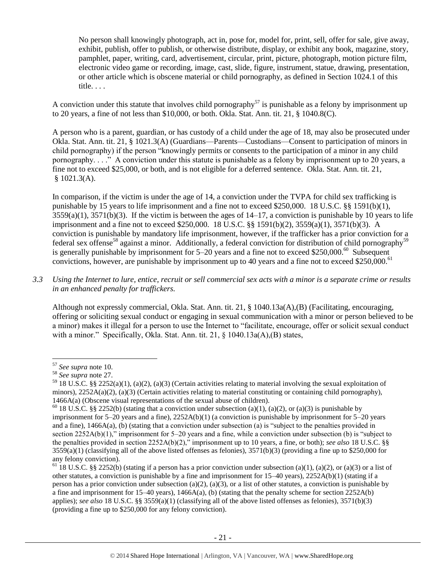No person shall knowingly photograph, act in, pose for, model for, print, sell, offer for sale, give away, exhibit, publish, offer to publish, or otherwise distribute, display, or exhibit any book, magazine, story, pamphlet, paper, writing, card, advertisement, circular, print, picture, photograph, motion picture film, electronic video game or recording, image, cast, slide, figure, instrument, statue, drawing, presentation, or other article which is obscene material or child pornography, as defined in Section 1024.1 of this title. . . .

A conviction under this statute that involves child pornography<sup>57</sup> is punishable as a felony by imprisonment up to 20 years, a fine of not less than \$10,000, or both. Okla. Stat. Ann. tit. 21, § 1040.8(C).

A person who is a parent, guardian, or has custody of a child under the age of 18, may also be prosecuted under Okla. Stat. Ann. tit. 21, § 1021.3(A) (Guardians—Parents—Custodians—Consent to participation of minors in child pornography) if the person "knowingly permits or consents to the participation of a minor in any child pornography. . . ." A conviction under this statute is punishable as a felony by imprisonment up to 20 years, a fine not to exceed \$25,000, or both, and is not eligible for a deferred sentence. Okla. Stat. Ann. tit. 21, § 1021.3(A).

In comparison, if the victim is under the age of 14, a conviction under the TVPA for child sex trafficking is punishable by 15 years to life imprisonment and a fine not to exceed \$250,000. 18 U.S.C. §§ 1591(b)(1),  $3559(a)(1)$ ,  $3571(b)(3)$ . If the victim is between the ages of  $14-17$ , a conviction is punishable by 10 years to life imprisonment and a fine not to exceed \$250,000. 18 U.S.C. §§ 1591(b)(2), 3559(a)(1), 3571(b)(3). A conviction is punishable by mandatory life imprisonment, however, if the trafficker has a prior conviction for a federal sex offense<sup>58</sup> against a minor. Additionally, a federal conviction for distribution of child pornography<sup>59</sup> is generally punishable by imprisonment for  $5-20$  years and a fine not to exceed \$250,000.<sup>60</sup> Subsequent convictions, however, are punishable by imprisonment up to 40 years and a fine not to exceed \$250,000.<sup>61</sup>

*3.3 Using the Internet to lure, entice, recruit or sell commercial sex acts with a minor is a separate crime or results in an enhanced penalty for traffickers.*

Although not expressly commercial, Okla. Stat. Ann. tit. 21, § 1040.13a(A),(B) (Facilitating, encouraging, offering or soliciting sexual conduct or engaging in sexual communication with a minor or person believed to be a minor) makes it illegal for a person to use the Internet to "facilitate, encourage, offer or solicit sexual conduct with a minor." Specifically, Okla. Stat. Ann. tit. 21, § 1040.13a(A),(B) states,

<sup>57</sup> *See supra* note [10.](#page-3-0)

<sup>58</sup> *See supra* note [27.](#page-12-0)

 $59$  18 U.S.C. §§ 2252(a)(1), (a)(2), (a)(3) (Certain activities relating to material involving the sexual exploitation of minors),  $2252A(a)(2)$ ,  $(a)(3)$  (Certain activities relating to material constituting or containing child pornography), 1466A(a) (Obscene visual representations of the sexual abuse of children).

<sup>&</sup>lt;sup>60</sup> 18 U.S.C. §§ 2252(b) (stating that a conviction under subsection (a)(1), (a)(2), or (a)(3) is punishable by imprisonment for  $5-20$  years and a fine),  $2252A(b)(1)$  (a conviction is punishable by imprisonment for  $5-20$  years and a fine), 1466A(a), (b) (stating that a conviction under subsection (a) is "subject to the penalties provided in section 2252A(b)(1)," imprisonment for 5–20 years and a fine, while a conviction under subsection (b) is "subject to the penalties provided in section 2252A(b)(2)," imprisonment up to 10 years, a fine, or both); *see also* 18 U.S.C. §§  $3559(a)(1)$  (classifying all of the above listed offenses as felonies),  $3571(b)(3)$  (providing a fine up to \$250,000 for any felony conviction).

<sup>&</sup>lt;sup>61</sup> 18 U.S.C. §§ 2252(b) (stating if a person has a prior conviction under subsection (a)(1), (a)(2), or (a)(3) or a list of other statutes, a conviction is punishable by a fine and imprisonment for 15–40 years), 2252A(b)(1) (stating if a person has a prior conviction under subsection (a)(2), (a)(3), or a list of other statutes, a conviction is punishable by a fine and imprisonment for 15–40 years), 1466A(a), (b) (stating that the penalty scheme for section 2252A(b) applies); *see also* 18 U.S.C. §§ 3559(a)(1) (classifying all of the above listed offenses as felonies), 3571(b)(3) (providing a fine up to \$250,000 for any felony conviction).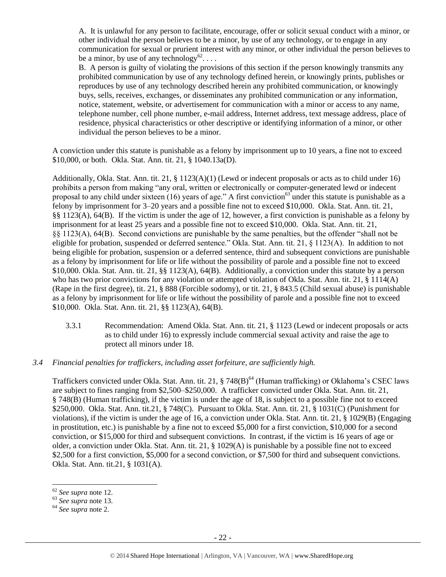A. It is unlawful for any person to facilitate, encourage, offer or solicit sexual conduct with a minor, or other individual the person believes to be a minor, by use of any technology, or to engage in any communication for sexual or prurient interest with any minor, or other individual the person believes to be a minor, by use of any technology<sup>62</sup>...

B. A person is guilty of violating the provisions of this section if the person knowingly transmits any prohibited communication by use of any technology defined herein, or knowingly prints, publishes or reproduces by use of any technology described herein any prohibited communication, or knowingly buys, sells, receives, exchanges, or disseminates any prohibited communication or any information, notice, statement, website, or advertisement for communication with a minor or access to any name, telephone number, cell phone number, e-mail address, Internet address, text message address, place of residence, physical characteristics or other descriptive or identifying information of a minor, or other individual the person believes to be a minor.

A conviction under this statute is punishable as a felony by imprisonment up to 10 years, a fine not to exceed \$10,000, or both. Okla. Stat. Ann. tit. 21, § 1040.13a(D).

Additionally, Okla. Stat. Ann. tit. 21, § 1123(A)(1) (Lewd or indecent proposals or acts as to child under 16) prohibits a person from making "any oral, written or electronically or computer-generated lewd or indecent proposal to any child under sixteen (16) years of age." A first conviction<sup>63</sup> under this statute is punishable as a felony by imprisonment for 3–20 years and a possible fine not to exceed \$10,000. Okla. Stat. Ann. tit. 21, §§ 1123(A), 64(B). If the victim is under the age of 12, however, a first conviction is punishable as a felony by imprisonment for at least 25 years and a possible fine not to exceed \$10,000. Okla. Stat. Ann. tit. 21, §§ 1123(A), 64(B). Second convictions are punishable by the same penalties, but the offender "shall not be eligible for probation, suspended or deferred sentence." Okla. Stat. Ann. tit. 21, § 1123(A). In addition to not being eligible for probation, suspension or a deferred sentence, third and subsequent convictions are punishable as a felony by imprisonment for life or life without the possibility of parole and a possible fine not to exceed \$10,000. Okla. Stat. Ann. tit. 21, §§ 1123(A), 64(B). Additionally, a conviction under this statute by a person who has two prior convictions for any violation or attempted violation of Okla. Stat. Ann. tit. 21, § 1114(A) (Rape in the first degree), tit. 21, § 888 (Forcible sodomy), or tit. 21, § 843.5 (Child sexual abuse) is punishable as a felony by imprisonment for life or life without the possibility of parole and a possible fine not to exceed \$10,000. Okla. Stat. Ann. tit. 21, §§ 1123(A), 64(B).

- 3.3.1 Recommendation: Amend Okla. Stat. Ann. tit. 21, § 1123 (Lewd or indecent proposals or acts as to child under 16) to expressly include commercial sexual activity and raise the age to protect all minors under 18.
- *3.4 Financial penalties for traffickers, including asset forfeiture, are sufficiently high.*

Traffickers convicted under Okla. Stat. Ann. tit. 21, § 748(B)<sup>64</sup> (Human trafficking) or Oklahoma's CSEC laws are subject to fines ranging from \$2,500–\$250,000. A trafficker convicted under Okla. Stat. Ann. tit. 21, § 748(B) (Human trafficking), if the victim is under the age of 18, is subject to a possible fine not to exceed \$250,000. Okla. Stat. Ann. tit.21, § 748(C). Pursuant to Okla. Stat. Ann. tit. 21, § 1031(C) (Punishment for violations), if the victim is under the age of 16, a conviction under Okla. Stat. Ann. tit. 21, § 1029(B) (Engaging in prostitution, etc.) is punishable by a fine not to exceed \$5,000 for a first conviction, \$10,000 for a second conviction, or \$15,000 for third and subsequent convictions. In contrast, if the victim is 16 years of age or older, a conviction under Okla. Stat. Ann. tit. 21, § 1029(A) is punishable by a possible fine not to exceed \$2,500 for a first conviction, \$5,000 for a second conviction, or \$7,500 for third and subsequent convictions. Okla. Stat. Ann. tit.21, § 1031(A).

 $\overline{\phantom{a}}$ <sup>62</sup> *See supra* note [12.](#page-5-0) 

<sup>63</sup> *See supra* note [13.](#page-6-0) 

<sup>64</sup> *See supra* note [2.](#page-0-0)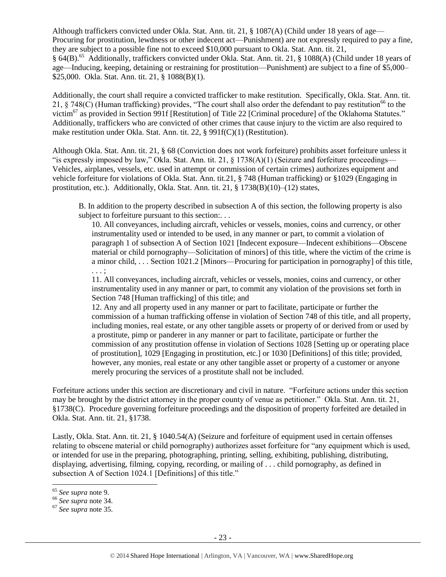Although traffickers convicted under Okla. Stat. Ann. tit. 21, § 1087(A) (Child under 18 years of age— Procuring for prostitution, lewdness or other indecent act—Punishment) are not expressly required to pay a fine, they are subject to a possible fine not to exceed \$10,000 pursuant to Okla. Stat. Ann. tit. 21, § 64(B).<sup>65</sup> Additionally, traffickers convicted under Okla. Stat. Ann. tit. 21, § 1088(A) (Child under 18 years of age—Inducing, keeping, detaining or restraining for prostitution—Punishment) are subject to a fine of \$5,000– \$25,000. Okla. Stat. Ann. tit. 21, § 1088(B)(1).

Additionally, the court shall require a convicted trafficker to make restitution. Specifically, Okla. Stat. Ann. tit. 21, § 748(C) (Human trafficking) provides, "The court shall also order the defendant to pay restitution<sup>66</sup> to the victim<sup>67</sup> as provided in Section 991f [Restitution] of Title 22 [Criminal procedure] of the Oklahoma Statutes." Additionally, traffickers who are convicted of other crimes that cause injury to the victim are also required to make restitution under Okla. Stat. Ann. tit. 22, § 991f(C)(1) (Restitution).

Although Okla. Stat. Ann. tit. 21, § 68 (Conviction does not work forfeiture) prohibits asset forfeiture unless it "is expressly imposed by law," Okla. Stat. Ann. tit. 21,  $\S$  1738(A)(1) (Seizure and forfeiture proceedings— Vehicles, airplanes, vessels, etc. used in attempt or commission of certain crimes) authorizes equipment and vehicle forfeiture for violations of Okla. Stat. Ann. tit.21, § 748 (Human trafficking) or §1029 (Engaging in prostitution, etc.). Additionally, Okla. Stat. Ann. tit. 21, § 1738(B)(10)–(12) states,

B. In addition to the property described in subsection A of this section, the following property is also subject to forfeiture pursuant to this section:...

10. All conveyances, including aircraft, vehicles or vessels, monies, coins and currency, or other instrumentality used or intended to be used, in any manner or part, to commit a violation of paragraph 1 of subsection A of Section 1021 [Indecent exposure—Indecent exhibitions—Obscene material or child pornography—Solicitation of minors] of this title, where the victim of the crime is a minor child, . . . Section 1021.2 [Minors—Procuring for participation in pornography] of this title, . . . ;

11. All conveyances, including aircraft, vehicles or vessels, monies, coins and currency, or other instrumentality used in any manner or part, to commit any violation of the provisions set forth in Section 748 [Human trafficking] of this title; and

12. Any and all property used in any manner or part to facilitate, participate or further the commission of a human trafficking offense in violation of Section 748 of this title, and all property, including monies, real estate, or any other tangible assets or property of or derived from or used by a prostitute, pimp or panderer in any manner or part to facilitate, participate or further the commission of any prostitution offense in violation of Sections 1028 [Setting up or operating place of prostitution], 1029 [Engaging in prostitution, etc.] or 1030 [Definitions] of this title; provided, however, any monies, real estate or any other tangible asset or property of a customer or anyone merely procuring the services of a prostitute shall not be included.

Forfeiture actions under this section are discretionary and civil in nature. "Forfeiture actions under this section may be brought by the district attorney in the proper county of venue as petitioner." Okla. Stat. Ann. tit. 21, §1738(C). Procedure governing forfeiture proceedings and the disposition of property forfeited are detailed in Okla. Stat. Ann. tit. 21, §1738.

Lastly, Okla. Stat. Ann. tit. 21, § 1040.54(A) (Seizure and forfeiture of equipment used in certain offenses relating to obscene material or child pornography) authorizes asset forfeiture for "any equipment which is used, or intended for use in the preparing, photographing, printing, selling, exhibiting, publishing, distributing, displaying, advertising, filming, copying, recording, or mailing of . . . child pornography, as defined in subsection A of Section 1024.1 [Definitions] of this title."

 $\overline{\phantom{a}}$ <sup>65</sup> *See supra* note [9.](#page-2-2)

<sup>66</sup> *See supra* note [34.](#page-14-0) 

<sup>67</sup> *See supra* note [35.](#page-14-1)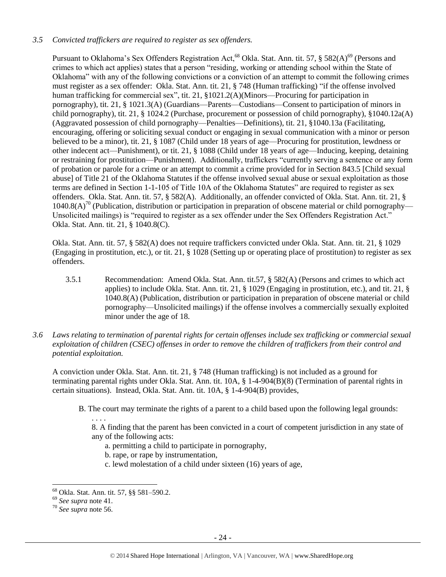## *3.5 Convicted traffickers are required to register as sex offenders.*

Pursuant to Oklahoma's Sex Offenders Registration Act,<sup>68</sup> Okla. Stat. Ann. tit. 57, § 582(A)<sup>69</sup> (Persons and crimes to which act applies) states that a person "residing, working or attending school within the State of Oklahoma" with any of the following convictions or a conviction of an attempt to commit the following crimes must register as a sex offender: Okla. Stat. Ann. tit. 21, § 748 (Human trafficking) "if the offense involved human trafficking for commercial sex", tit. 21, §1021.2(A)(Minors—Procuring for participation in pornography), tit. 21, § 1021.3(A) (Guardians—Parents—Custodians—Consent to participation of minors in child pornography), tit. 21, § 1024.2 (Purchase, procurement or possession of child pornography), §1040.12a(A) (Aggravated possession of child pornography—Penalties—Definitions), tit. 21, §1040.13a (Facilitating, encouraging, offering or soliciting sexual conduct or engaging in sexual communication with a minor or person believed to be a minor), tit. 21, § 1087 (Child under 18 years of age—Procuring for prostitution, lewdness or other indecent act—Punishment), or tit. 21, § 1088 (Child under 18 years of age—Inducing, keeping, detaining or restraining for prostitution—Punishment). Additionally, traffickers "currently serving a sentence or any form of probation or parole for a crime or an attempt to commit a crime provided for in Section 843.5 [Child sexual abuse] of Title 21 of the Oklahoma Statutes if the offense involved sexual abuse or sexual exploitation as those terms are defined in Section 1-1-105 of Title 10A of the Oklahoma Statutes" are required to register as sex offenders. Okla. Stat. Ann. tit. 57, § 582(A). Additionally, an offender convicted of Okla. Stat. Ann. tit. 21, §  $1040.8(A)^{70}$  (Publication, distribution or participation in preparation of obscene material or child pornography— Unsolicited mailings) is "required to register as a sex offender under the Sex Offenders Registration Act." Okla. Stat. Ann. tit. 21, § 1040.8(C).

Okla. Stat. Ann. tit. 57, § 582(A) does not require traffickers convicted under Okla. Stat. Ann. tit. 21, § 1029 (Engaging in prostitution, etc.), or tit. 21, § 1028 (Setting up or operating place of prostitution) to register as sex offenders.

- 3.5.1 Recommendation: Amend Okla. Stat. Ann. tit.57, § 582(A) (Persons and crimes to which act applies) to include Okla. Stat. Ann. tit. 21, § 1029 (Engaging in prostitution, etc.), and tit. 21, § 1040.8(A) (Publication, distribution or participation in preparation of obscene material or child pornography—Unsolicited mailings) if the offense involves a commercially sexually exploited minor under the age of 18.
- *3.6 Laws relating to termination of parental rights for certain offenses include sex trafficking or commercial sexual exploitation of children (CSEC) offenses in order to remove the children of traffickers from their control and potential exploitation.*

A conviction under Okla. Stat. Ann. tit. 21, § 748 (Human trafficking) is not included as a ground for terminating parental rights under Okla. Stat. Ann. tit. 10A, § 1-4-904(B)(8) (Termination of parental rights in certain situations). Instead, Okla. Stat. Ann. tit. 10A, § 1-4-904(B) provides,

B. The court may terminate the rights of a parent to a child based upon the following legal grounds:

8. A finding that the parent has been convicted in a court of competent jurisdiction in any state of any of the following acts:

- a. permitting a child to participate in pornography,
- b. rape, or rape by instrumentation,
- c. lewd molestation of a child under sixteen (16) years of age,

. . . .

 $\overline{\phantom{a}}$ <sup>68</sup> Okla. Stat. Ann. tit. 57, §§ 581–590.2.

<sup>69</sup> *See supra* note [41.](#page-17-0)

<sup>70</sup> *See supra* note [56.](#page-19-0)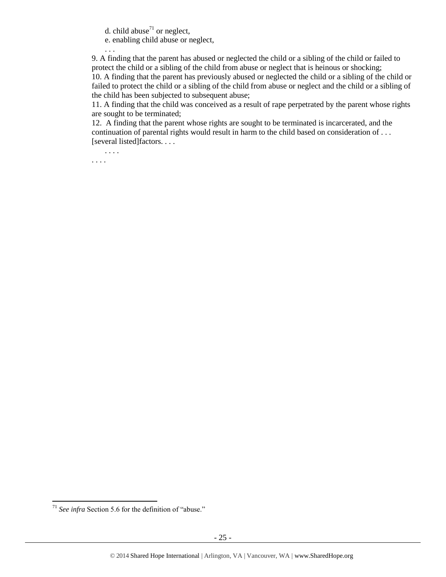d. child abuse<sup>71</sup> or neglect,

e. enabling child abuse or neglect,

9. A finding that the parent has abused or neglected the child or a sibling of the child or failed to protect the child or a sibling of the child from abuse or neglect that is heinous or shocking; 10. A finding that the parent has previously abused or neglected the child or a sibling of the child or failed to protect the child or a sibling of the child from abuse or neglect and the child or a sibling of the child has been subjected to subsequent abuse;

11. A finding that the child was conceived as a result of rape perpetrated by the parent whose rights are sought to be terminated;

12. A finding that the parent whose rights are sought to be terminated is incarcerated, and the continuation of parental rights would result in harm to the child based on consideration of . . . [several listed]factors. . . .

. . . . . . . .

. . .

l

<sup>71</sup> *See infra* Section 5.6 for the definition of "abuse."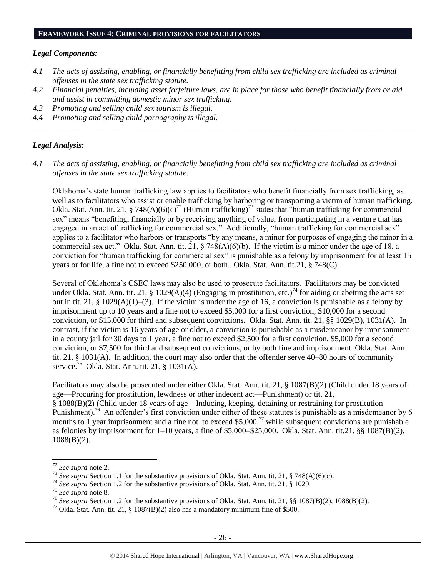#### *Legal Components:*

- *4.1 The acts of assisting, enabling, or financially benefitting from child sex trafficking are included as criminal offenses in the state sex trafficking statute.*
- *4.2 Financial penalties, including asset forfeiture laws, are in place for those who benefit financially from or aid and assist in committing domestic minor sex trafficking.*

*\_\_\_\_\_\_\_\_\_\_\_\_\_\_\_\_\_\_\_\_\_\_\_\_\_\_\_\_\_\_\_\_\_\_\_\_\_\_\_\_\_\_\_\_\_\_\_\_\_\_\_\_\_\_\_\_\_\_\_\_\_\_\_\_\_\_\_\_\_\_\_\_\_\_\_\_\_\_\_\_\_\_\_\_\_\_\_\_\_\_\_\_\_\_*

- *4.3 Promoting and selling child sex tourism is illegal.*
- *4.4 Promoting and selling child pornography is illegal.*

#### *Legal Analysis:*

*4.1 The acts of assisting, enabling, or financially benefitting from child sex trafficking are included as criminal offenses in the state sex trafficking statute.*

Oklahoma's state human trafficking law applies to facilitators who benefit financially from sex trafficking, as well as to facilitators who assist or enable trafficking by harboring or transporting a victim of human trafficking. Okla. Stat. Ann. tit. 21, § 748(A)(6)(c)<sup>72</sup> (Human trafficking)<sup>73</sup> states that "human trafficking for commercial sex" means "benefiting, financially or by receiving anything of value, from participating in a venture that has engaged in an act of trafficking for commercial sex." Additionally, "human trafficking for commercial sex" applies to a facilitator who harbors or transports "by any means, a minor for purposes of engaging the minor in a commercial sex act." Okla. Stat. Ann. tit. 21, § 748(A)(6)(b). If the victim is a minor under the age of 18, a conviction for "human trafficking for commercial sex" is punishable as a felony by imprisonment for at least 15 years or for life, a fine not to exceed \$250,000, or both. Okla. Stat. Ann. tit.21, § 748(C).

Several of Oklahoma's CSEC laws may also be used to prosecute facilitators. Facilitators may be convicted under Okla. Stat. Ann. tit. 21, § 1029(A)(4) (Engaging in prostitution, etc.)<sup>74</sup> for aiding or abetting the acts set out in tit. 21, § 1029(A)(1)–(3). If the victim is under the age of 16, a conviction is punishable as a felony by imprisonment up to 10 years and a fine not to exceed \$5,000 for a first conviction, \$10,000 for a second conviction, or \$15,000 for third and subsequent convictions. Okla. Stat. Ann. tit. 21, §§ 1029(B), 1031(A). In contrast, if the victim is 16 years of age or older, a conviction is punishable as a misdemeanor by imprisonment in a county jail for 30 days to 1 year, a fine not to exceed \$2,500 for a first conviction, \$5,000 for a second conviction, or \$7,500 for third and subsequent convictions, or by both fine and imprisonment. Okla. Stat. Ann. tit. 21, § 1031(A). In addition, the court may also order that the offender serve 40–80 hours of community service.<sup>75</sup> Okla. Stat. Ann. tit. 21, § 1031(A).

Facilitators may also be prosecuted under either Okla. Stat. Ann. tit. 21, § 1087(B)(2) (Child under 18 years of age—Procuring for prostitution, lewdness or other indecent act—Punishment) or tit. 21, § 1088(B)(2) (Child under 18 years of age—Inducing, keeping, detaining or restraining for prostitution— Punishment).<sup>76</sup> An offender's first conviction under either of these statutes is punishable as a misdemeanor by 6 months to 1 year imprisonment and a fine not to exceed \$5,000,<sup>77</sup> while subsequent convictions are punishable as felonies by imprisonment for 1–10 years, a fine of \$5,000–\$25,000. Okla. Stat. Ann. tit.21, §§ 1087(B)(2), 1088(B)(2).

<sup>72</sup> *See supra* note [2.](#page-0-0)

<sup>73</sup> *See supra* Section 1.1 for the substantive provisions of Okla. Stat. Ann. tit. 21, § 748(A)(6)(c).

<sup>74</sup> *See supra* Section 1.2 for the substantive provisions of Okla. Stat. Ann. tit. 21, § 1029.

<sup>75</sup> *See supra* note [8.](#page-2-1)

<sup>76</sup> *See supra* Section 1.2 for the substantive provisions of Okla. Stat. Ann. tit. 21, §§ 1087(B)(2), 1088(B)(2).

<sup>&</sup>lt;sup>77</sup> Okla. Stat. Ann. tit. 21, § 1087(B)(2) also has a mandatory minimum fine of \$500.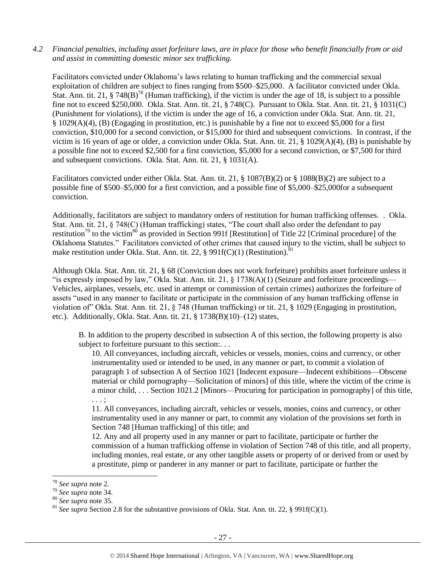*4.2 Financial penalties, including asset forfeiture laws, are in place for those who benefit financially from or aid and assist in committing domestic minor sex trafficking.*

Facilitators convicted under Oklahoma's laws relating to human trafficking and the commercial sexual exploitation of children are subject to fines ranging from \$500–\$25,000. A facilitator convicted under Okla. Stat. Ann. tit. 21, § 748(B)<sup>78</sup> (Human trafficking), if the victim is under the age of 18, is subject to a possible fine not to exceed \$250,000. Okla. Stat. Ann. tit. 21, § 748(C). Pursuant to Okla. Stat. Ann. tit. 21, § 1031(C) (Punishment for violations), if the victim is under the age of 16, a conviction under Okla. Stat. Ann. tit. 21, § 1029(A)(4), (B) (Engaging in prostitution, etc.) is punishable by a fine not to exceed \$5,000 for a first conviction, \$10,000 for a second conviction, or \$15,000 for third and subsequent convictions. In contrast, if the victim is 16 years of age or older, a conviction under Okla. Stat. Ann. tit. 21, § 1029(A)(4), (B) is punishable by a possible fine not to exceed \$2,500 for a first conviction, \$5,000 for a second conviction, or \$7,500 for third and subsequent convictions. Okla. Stat. Ann. tit. 21, § 1031(A).

Facilitators convicted under either Okla. Stat. Ann. tit. 21, § 1087(B)(2) or § 1088(B)(2) are subject to a possible fine of \$500–\$5,000 for a first conviction, and a possible fine of \$5,000–\$25,000for a subsequent conviction.

Additionally, facilitators are subject to mandatory orders of restitution for human trafficking offenses. . Okla. Stat. Ann. tit. 21, § 748(C) (Human trafficking) states, "The court shall also order the defendant to pay restitution<sup>79</sup> to the victim<sup>80</sup> as provided in Section 991f [Restitution] of Title 22 [Criminal procedure] of the Oklahoma Statutes." Facilitators convicted of other crimes that caused injury to the victim, shall be subject to make restitution under Okla. Stat. Ann. tit. 22, § 991 $f(C)(1)$  (Restitution).<sup>81</sup>

Although Okla. Stat. Ann. tit. 21, § 68 (Conviction does not work forfeiture) prohibits asset forfeiture unless it "is expressly imposed by law," Okla. Stat. Ann. tit. 21,  $\S$  1738(A)(1) (Seizure and forfeiture proceedings— Vehicles, airplanes, vessels, etc. used in attempt or commission of certain crimes) authorizes the forfeiture of assets "used in any manner to facilitate or participate in the commission of any human trafficking offense in violation of" Okla. Stat. Ann. tit. 21, § 748 (Human trafficking) or tit. 21, § 1029 (Engaging in prostitution, etc.). Additionally, Okla. Stat. Ann. tit. 21, § 1738(B)(10)–(12) states,

B. In addition to the property described in subsection A of this section, the following property is also subject to forfeiture pursuant to this section:...

10. All conveyances, including aircraft, vehicles or vessels, monies, coins and currency, or other instrumentality used or intended to be used, in any manner or part, to commit a violation of paragraph 1 of subsection A of Section 1021 [Indecent exposure—Indecent exhibitions—Obscene material or child pornography—Solicitation of minors] of this title, where the victim of the crime is a minor child, . . . Section 1021.2 [Minors—Procuring for participation in pornography] of this title, . . . ;

11. All conveyances, including aircraft, vehicles or vessels, monies, coins and currency, or other instrumentality used in any manner or part, to commit any violation of the provisions set forth in Section 748 [Human trafficking] of this title; and

12. Any and all property used in any manner or part to facilitate, participate or further the commission of a human trafficking offense in violation of Section 748 of this title, and all property, including monies, real estate, or any other tangible assets or property of or derived from or used by a prostitute, pimp or panderer in any manner or part to facilitate, participate or further the

l

<sup>78</sup> *See supra* note [2.](#page-0-0)

<sup>79</sup> *See supra* note [34.](#page-14-0) 

<sup>80</sup> *See supra* note [35.](#page-14-1) 

<sup>&</sup>lt;sup>81</sup> *See supra* Section 2.8 for the substantive provisions of Okla. Stat. Ann. tit. 22, § 991f(C)(1).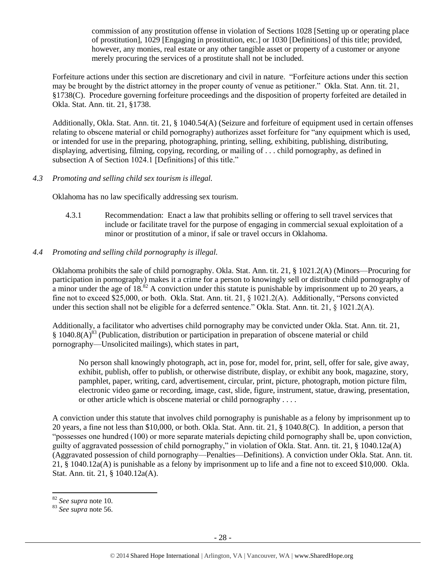commission of any prostitution offense in violation of Sections 1028 [Setting up or operating place of prostitution], 1029 [Engaging in prostitution, etc.] or 1030 [Definitions] of this title; provided, however, any monies, real estate or any other tangible asset or property of a customer or anyone merely procuring the services of a prostitute shall not be included.

Forfeiture actions under this section are discretionary and civil in nature. "Forfeiture actions under this section may be brought by the district attorney in the proper county of venue as petitioner." Okla. Stat. Ann. tit. 21, §1738(C). Procedure governing forfeiture proceedings and the disposition of property forfeited are detailed in Okla. Stat. Ann. tit. 21, §1738.

Additionally, Okla. Stat. Ann. tit. 21, § 1040.54(A) (Seizure and forfeiture of equipment used in certain offenses relating to obscene material or child pornography) authorizes asset forfeiture for "any equipment which is used, or intended for use in the preparing, photographing, printing, selling, exhibiting, publishing, distributing, displaying, advertising, filming, copying, recording, or mailing of . . . child pornography, as defined in subsection A of Section 1024.1 [Definitions] of this title."

## *4.3 Promoting and selling child sex tourism is illegal.*

Oklahoma has no law specifically addressing sex tourism.

4.3.1 Recommendation: Enact a law that prohibits selling or offering to sell travel services that include or facilitate travel for the purpose of engaging in commercial sexual exploitation of a minor or prostitution of a minor, if sale or travel occurs in Oklahoma.

## *4.4 Promoting and selling child pornography is illegal.*

Oklahoma prohibits the sale of child pornography. Okla. Stat. Ann. tit. 21, § 1021.2(A) (Minors—Procuring for participation in pornography) makes it a crime for a person to knowingly sell or distribute child pornography of a minor under the age of 18.<sup>82</sup> A conviction under this statute is punishable by imprisonment up to 20 years, a fine not to exceed \$25,000, or both. Okla. Stat. Ann. tit. 21, § 1021.2(A). Additionally, "Persons convicted under this section shall not be eligible for a deferred sentence." Okla. Stat. Ann. tit. 21, § 1021.2(A).

Additionally, a facilitator who advertises child pornography may be convicted under Okla. Stat. Ann. tit. 21,  $§ 1040.8(A)^{83}$  (Publication, distribution or participation in preparation of obscene material or child pornography—Unsolicited mailings), which states in part,

No person shall knowingly photograph, act in, pose for, model for, print, sell, offer for sale, give away, exhibit, publish, offer to publish, or otherwise distribute, display, or exhibit any book, magazine, story, pamphlet, paper, writing, card, advertisement, circular, print, picture, photograph, motion picture film, electronic video game or recording, image, cast, slide, figure, instrument, statue, drawing, presentation, or other article which is obscene material or child pornography . . . .

A conviction under this statute that involves child pornography is punishable as a felony by imprisonment up to 20 years, a fine not less than \$10,000, or both. Okla. Stat. Ann. tit. 21, § 1040.8(C). In addition, a person that "possesses one hundred (100) or more separate materials depicting child pornography shall be, upon conviction, guilty of aggravated possession of child pornography," in violation of Okla. Stat. Ann. tit. 21, § 1040.12a(A) (Aggravated possession of child pornography—Penalties—Definitions). A conviction under Okla. Stat. Ann. tit. 21, § 1040.12a(A) is punishable as a felony by imprisonment up to life and a fine not to exceed \$10,000. Okla. Stat. Ann. tit. 21, § 1040.12a(A).

<sup>82</sup> *See supra* note [10.](#page-3-0) 

<sup>83</sup> *See supra* note [56.](#page-19-0)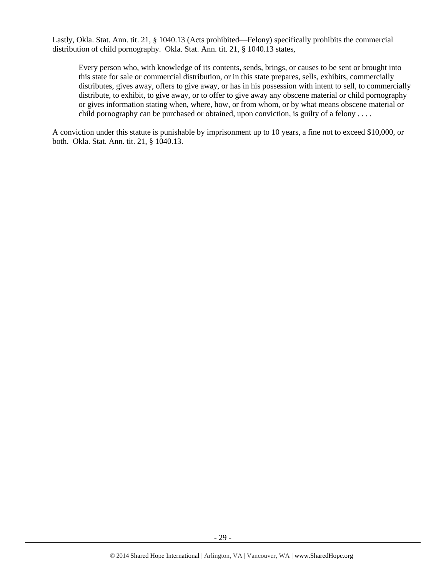Lastly, Okla. Stat. Ann. tit. 21, § 1040.13 (Acts prohibited—Felony) specifically prohibits the commercial distribution of child pornography. Okla. Stat. Ann. tit. 21, § 1040.13 states,

Every person who, with knowledge of its contents, sends, brings, or causes to be sent or brought into this state for sale or commercial distribution, or in this state prepares, sells, exhibits, commercially distributes, gives away, offers to give away, or has in his possession with intent to sell, to commercially distribute, to exhibit, to give away, or to offer to give away any obscene material or child pornography or gives information stating when, where, how, or from whom, or by what means obscene material or child pornography can be purchased or obtained, upon conviction, is guilty of a felony  $\dots$ 

A conviction under this statute is punishable by imprisonment up to 10 years, a fine not to exceed \$10,000, or both. Okla. Stat. Ann. tit. 21, § 1040.13.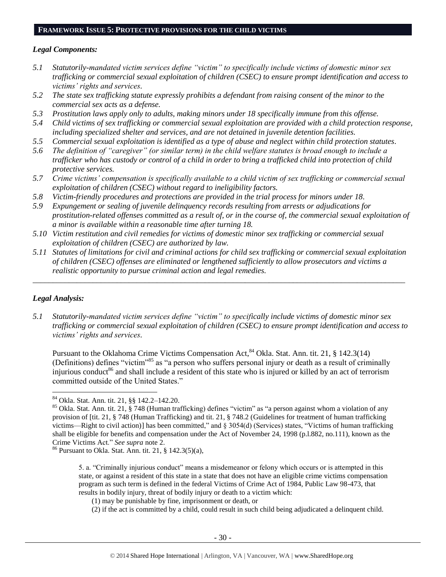#### **FRAMEWORK ISSUE 5: PROTECTIVE PROVISIONS FOR THE CHILD VICTIMS**

#### *Legal Components:*

- *5.1 Statutorily-mandated victim services define "victim" to specifically include victims of domestic minor sex trafficking or commercial sexual exploitation of children (CSEC) to ensure prompt identification and access to victims' rights and services.*
- *5.2 The state sex trafficking statute expressly prohibits a defendant from raising consent of the minor to the commercial sex acts as a defense.*
- *5.3 Prostitution laws apply only to adults, making minors under 18 specifically immune from this offense.*
- *5.4 Child victims of sex trafficking or commercial sexual exploitation are provided with a child protection response, including specialized shelter and services, and are not detained in juvenile detention facilities.*
- *5.5 Commercial sexual exploitation is identified as a type of abuse and neglect within child protection statutes.*
- *5.6 The definition of "caregiver" (or similar term) in the child welfare statutes is broad enough to include a trafficker who has custody or control of a child in order to bring a trafficked child into protection of child protective services.*
- *5.7 Crime victims' compensation is specifically available to a child victim of sex trafficking or commercial sexual exploitation of children (CSEC) without regard to ineligibility factors.*
- *5.8 Victim-friendly procedures and protections are provided in the trial process for minors under 18.*
- *5.9 Expungement or sealing of juvenile delinquency records resulting from arrests or adjudications for prostitution-related offenses committed as a result of, or in the course of, the commercial sexual exploitation of a minor is available within a reasonable time after turning 18.*
- *5.10 Victim restitution and civil remedies for victims of domestic minor sex trafficking or commercial sexual exploitation of children (CSEC) are authorized by law.*
- *5.11 Statutes of limitations for civil and criminal actions for child sex trafficking or commercial sexual exploitation of children (CSEC) offenses are eliminated or lengthened sufficiently to allow prosecutors and victims a realistic opportunity to pursue criminal action and legal remedies.*

*\_\_\_\_\_\_\_\_\_\_\_\_\_\_\_\_\_\_\_\_\_\_\_\_\_\_\_\_\_\_\_\_\_\_\_\_\_\_\_\_\_\_\_\_\_\_\_\_\_\_\_\_\_\_\_\_\_\_\_\_\_\_\_\_\_\_\_\_\_\_\_\_\_\_\_\_\_\_\_\_\_\_\_\_\_\_\_\_\_\_\_\_\_*

## *Legal Analysis:*

 $\overline{\phantom{a}}$ 

*5.1 Statutorily-mandated victim services define "victim" to specifically include victims of domestic minor sex trafficking or commercial sexual exploitation of children (CSEC) to ensure prompt identification and access to victims' rights and services.*

<span id="page-29-0"></span>Pursuant to the Oklahoma Crime Victims Compensation Act, <sup>84</sup> Okla. Stat. Ann. tit. 21, § 142.3(14) (Definitions) defines "victim"<sup>85</sup> as "a person who suffers personal injury or death as a result of criminally injurious conduct<sup>86</sup> and shall include a resident of this state who is injured or killed by an act of terrorism committed outside of the United States."

(2) if the act is committed by a child, could result in such child being adjudicated a delinquent child.

<sup>84</sup> Okla. Stat. Ann. tit. 21, §§ 142.2–142.20.

<sup>&</sup>lt;sup>85</sup> Okla. Stat. Ann. tit. 21, § 748 (Human trafficking) defines "victim" as "a person against whom a violation of any provision of [tit. 21, § 748 (Human Trafficking) and tit. 21, § 748.2 (Guidelines for treatment of human trafficking victims—Right to civil action)] has been committed," and § 3054(d) (Services) states, "Victims of human trafficking shall be eligible for benefits and compensation under the Act of November 24, 1998 (p.l.882, no.111), known as the Crime Victims Act." *See supra* note [2.](#page-0-0)

 $86$  Pursuant to Okla. Stat. Ann. tit. 21, § 142.3(5)(a),

<sup>5.</sup> a. "Criminally injurious conduct" means a misdemeanor or felony which occurs or is attempted in this state, or against a resident of this state in a state that does not have an eligible crime victims compensation program as such term is defined in the federal Victims of Crime Act of 1984, Public Law 98-473, that results in bodily injury, threat of bodily injury or death to a victim which:

<sup>(1)</sup> may be punishable by fine, imprisonment or death, or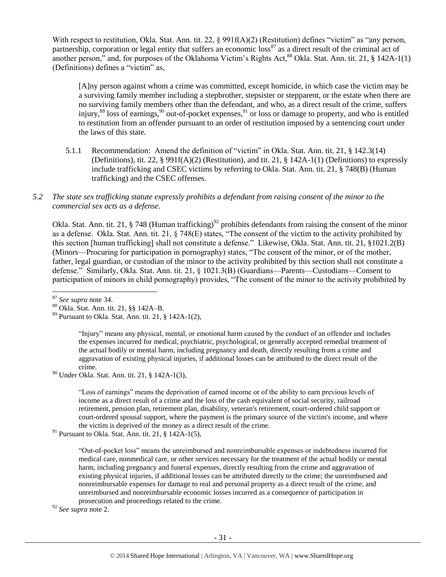With respect to restitution, Okla. Stat. Ann. tit. 22, § 991f(A)(2) (Restitution) defines "victim" as "any person, partnership, corporation or legal entity that suffers an economic  $\cos^{87}$  as a direct result of the criminal act of another person," and, for purposes of the Oklahoma Victim's Rights Act,<sup>88</sup> Okla. Stat. Ann. tit. 21, § 142A-1(1) (Definitions) defines a "victim" as,

<span id="page-30-0"></span>[A]ny person against whom a crime was committed, except homicide, in which case the victim may be a surviving family member including a stepbrother, stepsister or stepparent, or the estate when there are no surviving family members other than the defendant, and who, as a direct result of the crime, suffers injury, $89$  loss of earnings,  $90$  out-of-pocket expenses,  $91$  or loss or damage to property, and who is entitled to restitution from an offender pursuant to an order of restitution imposed by a sentencing court under the laws of this state.

- 5.1.1 Recommendation: Amend the definition of "victim" in Okla. Stat. Ann. tit. 21, § 142.3(14) (Definitions), tit. 22, § 991f(A)(2) (Restitution), and tit. 21, § 142A-1(1) (Definitions) to expressly include trafficking and CSEC victims by referring to Okla. Stat. Ann. tit. 21, § 748(B) (Human trafficking) and the CSEC offenses.
- *5.2 The state sex trafficking statute expressly prohibits a defendant from raising consent of the minor to the commercial sex acts as a defense.*

Okla. Stat. Ann. tit. 21, § 748 (Human trafficking)<sup>92</sup> prohibits defendants from raising the consent of the minor as a defense. Okla. Stat. Ann. tit. 21, § 748(E) states, "The consent of the victim to the activity prohibited by this section [human trafficking] shall not constitute a defense." Likewise, Okla. Stat. Ann. tit. 21, §1021.2(B) (Minors—Procuring for participation in pornography) states, "The consent of the minor, or of the mother, father, legal guardian, or custodian of the minor to the activity prohibited by this section shall not constitute a defense." Similarly, Okla. Stat. Ann. tit. 21, § 1021.3(B) (Guardians—Parents—Custodians—Consent to participation of minors in child pornography) provides, "The consent of the minor to the activity prohibited by

"Injury" means any physical, mental, or emotional harm caused by the conduct of an offender and includes the expenses incurred for medical, psychiatric, psychological, or generally accepted remedial treatment of the actual bodily or mental harm, including pregnancy and death, directly resulting from a crime and aggravation of existing physical injuries, if additional losses can be attributed to the direct result of the crime.

 $90$  Under Okla. Stat. Ann. tit. 21, § 142A-1(3),

"Loss of earnings" means the deprivation of earned income or of the ability to earn previous levels of income as a direct result of a crime and the loss of the cash equivalent of social security, railroad retirement, pension plan, retirement plan, disability, veteran's retirement, court-ordered child support or court-ordered spousal support, where the payment is the primary source of the victim's income, and where the victim is deprived of the money as a direct result of the crime.

<sup>92</sup> *See supra* note [2.](#page-0-0)

l <sup>87</sup> *See supra* note [34.](#page-14-0)

<sup>88</sup> Okla. Stat. Ann. tit. 21, §§ 142A–B.

 $89$  Pursuant to Okla. Stat. Ann. tit. 21, § 142A-1(2),

 $91$  Pursuant to Okla. Stat. Ann. tit. 21, § 142A-1(5),

<sup>&</sup>quot;Out-of-pocket loss" means the unreimbursed and nonreimbursable expenses or indebtedness incurred for medical care, nonmedical care, or other services necessary for the treatment of the actual bodily or mental harm, including pregnancy and funeral expenses, directly resulting from the crime and aggravation of existing physical injuries, if additional losses can be attributed directly to the crime; the unreimbursed and nonreimbursable expenses for damage to real and personal property as a direct result of the crime, and unreimbursed and nonreimbursable economic losses incurred as a consequence of participation in prosecution and proceedings related to the crime.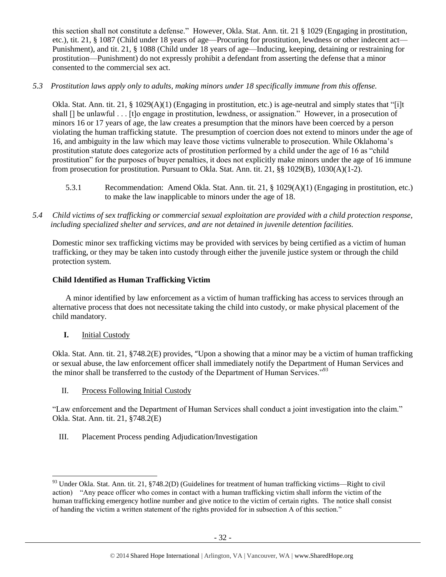this section shall not constitute a defense." However, Okla. Stat. Ann. tit. 21 § 1029 (Engaging in prostitution, etc.), tit. 21, § 1087 (Child under 18 years of age—Procuring for prostitution, lewdness or other indecent act— Punishment), and tit. 21, § 1088 (Child under 18 years of age—Inducing, keeping, detaining or restraining for prostitution—Punishment) do not expressly prohibit a defendant from asserting the defense that a minor consented to the commercial sex act.

*5.3 Prostitution laws apply only to adults, making minors under 18 specifically immune from this offense.*

Okla. Stat. Ann. tit. 21, § 1029(A)(1) (Engaging in prostitution, etc.) is age-neutral and simply states that "[i]t shall [] be unlawful . . . [t]o engage in prostitution, lewdness, or assignation." However, in a prosecution of minors 16 or 17 years of age, the law creates a presumption that the minors have been coerced by a person violating the human trafficking statute. The presumption of coercion does not extend to minors under the age of 16, and ambiguity in the law which may leave those victims vulnerable to prosecution. While Oklahoma's prostitution statute does categorize acts of prostitution performed by a child under the age of 16 as "child prostitution" for the purposes of buyer penalties, it does not explicitly make minors under the age of 16 immune from prosecution for prostitution. Pursuant to Okla. Stat. Ann. tit. 21, §§ 1029(B), 1030(A)(1-2).

- 5.3.1 Recommendation: Amend Okla. Stat. Ann. tit. 21, § 1029(A)(1) (Engaging in prostitution, etc.) to make the law inapplicable to minors under the age of 18.
- *5.4 Child victims of sex trafficking or commercial sexual exploitation are provided with a child protection response, including specialized shelter and services, and are not detained in juvenile detention facilities.*

Domestic minor sex trafficking victims may be provided with services by being certified as a victim of human trafficking, or they may be taken into custody through either the juvenile justice system or through the child protection system.

# **Child Identified as Human Trafficking Victim**

A minor identified by law enforcement as a victim of human trafficking has access to services through an alternative process that does not necessitate taking the child into custody, or make physical placement of the child mandatory.

**I.** Initial Custody

Okla. Stat. Ann. tit. 21, §748.2(E) provides, "Upon a showing that a minor may be a victim of human trafficking or sexual abuse, the law enforcement officer shall immediately notify the Department of Human Services and the minor shall be transferred to the custody of the Department of Human Services."<sup>93</sup>

II. Process Following Initial Custody

"Law enforcement and the Department of Human Services shall conduct a joint investigation into the claim." Okla. Stat. Ann. tit. 21, §748.2(E)

III. Placement Process pending Adjudication/Investigation

l  $93$  Under Okla. Stat. Ann. tit. 21, §748.2(D) (Guidelines for treatment of human trafficking victims—Right to civil action) "Any peace officer who comes in contact with a human trafficking victim shall inform the victim of the human trafficking emergency hotline number and give notice to the victim of certain rights. The notice shall consist of handing the victim a written statement of the rights provided for in subsection A of this section."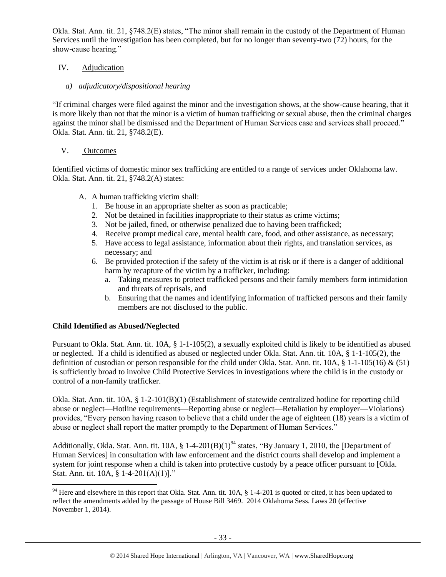Okla. Stat. Ann. tit. 21, §748.2(E) states, "The minor shall remain in the custody of the Department of Human Services until the investigation has been completed, but for no longer than seventy-two (72) hours, for the show-cause hearing."

## IV. Adjudication

# *a) adjudicatory/dispositional hearing*

"If criminal charges were filed against the minor and the investigation shows, at the show-cause hearing, that it is more likely than not that the minor is a victim of human trafficking or sexual abuse, then the criminal charges against the minor shall be dismissed and the Department of Human Services case and services shall proceed." Okla. Stat. Ann. tit. 21, §748.2(E).

# V. Outcomes

Identified victims of domestic minor sex trafficking are entitled to a range of services under Oklahoma law. Okla. Stat. Ann. tit. 21, §748.2(A) states:

- A. A human trafficking victim shall:
	- 1. Be house in an appropriate shelter as soon as practicable;
	- 2. Not be detained in facilities inappropriate to their status as crime victims;
	- 3. Not be jailed, fined, or otherwise penalized due to having been trafficked;
	- 4. Receive prompt medical care, mental health care, food, and other assistance, as necessary;
	- 5. Have access to legal assistance, information about their rights, and translation services, as necessary; and
	- 6. Be provided protection if the safety of the victim is at risk or if there is a danger of additional harm by recapture of the victim by a trafficker, including:
		- a. Taking measures to protect trafficked persons and their family members form intimidation and threats of reprisals, and
		- b. Ensuring that the names and identifying information of trafficked persons and their family members are not disclosed to the public.

## **Child Identified as Abused/Neglected**

 $\overline{\phantom{a}}$ 

Pursuant to Okla. Stat. Ann. tit. 10A, § 1-1-105(2), a sexually exploited child is likely to be identified as abused or neglected. If a child is identified as abused or neglected under Okla. Stat. Ann. tit. 10A, § 1-1-105(2), the definition of custodian or person responsible for the child under Okla. Stat. Ann. tit. 10A,  $\S 1$ -1-105(16) & (51) is sufficiently broad to involve Child Protective Services in investigations where the child is in the custody or control of a non-family trafficker.

Okla. Stat. Ann. tit. 10A, § 1-2-101(B)(1) (Establishment of statewide centralized hotline for reporting child abuse or neglect—Hotline requirements—Reporting abuse or neglect—Retaliation by employer—Violations) provides, "Every person having reason to believe that a child under the age of eighteen (18) years is a victim of abuse or neglect shall report the matter promptly to the Department of Human Services."

Additionally, Okla. Stat. Ann. tit. 10A,  $\S$  1-4-201(B)(1)<sup>94</sup> states, "By January 1, 2010, the [Department of Human Services] in consultation with law enforcement and the district courts shall develop and implement a system for joint response when a child is taken into protective custody by a peace officer pursuant to [Okla. Stat. Ann. tit. 10A, § 1-4-201(A)(1)]."

<sup>&</sup>lt;sup>94</sup> Here and elsewhere in this report that Okla. Stat. Ann. tit.  $10A$ ,  $\S$  1-4-201 is quoted or cited, it has been updated to reflect the amendments added by the passage of House Bill 3469. 2014 Oklahoma Sess. Laws 20 (effective November 1, 2014).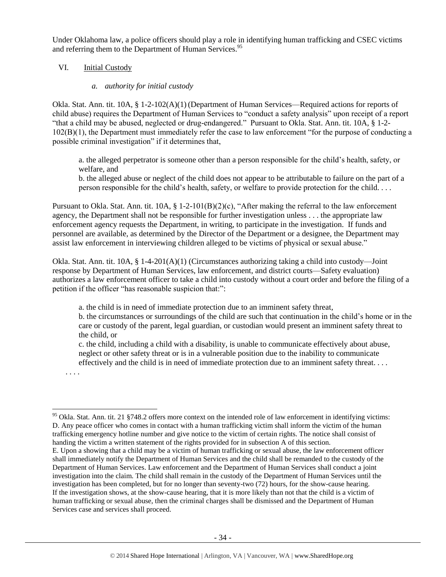Under Oklahoma law, a police officers should play a role in identifying human trafficking and CSEC victims and referring them to the Department of Human Services.<sup>95</sup>

#### VI. Initial Custody

#### <span id="page-33-0"></span>*a. authority for initial custody*

Okla. Stat. Ann. tit. 10A, § 1-2-102(A)(1) (Department of Human Services—Required actions for reports of child abuse) requires the Department of Human Services to "conduct a safety analysis" upon receipt of a report "that a child may be abused, neglected or drug-endangered." Pursuant to Okla. Stat. Ann. tit. 10A, § 1-2- 102(B)(1), the Department must immediately refer the case to law enforcement "for the purpose of conducting a possible criminal investigation" if it determines that,

a. the alleged perpetrator is someone other than a person responsible for the child's health, safety, or welfare, and

b. the alleged abuse or neglect of the child does not appear to be attributable to failure on the part of a person responsible for the child's health, safety, or welfare to provide protection for the child. . . .

Pursuant to Okla. Stat. Ann. tit. 10A, § 1-2-101(B)(2)(c), "After making the referral to the law enforcement agency, the Department shall not be responsible for further investigation unless . . . the appropriate law enforcement agency requests the Department, in writing, to participate in the investigation. If funds and personnel are available, as determined by the Director of the Department or a designee, the Department may assist law enforcement in interviewing children alleged to be victims of physical or sexual abuse."

Okla. Stat. Ann. tit. 10A, § 1-4-201(A)(1) (Circumstances authorizing taking a child into custody—Joint response by Department of Human Services, law enforcement, and district courts—Safety evaluation) authorizes a law enforcement officer to take a child into custody without a court order and before the filing of a petition if the officer "has reasonable suspicion that:":

a. the child is in need of immediate protection due to an imminent safety threat,

b. the circumstances or surroundings of the child are such that continuation in the child's home or in the care or custody of the parent, legal guardian, or custodian would present an imminent safety threat to the child, or

c. the child, including a child with a disability, is unable to communicate effectively about abuse, neglect or other safety threat or is in a vulnerable position due to the inability to communicate effectively and the child is in need of immediate protection due to an imminent safety threat. . . .

. . . .

<sup>&</sup>lt;sup>95</sup> Okla. Stat. Ann. tit. 21 §748.2 offers more context on the intended role of law enforcement in identifying victims: D. Any peace officer who comes in contact with a human trafficking victim shall inform the victim of the human trafficking emergency hotline number and give notice to the victim of certain rights. The notice shall consist of handing the victim a written statement of the rights provided for in subsection A of this section.

E. Upon a showing that a child may be a victim of human trafficking or sexual abuse, the law enforcement officer shall immediately notify the Department of Human Services and the child shall be remanded to the custody of the Department of Human Services. Law enforcement and the Department of Human Services shall conduct a joint investigation into the claim. The child shall remain in the custody of the Department of Human Services until the investigation has been completed, but for no longer than seventy-two (72) hours, for the show-cause hearing. If the investigation shows, at the show-cause hearing, that it is more likely than not that the child is a victim of human trafficking or sexual abuse, then the criminal charges shall be dismissed and the Department of Human Services case and services shall proceed.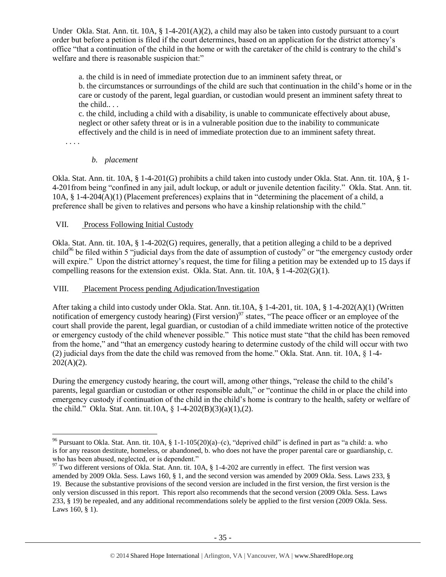Under Okla. Stat. Ann. tit.  $10A$ ,  $\S 1-4-201(A)(2)$ , a child may also be taken into custody pursuant to a court order but before a petition is filed if the court determines, based on an application for the district attorney's office "that a continuation of the child in the home or with the caretaker of the child is contrary to the child's welfare and there is reasonable suspicion that:"

a. the child is in need of immediate protection due to an imminent safety threat, or b. the circumstances or surroundings of the child are such that continuation in the child's home or in the care or custody of the parent, legal guardian, or custodian would present an imminent safety threat to the child.. . .

c. the child, including a child with a disability, is unable to communicate effectively about abuse, neglect or other safety threat or is in a vulnerable position due to the inability to communicate effectively and the child is in need of immediate protection due to an imminent safety threat.

. . . .

## *b. placement*

Okla. Stat. Ann. tit. 10A, § 1-4-201(G) prohibits a child taken into custody under Okla. Stat. Ann. tit. 10A, § 1- 4-201from being "confined in any jail, adult lockup, or adult or juvenile detention facility." Okla. Stat. Ann. tit. 10A, § 1-4-204(A)(1) (Placement preferences) explains that in "determining the placement of a child, a preference shall be given to relatives and persons who have a kinship relationship with the child."

# VII. Process Following Initial Custody

Okla. Stat. Ann. tit. 10A, § 1-4-202(G) requires, generally, that a petition alleging a child to be a deprived child<sup>96</sup> be filed within 5 "judicial days from the date of assumption of custody" or "the emergency custody order will expire." Upon the district attorney's request, the time for filing a petition may be extended up to 15 days if compelling reasons for the extension exist. Okla. Stat. Ann. tit.  $10A$ ,  $\S$  1-4-202(G)(1).

## VIII. Placement Process pending Adjudication/Investigation

After taking a child into custody under Okla. Stat. Ann. tit.10A, § 1-4-201, tit. 10A, § 1-4-202(A)(1) (Written notification of emergency custody hearing) (First version)<sup>97</sup> states, "The peace officer or an employee of the court shall provide the parent, legal guardian, or custodian of a child immediate written notice of the protective or emergency custody of the child whenever possible." This notice must state "that the child has been removed from the home," and "that an emergency custody hearing to determine custody of the child will occur with two (2) judicial days from the date the child was removed from the home." Okla. Stat. Ann. tit. 10A, § 1-4-  $202(A)(2)$ .

During the emergency custody hearing, the court will, among other things, "release the child to the child's parents, legal guardian or custodian or other responsible adult," or "continue the child in or place the child into emergency custody if continuation of the child in the child's home is contrary to the health, safety or welfare of the child." Okla. Stat. Ann. tit.10A, § 1-4-202(B)(3)(a)(1),(2).

 $\overline{\phantom{a}}$ <sup>96</sup> Pursuant to Okla. Stat. Ann. tit. 10A, § 1-1-105(20)(a)–(c), "deprived child" is defined in part as "a child: a. who is for any reason destitute, homeless, or abandoned, b. who does not have the proper parental care or guardianship, c. who has been abused, neglected, or is dependent."

<sup>&</sup>lt;sup>97</sup> Two different versions of Okla. Stat. Ann. tit. 10A, § 1-4-202 are currently in effect. The first version was amended by 2009 Okla. Sess. Laws 160, § 1, and the second version was amended by 2009 Okla. Sess. Laws 233, § 19. Because the substantive provisions of the second version are included in the first version, the first version is the only version discussed in this report. This report also recommends that the second version (2009 Okla. Sess. Laws 233, § 19) be repealed, and any additional recommendations solely be applied to the first version (2009 Okla. Sess. Laws 160, § 1).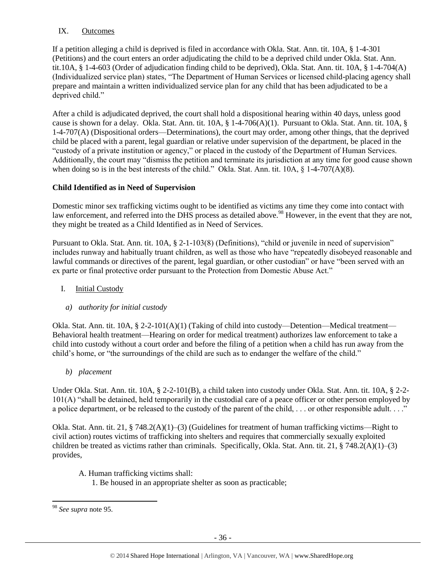## IX. Outcomes

If a petition alleging a child is deprived is filed in accordance with Okla. Stat. Ann. tit. 10A, § 1-4-301 (Petitions) and the court enters an order adjudicating the child to be a deprived child under Okla. Stat. Ann. tit.10A, § 1-4-603 (Order of adjudication finding child to be deprived), Okla. Stat. Ann. tit. 10A, § 1-4-704(A) (Individualized service plan) states, "The Department of Human Services or licensed child-placing agency shall prepare and maintain a written individualized service plan for any child that has been adjudicated to be a deprived child."

After a child is adjudicated deprived, the court shall hold a dispositional hearing within 40 days, unless good cause is shown for a delay. Okla. Stat. Ann. tit. 10A, § 1-4-706(A)(1). Pursuant to Okla. Stat. Ann. tit. 10A, § 1-4-707(A) (Dispositional orders—Determinations), the court may order, among other things, that the deprived child be placed with a parent, legal guardian or relative under supervision of the department, be placed in the "custody of a private institution or agency," or placed in the custody of the Department of Human Services. Additionally, the court may "dismiss the petition and terminate its jurisdiction at any time for good cause shown when doing so is in the best interests of the child." Okla. Stat. Ann. tit. 10A, § 1-4-707(A)(8).

## **Child Identified as in Need of Supervision**

Domestic minor sex trafficking victims ought to be identified as victims any time they come into contact with law enforcement, and referred into the DHS process as detailed above.<sup>98</sup> However, in the event that they are not, they might be treated as a Child Identified as in Need of Services.

Pursuant to Okla. Stat. Ann. tit. 10A, § 2-1-103(8) (Definitions), "child or juvenile in need of supervision" includes runway and habitually truant children, as well as those who have "repeatedly disobeyed reasonable and lawful commands or directives of the parent, legal guardian, or other custodian" or have "been served with an ex parte or final protective order pursuant to the Protection from Domestic Abuse Act."

## I. Initial Custody

#### *a) authority for initial custody*

Okla. Stat. Ann. tit. 10A, § 2-2-101(A)(1) (Taking of child into custody—Detention—Medical treatment— Behavioral health treatment—Hearing on order for medical treatment) authorizes law enforcement to take a child into custody without a court order and before the filing of a petition when a child has run away from the child's home, or "the surroundings of the child are such as to endanger the welfare of the child."

*b) placement*

Under Okla. Stat. Ann. tit. 10A, § 2-2-101(B), a child taken into custody under Okla. Stat. Ann. tit. 10A, § 2-2- 101(A) "shall be detained, held temporarily in the custodial care of a peace officer or other person employed by a police department, or be released to the custody of the parent of the child, ... or other responsible adult...."

Okla. Stat. Ann. tit. 21, § 748.2(A)(1)–(3) (Guidelines for treatment of human trafficking victims—Right to civil action) routes victims of trafficking into shelters and requires that commercially sexually exploited children be treated as victims rather than criminals. Specifically, Okla. Stat. Ann. tit. 21, § 748.2(A)(1)–(3) provides,

- A. Human trafficking victims shall:
	- 1. Be housed in an appropriate shelter as soon as practicable;

l

<sup>98</sup> *See supra* note [95.](#page-33-0)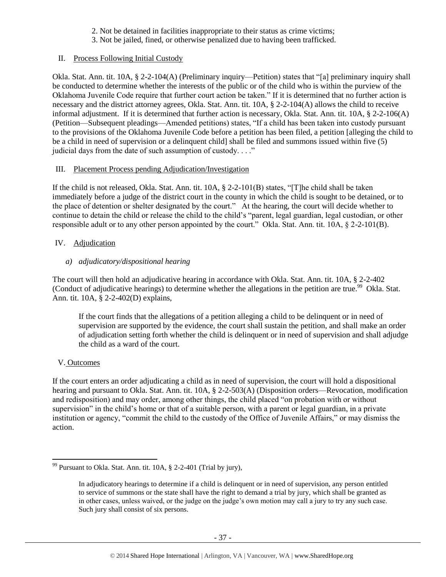- 2. Not be detained in facilities inappropriate to their status as crime victims;
- 3. Not be jailed, fined, or otherwise penalized due to having been trafficked.

## II. Process Following Initial Custody

Okla. Stat. Ann. tit. 10A, § 2-2-104(A) (Preliminary inquiry—Petition) states that "[a] preliminary inquiry shall be conducted to determine whether the interests of the public or of the child who is within the purview of the Oklahoma Juvenile Code require that further court action be taken." If it is determined that no further action is necessary and the district attorney agrees, Okla. Stat. Ann. tit. 10A, § 2-2-104(A) allows the child to receive informal adjustment. If it is determined that further action is necessary, Okla. Stat. Ann. tit. 10A, § 2-2-106(A) (Petition—Subsequent pleadings—Amended petitions) states, "If a child has been taken into custody pursuant to the provisions of the Oklahoma Juvenile Code before a petition has been filed, a petition [alleging the child to be a child in need of supervision or a delinquent child] shall be filed and summons issued within five (5) judicial days from the date of such assumption of custody. . . ."

## III. Placement Process pending Adjudication/Investigation

If the child is not released, Okla. Stat. Ann. tit. 10A, § 2-2-101(B) states, "[T]he child shall be taken immediately before a judge of the district court in the county in which the child is sought to be detained, or to the place of detention or shelter designated by the court." At the hearing, the court will decide whether to continue to detain the child or release the child to the child's "parent, legal guardian, legal custodian, or other responsible adult or to any other person appointed by the court." Okla. Stat. Ann. tit. 10A, § 2-2-101(B).

## IV. Adjudication

# *a) adjudicatory/dispositional hearing*

The court will then hold an adjudicative hearing in accordance with Okla. Stat. Ann. tit. 10A, § 2-2-402 (Conduct of adjudicative hearings) to determine whether the allegations in the petition are true.<sup>99</sup> Okla. Stat. Ann. tit. 10A, § 2-2-402(D) explains,

If the court finds that the allegations of a petition alleging a child to be delinquent or in need of supervision are supported by the evidence, the court shall sustain the petition, and shall make an order of adjudication setting forth whether the child is delinquent or in need of supervision and shall adjudge the child as a ward of the court.

# V. Outcomes

 $\overline{\phantom{a}}$ 

If the court enters an order adjudicating a child as in need of supervision, the court will hold a dispositional hearing and pursuant to Okla. Stat. Ann. tit. 10A, § 2-2-503(A) (Disposition orders—Revocation, modification and redisposition) and may order, among other things, the child placed "on probation with or without supervision" in the child's home or that of a suitable person, with a parent or legal guardian, in a private institution or agency, "commit the child to the custody of the Office of Juvenile Affairs," or may dismiss the action.

 $99$  Pursuant to Okla. Stat. Ann. tit. 10A,  $\S$  2-2-401 (Trial by jury),

In adjudicatory hearings to determine if a child is delinquent or in need of supervision, any person entitled to service of summons or the state shall have the right to demand a trial by jury, which shall be granted as in other cases, unless waived, or the judge on the judge's own motion may call a jury to try any such case. Such jury shall consist of six persons.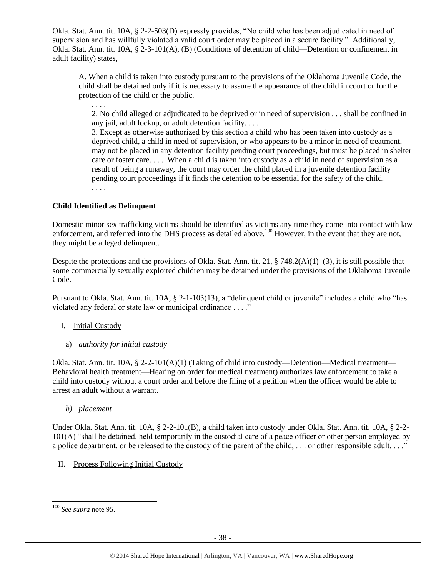Okla. Stat. Ann. tit. 10A, § 2-2-503(D) expressly provides, "No child who has been adjudicated in need of supervision and has willfully violated a valid court order may be placed in a secure facility." Additionally, Okla. Stat. Ann. tit. 10A, § 2-3-101(A), (B) (Conditions of detention of child—Detention or confinement in adult facility) states,

A. When a child is taken into custody pursuant to the provisions of the Oklahoma Juvenile Code, the child shall be detained only if it is necessary to assure the appearance of the child in court or for the protection of the child or the public.

2. No child alleged or adjudicated to be deprived or in need of supervision . . . shall be confined in any jail, adult lockup, or adult detention facility. . . .

3. Except as otherwise authorized by this section a child who has been taken into custody as a deprived child, a child in need of supervision, or who appears to be a minor in need of treatment, may not be placed in any detention facility pending court proceedings, but must be placed in shelter care or foster care. . . . When a child is taken into custody as a child in need of supervision as a result of being a runaway, the court may order the child placed in a juvenile detention facility pending court proceedings if it finds the detention to be essential for the safety of the child. . . . .

**Child Identified as Delinquent**

. . . .

Domestic minor sex trafficking victims should be identified as victims any time they come into contact with law enforcement, and referred into the DHS process as detailed above.<sup>100</sup> However, in the event that they are not, they might be alleged delinquent.

Despite the protections and the provisions of Okla. Stat. Ann. tit. 21,  $\S$  748.2(A)(1)–(3), it is still possible that some commercially sexually exploited children may be detained under the provisions of the Oklahoma Juvenile Code.

Pursuant to Okla. Stat. Ann. tit. 10A, § 2-1-103(13), a "delinquent child or juvenile" includes a child who "has violated any federal or state law or municipal ordinance . . . ."

#### I. Initial Custody

a) *authority for initial custody*

Okla. Stat. Ann. tit. 10A, § 2-2-101(A)(1) (Taking of child into custody—Detention—Medical treatment— Behavioral health treatment—Hearing on order for medical treatment) authorizes law enforcement to take a child into custody without a court order and before the filing of a petition when the officer would be able to arrest an adult without a warrant.

*b) placement*

Under Okla. Stat. Ann. tit. 10A, § 2-2-101(B), a child taken into custody under Okla. Stat. Ann. tit. 10A, § 2-2- 101(A) "shall be detained, held temporarily in the custodial care of a peace officer or other person employed by a police department, or be released to the custody of the parent of the child, ... or other responsible adult...."

II. Process Following Initial Custody

l

<sup>100</sup> *See supra* not[e 95.](#page-33-0)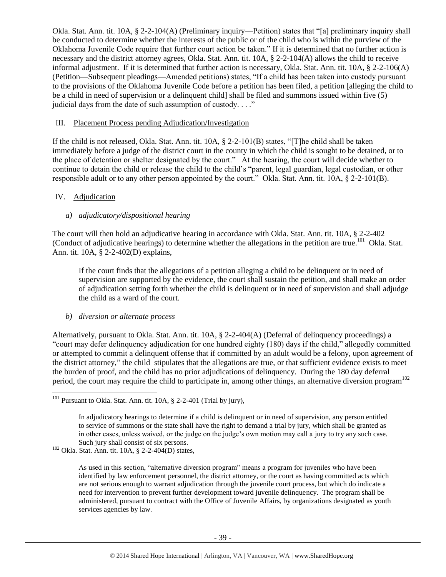Okla. Stat. Ann. tit. 10A, § 2-2-104(A) (Preliminary inquiry—Petition) states that "[a] preliminary inquiry shall be conducted to determine whether the interests of the public or of the child who is within the purview of the Oklahoma Juvenile Code require that further court action be taken." If it is determined that no further action is necessary and the district attorney agrees, Okla. Stat. Ann. tit. 10A, § 2-2-104(A) allows the child to receive informal adjustment. If it is determined that further action is necessary, Okla. Stat. Ann. tit. 10A, § 2-2-106(A) (Petition—Subsequent pleadings—Amended petitions) states, "If a child has been taken into custody pursuant to the provisions of the Oklahoma Juvenile Code before a petition has been filed, a petition [alleging the child to be a child in need of supervision or a delinquent child] shall be filed and summons issued within five (5) judicial days from the date of such assumption of custody. . . ."

#### III. Placement Process pending Adjudication/Investigation

If the child is not released, Okla. Stat. Ann. tit. 10A, § 2-2-101(B) states, "[T]he child shall be taken immediately before a judge of the district court in the county in which the child is sought to be detained, or to the place of detention or shelter designated by the court." At the hearing, the court will decide whether to continue to detain the child or release the child to the child's "parent, legal guardian, legal custodian, or other responsible adult or to any other person appointed by the court." Okla. Stat. Ann. tit. 10A, § 2-2-101(B).

#### IV. Adjudication

 $\overline{\phantom{a}}$ 

#### *a) adjudicatory/dispositional hearing*

The court will then hold an adjudicative hearing in accordance with Okla. Stat. Ann. tit. 10A, § 2-2-402 (Conduct of adjudicative hearings) to determine whether the allegations in the petition are true.<sup>101</sup> Okla. Stat. Ann. tit. 10A, § 2-2-402(D) explains,

If the court finds that the allegations of a petition alleging a child to be delinquent or in need of supervision are supported by the evidence, the court shall sustain the petition, and shall make an order of adjudication setting forth whether the child is delinquent or in need of supervision and shall adjudge the child as a ward of the court.

#### *b) diversion or alternate process*

Alternatively, pursuant to Okla. Stat. Ann. tit. 10A, § 2-2-404(A) (Deferral of delinquency proceedings) a "court may defer delinquency adjudication for one hundred eighty (180) days if the child," allegedly committed or attempted to commit a delinquent offense that if committed by an adult would be a felony, upon agreement of the district attorney," the child stipulates that the allegations are true, or that sufficient evidence exists to meet the burden of proof, and the child has no prior adjudications of delinquency. During the 180 day deferral period, the court may require the child to participate in, among other things, an alternative diversion program<sup>102</sup>

 $101$  Pursuant to Okla. Stat. Ann. tit. 10A, § 2-2-401 (Trial by jury),

In adjudicatory hearings to determine if a child is delinquent or in need of supervision, any person entitled to service of summons or the state shall have the right to demand a trial by jury, which shall be granted as in other cases, unless waived, or the judge on the judge's own motion may call a jury to try any such case. Such jury shall consist of six persons.

 $102$  Okla. Stat. Ann. tit. 10A, § 2-2-404(D) states,

As used in this section, "alternative diversion program" means a program for juveniles who have been identified by law enforcement personnel, the district attorney, or the court as having committed acts which are not serious enough to warrant adjudication through the juvenile court process, but which do indicate a need for intervention to prevent further development toward juvenile delinquency. The program shall be administered, pursuant to contract with the Office of Juvenile Affairs, by organizations designated as youth services agencies by law.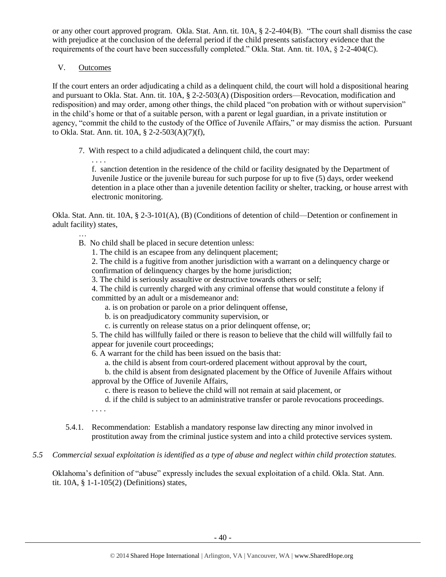or any other court approved program. Okla. Stat. Ann. tit. 10A, § 2-2-404(B). "The court shall dismiss the case with prejudice at the conclusion of the deferral period if the child presents satisfactory evidence that the requirements of the court have been successfully completed." Okla. Stat. Ann. tit. 10A, § 2-2-404(C).

V. Outcomes

. . . .

…

If the court enters an order adjudicating a child as a delinquent child, the court will hold a dispositional hearing and pursuant to Okla. Stat. Ann. tit. 10A, § 2-2-503(A) (Disposition orders—Revocation, modification and redisposition) and may order, among other things, the child placed "on probation with or without supervision" in the child's home or that of a suitable person, with a parent or legal guardian, in a private institution or agency, "commit the child to the custody of the Office of Juvenile Affairs," or may dismiss the action. Pursuant to Okla. Stat. Ann. tit. 10A, § 2-2-503(A)(7)(f),

7. With respect to a child adjudicated a delinquent child, the court may:

f. sanction detention in the residence of the child or facility designated by the Department of Juvenile Justice or the juvenile bureau for such purpose for up to five (5) days, order weekend detention in a place other than a juvenile detention facility or shelter, tracking, or house arrest with electronic monitoring.

Okla. Stat. Ann. tit. 10A, § 2-3-101(A), (B) (Conditions of detention of child—Detention or confinement in adult facility) states,

- B. No child shall be placed in secure detention unless:
	- 1. The child is an escapee from any delinquent placement;

2. The child is a fugitive from another jurisdiction with a warrant on a delinquency charge or confirmation of delinquency charges by the home jurisdiction;

3. The child is seriously assaultive or destructive towards others or self;

4. The child is currently charged with any criminal offense that would constitute a felony if committed by an adult or a misdemeanor and:

- a. is on probation or parole on a prior delinquent offense,
- b. is on preadjudicatory community supervision, or
- c. is currently on release status on a prior delinquent offense, or;

5. The child has willfully failed or there is reason to believe that the child will willfully fail to appear for juvenile court proceedings;

6. A warrant for the child has been issued on the basis that:

a. the child is absent from court-ordered placement without approval by the court,

b. the child is absent from designated placement by the Office of Juvenile Affairs without approval by the Office of Juvenile Affairs,

c. there is reason to believe the child will not remain at said placement, or

- d. if the child is subject to an administrative transfer or parole revocations proceedings.
- . . . .
- 5.4.1. Recommendation: Establish a mandatory response law directing any minor involved in prostitution away from the criminal justice system and into a child protective services system.
- *5.5 Commercial sexual exploitation is identified as a type of abuse and neglect within child protection statutes.*

Oklahoma's definition of "abuse" expressly includes the sexual exploitation of a child. Okla. Stat. Ann. tit. 10A, § 1-1-105(2) (Definitions) states,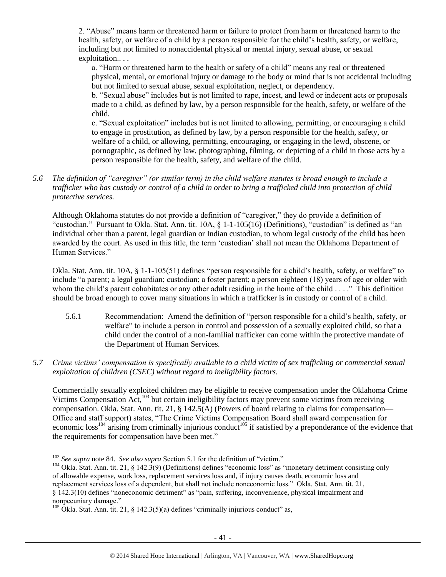2. "Abuse" means harm or threatened harm or failure to protect from harm or threatened harm to the health, safety, or welfare of a child by a person responsible for the child's health, safety, or welfare, including but not limited to nonaccidental physical or mental injury, sexual abuse, or sexual exploitation.. . .

a. "Harm or threatened harm to the health or safety of a child" means any real or threatened physical, mental, or emotional injury or damage to the body or mind that is not accidental including but not limited to sexual abuse, sexual exploitation, neglect, or dependency.

b. "Sexual abuse" includes but is not limited to rape, incest, and lewd or indecent acts or proposals made to a child, as defined by law, by a person responsible for the health, safety, or welfare of the child.

c. "Sexual exploitation" includes but is not limited to allowing, permitting, or encouraging a child to engage in prostitution, as defined by law, by a person responsible for the health, safety, or welfare of a child, or allowing, permitting, encouraging, or engaging in the lewd, obscene, or pornographic, as defined by law, photographing, filming, or depicting of a child in those acts by a person responsible for the health, safety, and welfare of the child.

## *5.6 The definition of "caregiver" (or similar term) in the child welfare statutes is broad enough to include a trafficker who has custody or control of a child in order to bring a trafficked child into protection of child protective services.*

Although Oklahoma statutes do not provide a definition of "caregiver," they do provide a definition of "custodian." Pursuant to Okla. Stat. Ann. tit. 10A, § 1-1-105(16) (Definitions), "custodian" is defined as "an individual other than a parent, legal guardian or Indian custodian, to whom legal custody of the child has been awarded by the court. As used in this title, the term 'custodian' shall not mean the Oklahoma Department of Human Services."

Okla. Stat. Ann. tit. 10A, § 1-1-105(51) defines "person responsible for a child's health, safety, or welfare" to include "a parent; a legal guardian; custodian; a foster parent; a person eighteen (18) years of age or older with whom the child's parent cohabitates or any other adult residing in the home of the child . . . ." This definition should be broad enough to cover many situations in which a trafficker is in custody or control of a child.

- 5.6.1 Recommendation: Amend the definition of "person responsible for a child's health, safety, or welfare" to include a person in control and possession of a sexually exploited child, so that a child under the control of a non-familial trafficker can come within the protective mandate of the Department of Human Services.
- *5.7 Crime victims' compensation is specifically available to a child victim of sex trafficking or commercial sexual exploitation of children (CSEC) without regard to ineligibility factors.*

Commercially sexually exploited children may be eligible to receive compensation under the Oklahoma Crime Victims Compensation Act,<sup>103</sup> but certain ineligibility factors may prevent some victims from receiving compensation. Okla. Stat. Ann. tit. 21, § 142.5(A) (Powers of board relating to claims for compensation— Office and staff support) states, "The Crime Victims Compensation Board shall award compensation for economic loss<sup>104</sup> arising from criminally injurious conduct<sup>105</sup> if satisfied by a preponderance of the evidence that the requirements for compensation have been met."

l

<sup>103</sup> *See supra* not[e 84.](#page-29-0) *See also supra* Section 5.1 for the definition of "victim."

 $104$  Okla. Stat. Ann. tit. 21, § 142.3(9) (Definitions) defines "economic loss" as "monetary detriment consisting only of allowable expense, work loss, replacement services loss and, if injury causes death, economic loss and replacement services loss of a dependent, but shall not include noneconomic loss." Okla. Stat. Ann. tit. 21, § 142.3(10) defines "noneconomic detriment" as "pain, suffering, inconvenience, physical impairment and nonpecuniary damage."

<sup>&</sup>lt;sup>105</sup> Okla. Stat. Ann. tit. 21, § 142.3(5)(a) defines "criminally injurious conduct" as,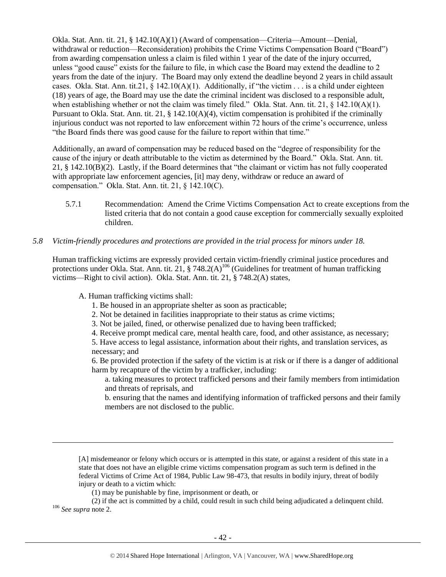Okla. Stat. Ann. tit. 21, § 142.10(A)(1) (Award of compensation—Criteria—Amount—Denial, withdrawal or reduction—Reconsideration) prohibits the Crime Victims Compensation Board ("Board") from awarding compensation unless a claim is filed within 1 year of the date of the injury occurred, unless "good cause" exists for the failure to file, in which case the Board may extend the deadline to 2 years from the date of the injury. The Board may only extend the deadline beyond 2 years in child assault cases. Okla. Stat. Ann. tit.21,  $\S$  142.10(A)(1). Additionally, if "the victim . . . is a child under eighteen (18) years of age, the Board may use the date the criminal incident was disclosed to a responsible adult, when establishing whether or not the claim was timely filed." Okla. Stat. Ann. tit. 21, § 142.10(A)(1). Pursuant to Okla. Stat. Ann. tit. 21, § 142.10(A)(4), victim compensation is prohibited if the criminally injurious conduct was not reported to law enforcement within 72 hours of the crime's occurrence, unless "the Board finds there was good cause for the failure to report within that time."

Additionally, an award of compensation may be reduced based on the "degree of responsibility for the cause of the injury or death attributable to the victim as determined by the Board." Okla. Stat. Ann. tit. 21, § 142.10(B)(2). Lastly, if the Board determines that "the claimant or victim has not fully cooperated with appropriate law enforcement agencies, [it] may deny, withdraw or reduce an award of compensation." Okla. Stat. Ann. tit. 21, § 142.10(C).

5.7.1 Recommendation: Amend the Crime Victims Compensation Act to create exceptions from the listed criteria that do not contain a good cause exception for commercially sexually exploited children.

#### *5.8 Victim-friendly procedures and protections are provided in the trial process for minors under 18.*

Human trafficking victims are expressly provided certain victim-friendly criminal justice procedures and protections under Okla. Stat. Ann. tit. 21, § 748.2(A)<sup>106</sup> (Guidelines for treatment of human trafficking victims—Right to civil action). Okla. Stat. Ann. tit. 21, § 748.2(A) states,

A. Human trafficking victims shall:

 $\overline{\phantom{a}}$ 

- 1. Be housed in an appropriate shelter as soon as practicable;
- 2. Not be detained in facilities inappropriate to their status as crime victims;
- 3. Not be jailed, fined, or otherwise penalized due to having been trafficked;
- 4. Receive prompt medical care, mental health care, food, and other assistance, as necessary;

5. Have access to legal assistance, information about their rights, and translation services, as necessary; and

6. Be provided protection if the safety of the victim is at risk or if there is a danger of additional harm by recapture of the victim by a trafficker, including:

a. taking measures to protect trafficked persons and their family members from intimidation and threats of reprisals, and

b. ensuring that the names and identifying information of trafficked persons and their family members are not disclosed to the public.

[A] misdemeanor or felony which occurs or is attempted in this state, or against a resident of this state in a state that does not have an eligible crime victims compensation program as such term is defined in the federal Victims of Crime Act of 1984, Public Law 98-473, that results in bodily injury, threat of bodily injury or death to a victim which:

(1) may be punishable by fine, imprisonment or death, or

(2) if the act is committed by a child, could result in such child being adjudicated a delinquent child. <sup>106</sup> *See supra* not[e 2.](#page-0-0)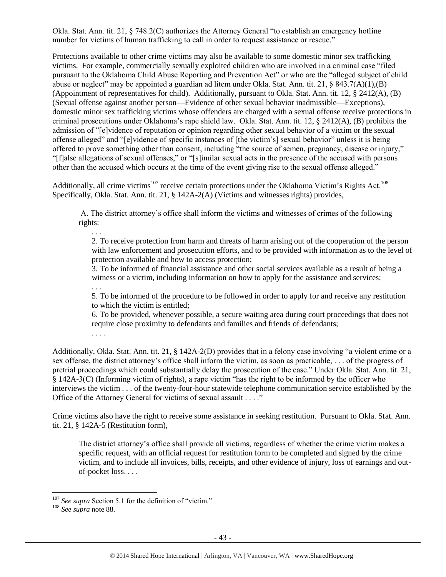Okla. Stat. Ann. tit. 21, § 748.2(C) authorizes the Attorney General "to establish an emergency hotline number for victims of human trafficking to call in order to request assistance or rescue."

Protections available to other crime victims may also be available to some domestic minor sex trafficking victims. For example, commercially sexually exploited children who are involved in a criminal case "filed pursuant to the Oklahoma Child Abuse Reporting and Prevention Act" or who are the "alleged subject of child abuse or neglect" may be appointed a guardian ad litem under Okla. Stat. Ann. tit. 21, § 843.7(A)(1),(B) (Appointment of representatives for child). Additionally, pursuant to Okla. Stat. Ann. tit. 12, § 2412(A), (B) (Sexual offense against another person—Evidence of other sexual behavior inadmissible—Exceptions), domestic minor sex trafficking victims whose offenders are charged with a sexual offense receive protections in criminal prosecutions under Oklahoma's rape shield law. Okla. Stat. Ann. tit. 12, § 2412(A), (B) prohibits the admission of "[e]vidence of reputation or opinion regarding other sexual behavior of a victim or the sexual offense alleged" and "[e]vidence of specific instances of [the victim's] sexual behavior" unless it is being offered to prove something other than consent, including "the source of semen, pregnancy, disease or injury," "[f]alse allegations of sexual offenses," or "[s]imilar sexual acts in the presence of the accused with persons other than the accused which occurs at the time of the event giving rise to the sexual offense alleged."

Additionally, all crime victims<sup>107</sup> receive certain protections under the Oklahoma Victim's Rights Act.<sup>108</sup> Specifically, Okla. Stat. Ann. tit. 21, § 142A-2(A) (Victims and witnesses rights) provides,

A. The district attorney's office shall inform the victims and witnesses of crimes of the following rights:

. . . 2. To receive protection from harm and threats of harm arising out of the cooperation of the person with law enforcement and prosecution efforts, and to be provided with information as to the level of protection available and how to access protection;

3. To be informed of financial assistance and other social services available as a result of being a witness or a victim, including information on how to apply for the assistance and services;

. . . 5. To be informed of the procedure to be followed in order to apply for and receive any restitution to which the victim is entitled;

6. To be provided, whenever possible, a secure waiting area during court proceedings that does not require close proximity to defendants and families and friends of defendants; . . . .

Additionally, Okla. Stat. Ann. tit. 21, § 142A-2(D) provides that in a felony case involving "a violent crime or a sex offense, the district attorney's office shall inform the victim, as soon as practicable, . . . of the progress of pretrial proceedings which could substantially delay the prosecution of the case." Under Okla. Stat. Ann. tit. 21, § 142A-3(C) (Informing victim of rights), a rape victim "has the right to be informed by the officer who interviews the victim . . . of the twenty-four-hour statewide telephone communication service established by the Office of the Attorney General for victims of sexual assault . . . ."

Crime victims also have the right to receive some assistance in seeking restitution. Pursuant to Okla. Stat. Ann. tit. 21, § 142A-5 (Restitution form),

The district attorney's office shall provide all victims, regardless of whether the crime victim makes a specific request, with an official request for restitution form to be completed and signed by the crime victim, and to include all invoices, bills, receipts, and other evidence of injury, loss of earnings and outof-pocket loss. . . .

 $\overline{\phantom{a}}$ <sup>107</sup> See supra Section 5.1 for the definition of "victim."

<sup>108</sup> *See supra* not[e 88.](#page-30-0)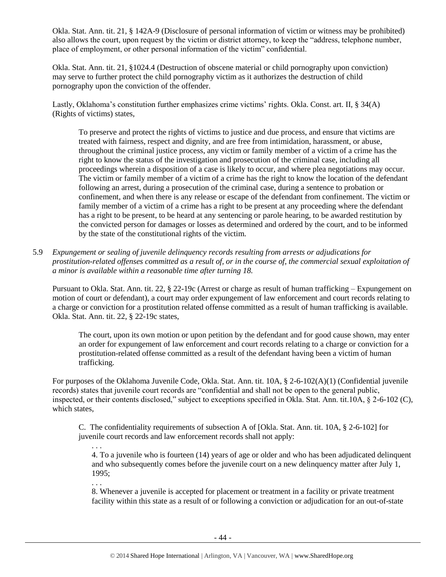Okla. Stat. Ann. tit. 21, § 142A-9 (Disclosure of personal information of victim or witness may be prohibited) also allows the court, upon request by the victim or district attorney, to keep the "address, telephone number, place of employment, or other personal information of the victim" confidential.

Okla. Stat. Ann. tit. 21, §1024.4 (Destruction of obscene material or child pornography upon conviction) may serve to further protect the child pornography victim as it authorizes the destruction of child pornography upon the conviction of the offender.

Lastly, Oklahoma's constitution further emphasizes crime victims' rights. Okla. Const. art. II, § 34(A) (Rights of victims) states,

To preserve and protect the rights of victims to justice and due process, and ensure that victims are treated with fairness, respect and dignity, and are free from intimidation, harassment, or abuse, throughout the criminal justice process, any victim or family member of a victim of a crime has the right to know the status of the investigation and prosecution of the criminal case, including all proceedings wherein a disposition of a case is likely to occur, and where plea negotiations may occur. The victim or family member of a victim of a crime has the right to know the location of the defendant following an arrest, during a prosecution of the criminal case, during a sentence to probation or confinement, and when there is any release or escape of the defendant from confinement. The victim or family member of a victim of a crime has a right to be present at any proceeding where the defendant has a right to be present, to be heard at any sentencing or parole hearing, to be awarded restitution by the convicted person for damages or losses as determined and ordered by the court, and to be informed by the state of the constitutional rights of the victim.

5.9 *Expungement or sealing of juvenile delinquency records resulting from arrests or adjudications for prostitution-related offenses committed as a result of, or in the course of, the commercial sexual exploitation of a minor is available within a reasonable time after turning 18.*

Pursuant to Okla. Stat. Ann. tit. 22, § 22-19c (Arrest or charge as result of human trafficking – Expungement on motion of court or defendant), a court may order expungement of law enforcement and court records relating to a charge or conviction for a prostitution related offense committed as a result of human trafficking is available. Okla. Stat. Ann. tit. 22, § 22-19c states,

The court, upon its own motion or upon petition by the defendant and for good cause shown, may enter an order for expungement of law enforcement and court records relating to a charge or conviction for a prostitution-related offense committed as a result of the defendant having been a victim of human trafficking.

For purposes of the Oklahoma Juvenile Code, Okla. Stat. Ann. tit. 10A, § 2-6-102(A)(1) (Confidential juvenile records) states that juvenile court records are "confidential and shall not be open to the general public, inspected, or their contents disclosed," subject to exceptions specified in Okla. Stat. Ann. tit.10A, § 2-6-102 (C), which states,

C. The confidentiality requirements of subsection A of [Okla. Stat. Ann. tit. 10A, § 2-6-102] for juvenile court records and law enforcement records shall not apply:

. . . 4. To a juvenile who is fourteen (14) years of age or older and who has been adjudicated delinquent and who subsequently comes before the juvenile court on a new delinquency matter after July 1, 1995;

. . .

8. Whenever a juvenile is accepted for placement or treatment in a facility or private treatment facility within this state as a result of or following a conviction or adjudication for an out-of-state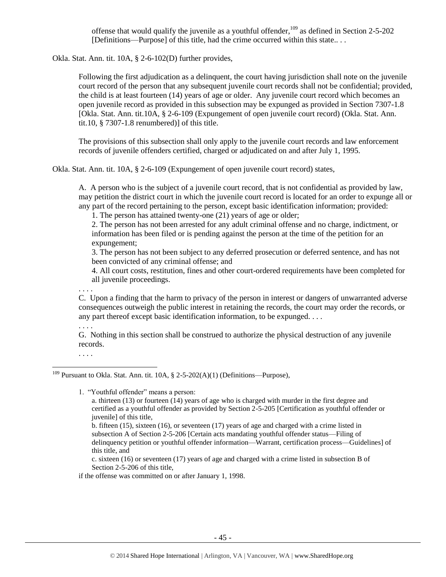offense that would qualify the juvenile as a youthful offender, $109$  as defined in Section 2-5-202 [Definitions—Purpose] of this title, had the crime occurred within this state.. . .

Okla. Stat. Ann. tit. 10A, § 2-6-102(D) further provides,

Following the first adjudication as a delinquent, the court having jurisdiction shall note on the juvenile court record of the person that any subsequent juvenile court records shall not be confidential; provided, the child is at least fourteen (14) years of age or older. Any juvenile court record which becomes an open juvenile record as provided in this subsection may be expunged as provided in Section 7307-1.8 [Okla. Stat. Ann. tit.10A, § 2-6-109 (Expungement of open juvenile court record) (Okla. Stat. Ann. tit.10, § 7307-1.8 renumbered)] of this title.

The provisions of this subsection shall only apply to the juvenile court records and law enforcement records of juvenile offenders certified, charged or adjudicated on and after July 1, 1995.

Okla. Stat. Ann. tit. 10A, § 2-6-109 (Expungement of open juvenile court record) states,

A. A person who is the subject of a juvenile court record, that is not confidential as provided by law, may petition the district court in which the juvenile court record is located for an order to expunge all or any part of the record pertaining to the person, except basic identification information; provided:

1. The person has attained twenty-one (21) years of age or older;

2. The person has not been arrested for any adult criminal offense and no charge, indictment, or information has been filed or is pending against the person at the time of the petition for an expungement;

3. The person has not been subject to any deferred prosecution or deferred sentence, and has not been convicted of any criminal offense; and

4. All court costs, restitution, fines and other court-ordered requirements have been completed for all juvenile proceedings.

. . . . C. Upon a finding that the harm to privacy of the person in interest or dangers of unwarranted adverse consequences outweigh the public interest in retaining the records, the court may order the records, or any part thereof except basic identification information, to be expunged. . . .

. . . .

G. Nothing in this section shall be construed to authorize the physical destruction of any juvenile records.

. . . .

 $\overline{\phantom{a}}$ 

1. "Youthful offender" means a person:

c. sixteen (16) or seventeen (17) years of age and charged with a crime listed in subsection B of Section 2-5-206 of this title,

if the offense was committed on or after January 1, 1998.

<sup>&</sup>lt;sup>109</sup> Pursuant to Okla. Stat. Ann. tit. 10A,  $\S$  2-5-202(A)(1) (Definitions—Purpose),

a. thirteen (13) or fourteen (14) years of age who is charged with murder in the first degree and certified as a youthful offender as provided by Section 2-5-205 [Certification as youthful offender or juvenile] of this title,

b. fifteen (15), sixteen (16), or seventeen (17) years of age and charged with a crime listed in subsection A of Section 2-5-206 [Certain acts mandating youthful offender status—Filing of delinquency petition or youthful offender information—Warrant, certification process—Guidelines] of this title, and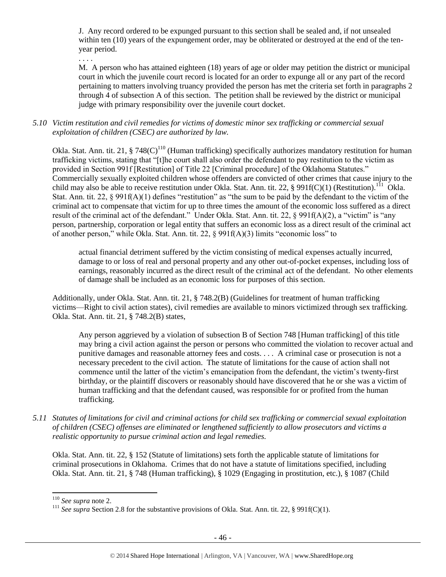J. Any record ordered to be expunged pursuant to this section shall be sealed and, if not unsealed within ten (10) years of the expungement order, may be obliterated or destroyed at the end of the tenyear period.

. . . .

M. A person who has attained eighteen (18) years of age or older may petition the district or municipal court in which the juvenile court record is located for an order to expunge all or any part of the record pertaining to matters involving truancy provided the person has met the criteria set forth in paragraphs 2 through 4 of subsection A of this section. The petition shall be reviewed by the district or municipal judge with primary responsibility over the juvenile court docket.

## *5.10 Victim restitution and civil remedies for victims of domestic minor sex trafficking or commercial sexual exploitation of children (CSEC) are authorized by law.*

Okla. Stat. Ann. tit. 21, § 748(C)<sup>110</sup> (Human trafficking) specifically authorizes mandatory restitution for human trafficking victims, stating that "[t]he court shall also order the defendant to pay restitution to the victim as provided in Section 991f [Restitution] of Title 22 [Criminal procedure] of the Oklahoma Statutes." Commercially sexually exploited children whose offenders are convicted of other crimes that cause injury to the child may also be able to receive restitution under Okla. Stat. Ann. tit. 22, § 991f(C)(1) (Restitution).<sup>111</sup> Okla. Stat. Ann. tit. 22, § 991f(A)(1) defines "restitution" as "the sum to be paid by the defendant to the victim of the criminal act to compensate that victim for up to three times the amount of the economic loss suffered as a direct result of the criminal act of the defendant." Under Okla. Stat. Ann. tit. 22, § 991f(A)(2), a "victim" is "any person, partnership, corporation or legal entity that suffers an economic loss as a direct result of the criminal act of another person," while Okla. Stat. Ann. tit. 22, § 991f(A)(3) limits "economic loss" to

actual financial detriment suffered by the victim consisting of medical expenses actually incurred, damage to or loss of real and personal property and any other out-of-pocket expenses, including loss of earnings, reasonably incurred as the direct result of the criminal act of the defendant. No other elements of damage shall be included as an economic loss for purposes of this section.

Additionally, under Okla. Stat. Ann. tit. 21, § 748.2(B) (Guidelines for treatment of human trafficking victims—Right to civil action states), civil remedies are available to minors victimized through sex trafficking. Okla. Stat. Ann. tit. 21, § 748.2(B) states,

Any person aggrieved by a violation of subsection B of Section 748 [Human trafficking] of this title may bring a civil action against the person or persons who committed the violation to recover actual and punitive damages and reasonable attorney fees and costs. . . . A criminal case or prosecution is not a necessary precedent to the civil action. The statute of limitations for the cause of action shall not commence until the latter of the victim's emancipation from the defendant, the victim's twenty-first birthday, or the plaintiff discovers or reasonably should have discovered that he or she was a victim of human trafficking and that the defendant caused, was responsible for or profited from the human trafficking.

*5.11 Statutes of limitations for civil and criminal actions for child sex trafficking or commercial sexual exploitation of children (CSEC) offenses are eliminated or lengthened sufficiently to allow prosecutors and victims a realistic opportunity to pursue criminal action and legal remedies.*

Okla. Stat. Ann. tit. 22, § 152 (Statute of limitations) sets forth the applicable statute of limitations for criminal prosecutions in Oklahoma. Crimes that do not have a statute of limitations specified, including Okla. Stat. Ann. tit. 21, § 748 (Human trafficking), § 1029 (Engaging in prostitution, etc.), § 1087 (Child

<sup>110</sup> *See supra* not[e 2.](#page-0-0)

<sup>&</sup>lt;sup>111</sup> *See supra* Section 2.8 for the substantive provisions of Okla. Stat. Ann. tit. 22, § 991f(C)(1).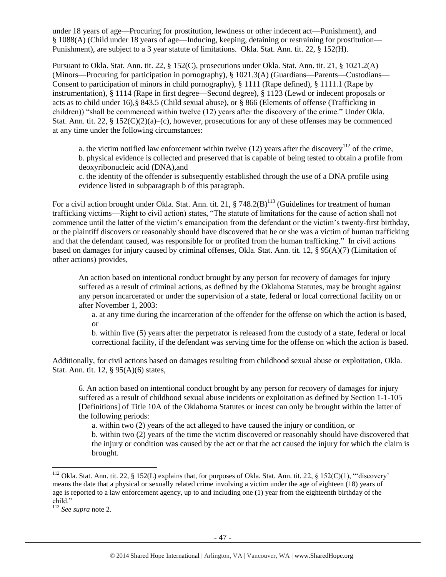under 18 years of age—Procuring for prostitution, lewdness or other indecent act—Punishment), and § 1088(A) (Child under 18 years of age—Inducing, keeping, detaining or restraining for prostitution— Punishment), are subject to a 3 year statute of limitations. Okla. Stat. Ann. tit. 22, § 152(H).

Pursuant to Okla. Stat. Ann. tit. 22, § 152(C), prosecutions under Okla. Stat. Ann. tit. 21, § 1021.2(A) (Minors—Procuring for participation in pornography), § 1021.3(A) (Guardians—Parents—Custodians— Consent to participation of minors in child pornography), § 1111 (Rape defined), § 1111.1 (Rape by instrumentation), § 1114 (Rape in first degree—Second degree), § 1123 (Lewd or indecent proposals or acts as to child under 16),§ 843.5 (Child sexual abuse), or § 866 (Elements of offense (Trafficking in children)) "shall be commenced within twelve (12) years after the discovery of the crime." Under Okla. Stat. Ann. tit. 22,  $\S 152(C)(2)(a)$ –(c), however, prosecutions for any of these offenses may be commenced at any time under the following circumstances:

a. the victim notified law enforcement within twelve  $(12)$  years after the discovery<sup>112</sup> of the crime, b. physical evidence is collected and preserved that is capable of being tested to obtain a profile from deoxyribonucleic acid (DNA),and

c. the identity of the offender is subsequently established through the use of a DNA profile using evidence listed in subparagraph b of this paragraph.

For a civil action brought under Okla. Stat. Ann. tit. 21,  $\S$  748.2(B)<sup>113</sup> (Guidelines for treatment of human trafficking victims—Right to civil action) states, "The statute of limitations for the cause of action shall not commence until the latter of the victim's emancipation from the defendant or the victim's twenty-first birthday, or the plaintiff discovers or reasonably should have discovered that he or she was a victim of human trafficking and that the defendant caused, was responsible for or profited from the human trafficking." In civil actions based on damages for injury caused by criminal offenses, Okla. Stat. Ann. tit. 12, § 95(A)(7) (Limitation of other actions) provides,

An action based on intentional conduct brought by any person for recovery of damages for injury suffered as a result of criminal actions, as defined by the Oklahoma Statutes, may be brought against any person incarcerated or under the supervision of a state, federal or local correctional facility on or after November 1, 2003:

a. at any time during the incarceration of the offender for the offense on which the action is based, or

b. within five (5) years after the perpetrator is released from the custody of a state, federal or local correctional facility, if the defendant was serving time for the offense on which the action is based.

Additionally, for civil actions based on damages resulting from childhood sexual abuse or exploitation, Okla. Stat. Ann. tit. 12, § 95(A)(6) states,

6. An action based on intentional conduct brought by any person for recovery of damages for injury suffered as a result of childhood sexual abuse incidents or exploitation as defined by Section 1-1-105 [Definitions] of Title 10A of the Oklahoma Statutes or incest can only be brought within the latter of the following periods:

a. within two (2) years of the act alleged to have caused the injury or condition, or b. within two (2) years of the time the victim discovered or reasonably should have discovered that the injury or condition was caused by the act or that the act caused the injury for which the claim is brought.

<sup>&</sup>lt;sup>112</sup> Okla. Stat. Ann. tit. 22, § 152(L) explains that, for purposes of Okla. Stat. Ann. tit. 22, § 152(C)(1), ""discovery' means the date that a physical or sexually related crime involving a victim under the age of eighteen (18) years of age is reported to a law enforcement agency, up to and including one (1) year from the eighteenth birthday of the child."

<sup>113</sup> *See supra* not[e 2.](#page-0-0)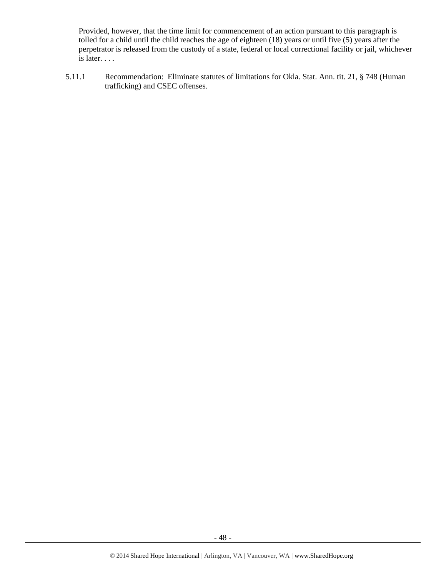Provided, however, that the time limit for commencement of an action pursuant to this paragraph is tolled for a child until the child reaches the age of eighteen (18) years or until five (5) years after the perpetrator is released from the custody of a state, federal or local correctional facility or jail, whichever is later. . . .

5.11.1 Recommendation: Eliminate statutes of limitations for Okla. Stat. Ann. tit. 21, § 748 (Human trafficking) and CSEC offenses.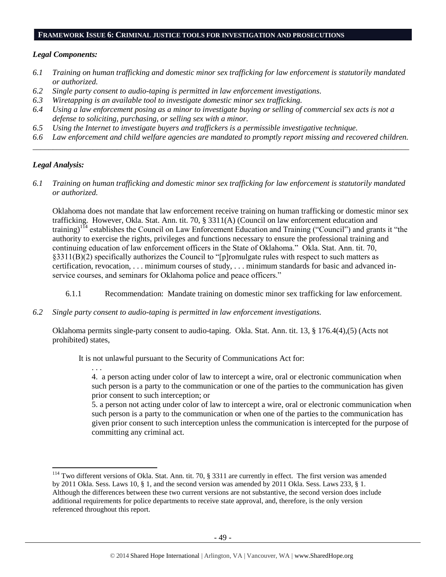#### **FRAMEWORK ISSUE 6: CRIMINAL JUSTICE TOOLS FOR INVESTIGATION AND PROSECUTIONS**

#### *Legal Components:*

- *6.1 Training on human trafficking and domestic minor sex trafficking for law enforcement is statutorily mandated or authorized.*
- *6.2 Single party consent to audio-taping is permitted in law enforcement investigations.*
- *6.3 Wiretapping is an available tool to investigate domestic minor sex trafficking.*
- *6.4 Using a law enforcement posing as a minor to investigate buying or selling of commercial sex acts is not a defense to soliciting, purchasing, or selling sex with a minor.*
- *6.5 Using the Internet to investigate buyers and traffickers is a permissible investigative technique.*
- *6.6 Law enforcement and child welfare agencies are mandated to promptly report missing and recovered children. \_\_\_\_\_\_\_\_\_\_\_\_\_\_\_\_\_\_\_\_\_\_\_\_\_\_\_\_\_\_\_\_\_\_\_\_\_\_\_\_\_\_\_\_\_\_\_\_\_\_\_\_\_\_\_\_\_\_\_\_\_\_\_\_\_\_\_\_\_\_\_\_\_\_\_\_\_\_\_\_\_\_\_\_\_\_\_\_\_\_\_\_\_\_*

#### *Legal Analysis:*

. . .

 $\overline{\phantom{a}}$ 

*6.1 Training on human trafficking and domestic minor sex trafficking for law enforcement is statutorily mandated or authorized.*

Oklahoma does not mandate that law enforcement receive training on human trafficking or domestic minor sex trafficking. However, Okla. Stat. Ann. tit. 70, § 3311(A) (Council on law enforcement education and training)<sup>114</sup> establishes the Council on Law Enforcement Education and Training ("Council") and grants it "the authority to exercise the rights, privileges and functions necessary to ensure the professional training and continuing education of law enforcement officers in the State of Oklahoma." Okla. Stat. Ann. tit. 70, §3311(B)(2) specifically authorizes the Council to "[p]romulgate rules with respect to such matters as certification, revocation, . . . minimum courses of study, . . . minimum standards for basic and advanced inservice courses, and seminars for Oklahoma police and peace officers."

- 6.1.1 Recommendation: Mandate training on domestic minor sex trafficking for law enforcement.
- *6.2 Single party consent to audio-taping is permitted in law enforcement investigations.*

Oklahoma permits single-party consent to audio-taping. Okla. Stat. Ann. tit. 13, § 176.4(4),(5) (Acts not prohibited) states,

It is not unlawful pursuant to the Security of Communications Act for:

4. a person acting under color of law to intercept a wire, oral or electronic communication when such person is a party to the communication or one of the parties to the communication has given prior consent to such interception; or

5. a person not acting under color of law to intercept a wire, oral or electronic communication when such person is a party to the communication or when one of the parties to the communication has given prior consent to such interception unless the communication is intercepted for the purpose of committing any criminal act.

 $114$  Two different versions of Okla. Stat. Ann. tit. 70, § 3311 are currently in effect. The first version was amended by 2011 Okla. Sess. Laws 10, § 1, and the second version was amended by 2011 Okla. Sess. Laws 233, § 1. Although the differences between these two current versions are not substantive, the second version does include additional requirements for police departments to receive state approval, and, therefore, is the only version referenced throughout this report.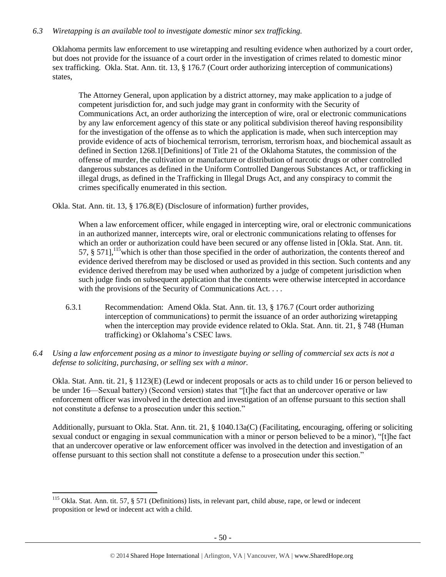## *6.3 Wiretapping is an available tool to investigate domestic minor sex trafficking.*

Oklahoma permits law enforcement to use wiretapping and resulting evidence when authorized by a court order, but does not provide for the issuance of a court order in the investigation of crimes related to domestic minor sex trafficking. Okla. Stat. Ann. tit. 13, § 176.7 (Court order authorizing interception of communications) states,

The Attorney General, upon application by a district attorney, may make application to a judge of competent jurisdiction for, and such judge may grant in conformity with the Security of Communications Act, an order authorizing the interception of wire, oral or electronic communications by any law enforcement agency of this state or any political subdivision thereof having responsibility for the investigation of the offense as to which the application is made, when such interception may provide evidence of acts of biochemical terrorism, terrorism, terrorism hoax, and biochemical assault as defined in Section 1268.1[Definitions] of Title 21 of the Oklahoma Statutes, the commission of the offense of murder, the cultivation or manufacture or distribution of narcotic drugs or other controlled dangerous substances as defined in the Uniform Controlled Dangerous Substances Act, or trafficking in illegal drugs, as defined in the Trafficking in Illegal Drugs Act, and any conspiracy to commit the crimes specifically enumerated in this section.

Okla. Stat. Ann. tit. 13, § 176.8(E) (Disclosure of information) further provides,

When a law enforcement officer, while engaged in intercepting wire, oral or electronic communications in an authorized manner, intercepts wire, oral or electronic communications relating to offenses for which an order or authorization could have been secured or any offense listed in [Okla. Stat. Ann. tit. 57,  $\S$  571], <sup>115</sup> which is other than those specified in the order of authorization, the contents thereof and evidence derived therefrom may be disclosed or used as provided in this section. Such contents and any evidence derived therefrom may be used when authorized by a judge of competent jurisdiction when such judge finds on subsequent application that the contents were otherwise intercepted in accordance with the provisions of the Security of Communications Act. . . .

- 6.3.1 Recommendation: Amend Okla. Stat. Ann. tit. 13, § 176.7 (Court order authorizing interception of communications) to permit the issuance of an order authorizing wiretapping when the interception may provide evidence related to Okla. Stat. Ann. tit. 21, § 748 (Human trafficking) or Oklahoma's CSEC laws.
- *6.4 Using a law enforcement posing as a minor to investigate buying or selling of commercial sex acts is not a defense to soliciting, purchasing, or selling sex with a minor.*

Okla. Stat. Ann. tit. 21, § 1123(E) (Lewd or indecent proposals or acts as to child under 16 or person believed to be under 16—Sexual battery) (Second version) states that "[t]he fact that an undercover operative or law enforcement officer was involved in the detection and investigation of an offense pursuant to this section shall not constitute a defense to a prosecution under this section."

Additionally, pursuant to Okla. Stat. Ann. tit. 21, § 1040.13a(C) (Facilitating, encouraging, offering or soliciting sexual conduct or engaging in sexual communication with a minor or person believed to be a minor), "[t]he fact that an undercover operative or law enforcement officer was involved in the detection and investigation of an offense pursuant to this section shall not constitute a defense to a prosecution under this section."

 $115$  Okla. Stat. Ann. tit. 57, § 571 (Definitions) lists, in relevant part, child abuse, rape, or lewd or indecent proposition or lewd or indecent act with a child.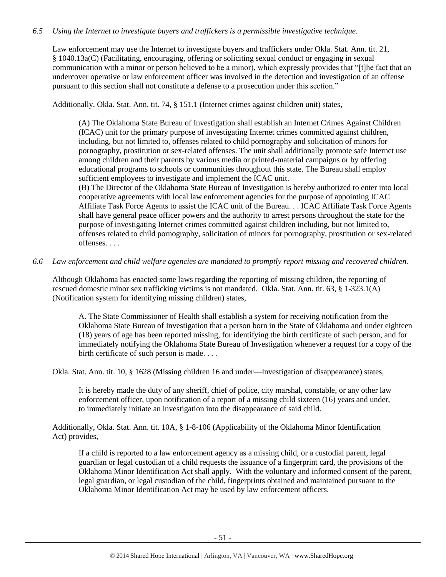## *6.5 Using the Internet to investigate buyers and traffickers is a permissible investigative technique.*

Law enforcement may use the Internet to investigate buyers and traffickers under Okla. Stat. Ann. tit. 21, § 1040.13a(C) (Facilitating, encouraging, offering or soliciting sexual conduct or engaging in sexual communication with a minor or person believed to be a minor), which expressly provides that "[t]he fact that an undercover operative or law enforcement officer was involved in the detection and investigation of an offense pursuant to this section shall not constitute a defense to a prosecution under this section."

Additionally, Okla. Stat. Ann. tit. 74, § 151.1 (Internet crimes against children unit) states,

(A) The Oklahoma State Bureau of Investigation shall establish an Internet Crimes Against Children (ICAC) unit for the primary purpose of investigating Internet crimes committed against children, including, but not limited to, offenses related to child pornography and solicitation of minors for pornography, prostitution or sex-related offenses. The unit shall additionally promote safe Internet use among children and their parents by various media or printed-material campaigns or by offering educational programs to schools or communities throughout this state. The Bureau shall employ sufficient employees to investigate and implement the ICAC unit.

(B) The Director of the Oklahoma State Bureau of Investigation is hereby authorized to enter into local cooperative agreements with local law enforcement agencies for the purpose of appointing ICAC Affiliate Task Force Agents to assist the ICAC unit of the Bureau. . . ICAC Affiliate Task Force Agents shall have general peace officer powers and the authority to arrest persons throughout the state for the purpose of investigating Internet crimes committed against children including, but not limited to, offenses related to child pornography, solicitation of minors for pornography, prostitution or sex-related offenses. . . .

*6.6 Law enforcement and child welfare agencies are mandated to promptly report missing and recovered children.*

Although Oklahoma has enacted some laws regarding the reporting of missing children, the reporting of rescued domestic minor sex trafficking victims is not mandated. Okla. Stat. Ann. tit. 63, § 1-323.1(A) (Notification system for identifying missing children) states,

A. The State Commissioner of Health shall establish a system for receiving notification from the Oklahoma State Bureau of Investigation that a person born in the State of Oklahoma and under eighteen (18) years of age has been reported missing, for identifying the birth certificate of such person, and for immediately notifying the Oklahoma State Bureau of Investigation whenever a request for a copy of the birth certificate of such person is made. . . .

Okla. Stat. Ann. tit. 10, § 1628 (Missing children 16 and under—Investigation of disappearance) states,

It is hereby made the duty of any sheriff, chief of police, city marshal, constable, or any other law enforcement officer, upon notification of a report of a missing child sixteen (16) years and under, to immediately initiate an investigation into the disappearance of said child.

Additionally, Okla. Stat. Ann. tit. 10A, § 1-8-106 (Applicability of the Oklahoma Minor Identification Act) provides,

If a child is reported to a law enforcement agency as a missing child, or a custodial parent, legal guardian or legal custodian of a child requests the issuance of a fingerprint card, the provisions of the Oklahoma Minor Identification Act shall apply. With the voluntary and informed consent of the parent, legal guardian, or legal custodian of the child, fingerprints obtained and maintained pursuant to the Oklahoma Minor Identification Act may be used by law enforcement officers.